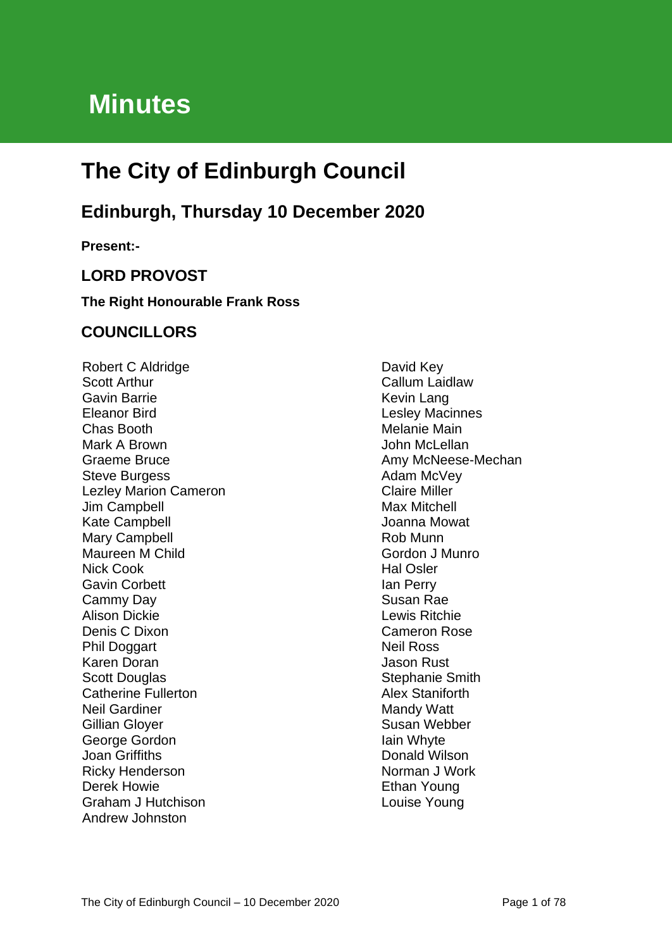# **Minutes**

# **The City of Edinburgh Council**

# **Edinburgh, Thursday 10 December 2020**

**Present:-**

## **LORD PROVOST**

#### **The Right Honourable Frank Ross**

## **COUNCILLORS**

Robert C Aldridge Scott Arthur Gavin Barrie Eleanor Bird Chas Booth Mark A Brown Graeme Bruce Steve Burgess Lezley Marion Cameron Jim Campbell Kate Campbell Mary Campbell Maureen M Child Nick Cook Gavin Corbett Cammy Day Alison Dickie Denis C Dixon Phil Doggart Karen Doran Scott Douglas Catherine Fullerton Neil Gardiner Gillian Gloyer George Gordon Joan Griffiths Ricky Henderson Derek Howie Graham J Hutchison Andrew Johnston

David Key Callum Laidlaw Kevin Lang Lesley Macinnes Melanie Main John McLellan Amy McNeese-Mechan Adam McVey Claire Miller Max Mitchell Joanna Mowat Rob Munn Gordon J Munro Hal Osler Ian Perry Susan Rae Lewis Ritchie Cameron Rose Neil Ross Jason Rust Stephanie Smith Alex Staniforth Mandy Watt Susan Webber Iain Whyte Donald Wilson Norman J Work Ethan Young Louise Young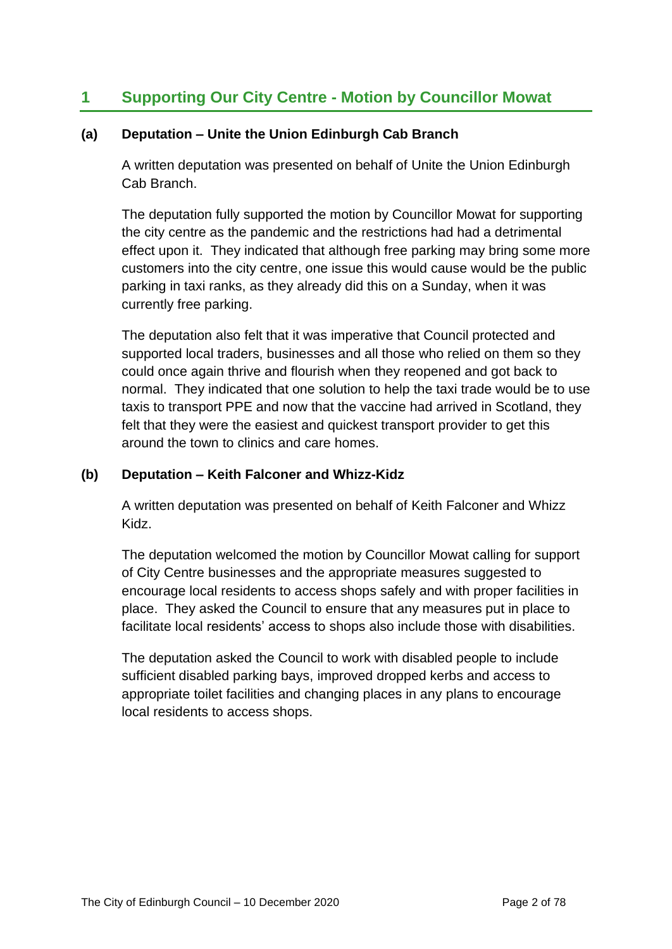# **1 Supporting Our City Centre - Motion by Councillor Mowat**

#### **(a) Deputation – Unite the Union Edinburgh Cab Branch**

A written deputation was presented on behalf of Unite the Union Edinburgh Cab Branch.

The deputation fully supported the motion by Councillor Mowat for supporting the city centre as the pandemic and the restrictions had had a detrimental effect upon it. They indicated that although free parking may bring some more customers into the city centre, one issue this would cause would be the public parking in taxi ranks, as they already did this on a Sunday, when it was currently free parking.

The deputation also felt that it was imperative that Council protected and supported local traders, businesses and all those who relied on them so they could once again thrive and flourish when they reopened and got back to normal. They indicated that one solution to help the taxi trade would be to use taxis to transport PPE and now that the vaccine had arrived in Scotland, they felt that they were the easiest and quickest transport provider to get this around the town to clinics and care homes.

#### **(b) Deputation – Keith Falconer and Whizz-Kidz**

A written deputation was presented on behalf of Keith Falconer and Whizz Kidz.

The deputation welcomed the motion by Councillor Mowat calling for support of City Centre businesses and the appropriate measures suggested to encourage local residents to access shops safely and with proper facilities in place. They asked the Council to ensure that any measures put in place to facilitate local residents' access to shops also include those with disabilities.

The deputation asked the Council to work with disabled people to include sufficient disabled parking bays, improved dropped kerbs and access to appropriate toilet facilities and changing places in any plans to encourage local residents to access shops.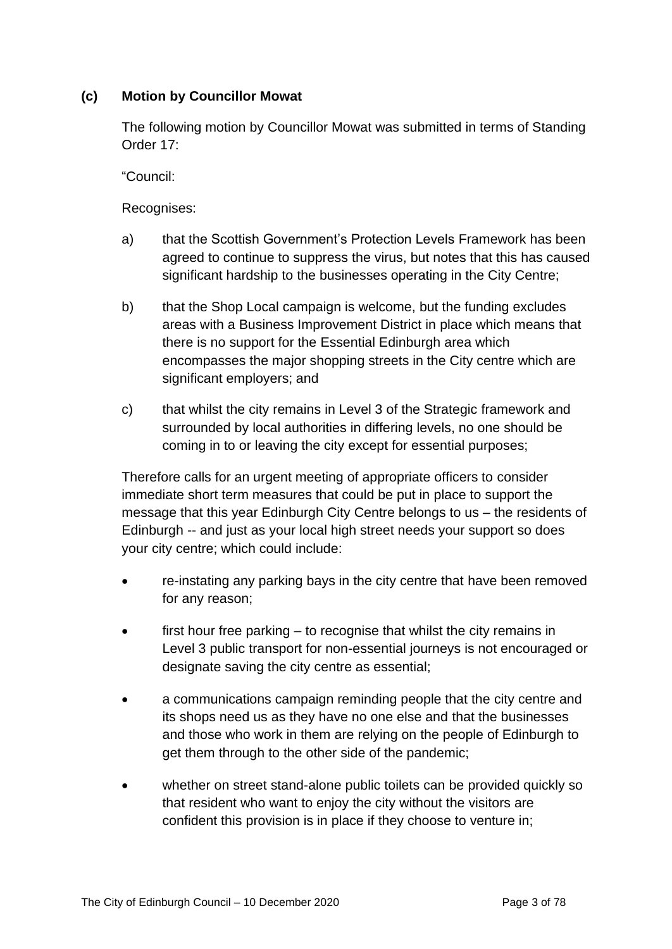#### **(c) Motion by Councillor Mowat**

The following motion by Councillor Mowat was submitted in terms of Standing Order 17:

"Council:

Recognises:

- a) that the Scottish Government's Protection Levels Framework has been agreed to continue to suppress the virus, but notes that this has caused significant hardship to the businesses operating in the City Centre;
- b) that the Shop Local campaign is welcome, but the funding excludes areas with a Business Improvement District in place which means that there is no support for the Essential Edinburgh area which encompasses the major shopping streets in the City centre which are significant employers; and
- c) that whilst the city remains in Level 3 of the Strategic framework and surrounded by local authorities in differing levels, no one should be coming in to or leaving the city except for essential purposes;

Therefore calls for an urgent meeting of appropriate officers to consider immediate short term measures that could be put in place to support the message that this year Edinburgh City Centre belongs to us – the residents of Edinburgh -- and just as your local high street needs your support so does your city centre; which could include:

- re-instating any parking bays in the city centre that have been removed for any reason;
- first hour free parking to recognise that whilst the city remains in Level 3 public transport for non-essential journeys is not encouraged or designate saving the city centre as essential;
- a communications campaign reminding people that the city centre and its shops need us as they have no one else and that the businesses and those who work in them are relying on the people of Edinburgh to get them through to the other side of the pandemic;
- whether on street stand-alone public toilets can be provided quickly so that resident who want to enjoy the city without the visitors are confident this provision is in place if they choose to venture in;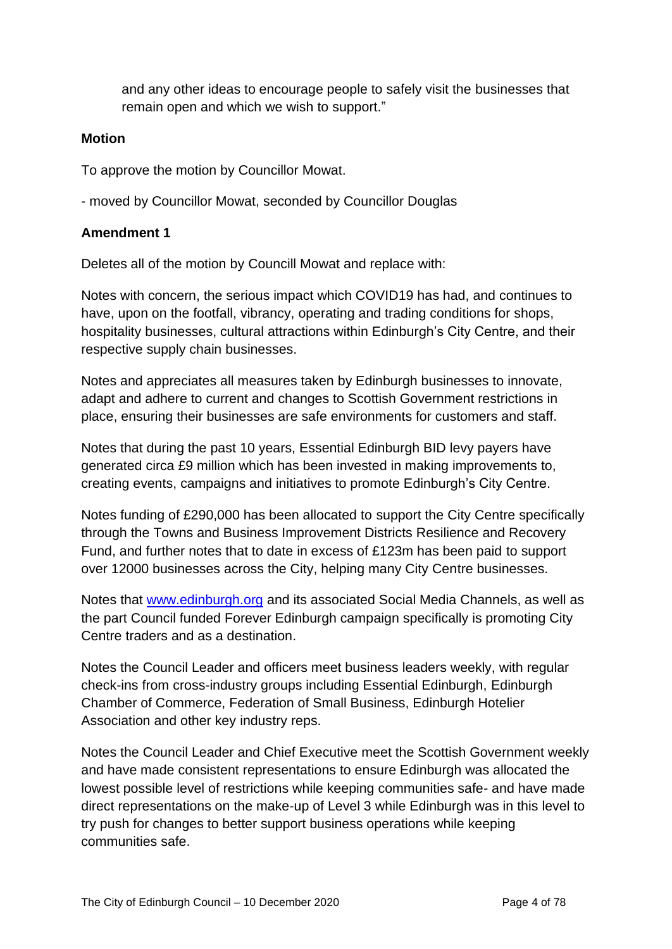and any other ideas to encourage people to safely visit the businesses that remain open and which we wish to support."

#### **Motion**

To approve the motion by Councillor Mowat.

- moved by Councillor Mowat, seconded by Councillor Douglas

#### **Amendment 1**

Deletes all of the motion by Councill Mowat and replace with:

Notes with concern, the serious impact which COVID19 has had, and continues to have, upon on the footfall, vibrancy, operating and trading conditions for shops, hospitality businesses, cultural attractions within Edinburgh's City Centre, and their respective supply chain businesses.

Notes and appreciates all measures taken by Edinburgh businesses to innovate, adapt and adhere to current and changes to Scottish Government restrictions in place, ensuring their businesses are safe environments for customers and staff.

Notes that during the past 10 years, Essential Edinburgh BID levy payers have generated circa £9 million which has been invested in making improvements to, creating events, campaigns and initiatives to promote Edinburgh's City Centre.

Notes funding of £290,000 has been allocated to support the City Centre specifically through the Towns and Business Improvement Districts Resilience and Recovery Fund, and further notes that to date in excess of £123m has been paid to support over 12000 businesses across the City, helping many City Centre businesses.

Notes that [www.edinburgh.org](http://www.edinburgh.org/) and its associated Social Media Channels, as well as the part Council funded Forever Edinburgh campaign specifically is promoting City Centre traders and as a destination.

Notes the Council Leader and officers meet business leaders weekly, with regular check-ins from cross-industry groups including Essential Edinburgh, Edinburgh Chamber of Commerce, Federation of Small Business, Edinburgh Hotelier Association and other key industry reps.

Notes the Council Leader and Chief Executive meet the Scottish Government weekly and have made consistent representations to ensure Edinburgh was allocated the lowest possible level of restrictions while keeping communities safe- and have made direct representations on the make-up of Level 3 while Edinburgh was in this level to try push for changes to better support business operations while keeping communities safe.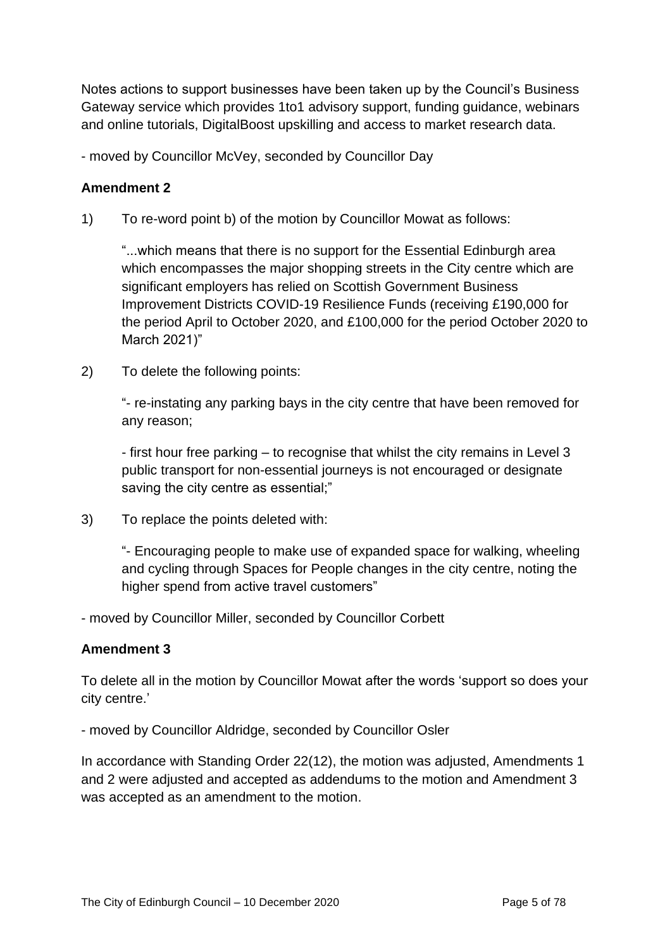Notes actions to support businesses have been taken up by the Council's Business Gateway service which provides 1to1 advisory support, funding guidance, webinars and online tutorials, DigitalBoost upskilling and access to market research data.

- moved by Councillor McVey, seconded by Councillor Day

#### **Amendment 2**

1) To re-word point b) of the motion by Councillor Mowat as follows:

"...which means that there is no support for the Essential Edinburgh area which encompasses the major shopping streets in the City centre which are significant employers has relied on Scottish Government Business Improvement Districts COVID-19 Resilience Funds (receiving £190,000 for the period April to October 2020, and £100,000 for the period October 2020 to March 2021)"

2) To delete the following points:

"- re-instating any parking bays in the city centre that have been removed for any reason;

- first hour free parking – to recognise that whilst the city remains in Level 3 public transport for non-essential journeys is not encouraged or designate saving the city centre as essential;"

3) To replace the points deleted with:

"- Encouraging people to make use of expanded space for walking, wheeling and cycling through Spaces for People changes in the city centre, noting the higher spend from active travel customers"

- moved by Councillor Miller, seconded by Councillor Corbett

#### **Amendment 3**

To delete all in the motion by Councillor Mowat after the words 'support so does your city centre.'

- moved by Councillor Aldridge, seconded by Councillor Osler

In accordance with Standing Order 22(12), the motion was adjusted, Amendments 1 and 2 were adjusted and accepted as addendums to the motion and Amendment 3 was accepted as an amendment to the motion.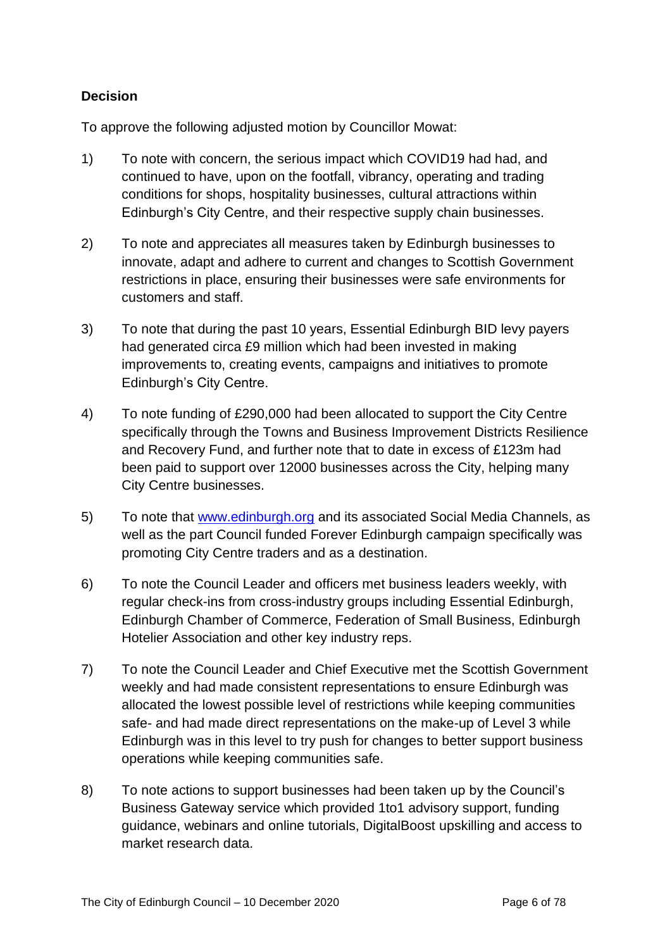#### **Decision**

To approve the following adjusted motion by Councillor Mowat:

- 1) To note with concern, the serious impact which COVID19 had had, and continued to have, upon on the footfall, vibrancy, operating and trading conditions for shops, hospitality businesses, cultural attractions within Edinburgh's City Centre, and their respective supply chain businesses.
- 2) To note and appreciates all measures taken by Edinburgh businesses to innovate, adapt and adhere to current and changes to Scottish Government restrictions in place, ensuring their businesses were safe environments for customers and staff.
- 3) To note that during the past 10 years, Essential Edinburgh BID levy payers had generated circa £9 million which had been invested in making improvements to, creating events, campaigns and initiatives to promote Edinburgh's City Centre.
- 4) To note funding of £290,000 had been allocated to support the City Centre specifically through the Towns and Business Improvement Districts Resilience and Recovery Fund, and further note that to date in excess of £123m had been paid to support over 12000 businesses across the City, helping many City Centre businesses.
- 5) To note that [www.edinburgh.org](http://www.edinburgh.org/) and its associated Social Media Channels, as well as the part Council funded Forever Edinburgh campaign specifically was promoting City Centre traders and as a destination.
- 6) To note the Council Leader and officers met business leaders weekly, with regular check-ins from cross-industry groups including Essential Edinburgh, Edinburgh Chamber of Commerce, Federation of Small Business, Edinburgh Hotelier Association and other key industry reps.
- 7) To note the Council Leader and Chief Executive met the Scottish Government weekly and had made consistent representations to ensure Edinburgh was allocated the lowest possible level of restrictions while keeping communities safe- and had made direct representations on the make-up of Level 3 while Edinburgh was in this level to try push for changes to better support business operations while keeping communities safe.
- 8) To note actions to support businesses had been taken up by the Council's Business Gateway service which provided 1to1 advisory support, funding guidance, webinars and online tutorials, DigitalBoost upskilling and access to market research data.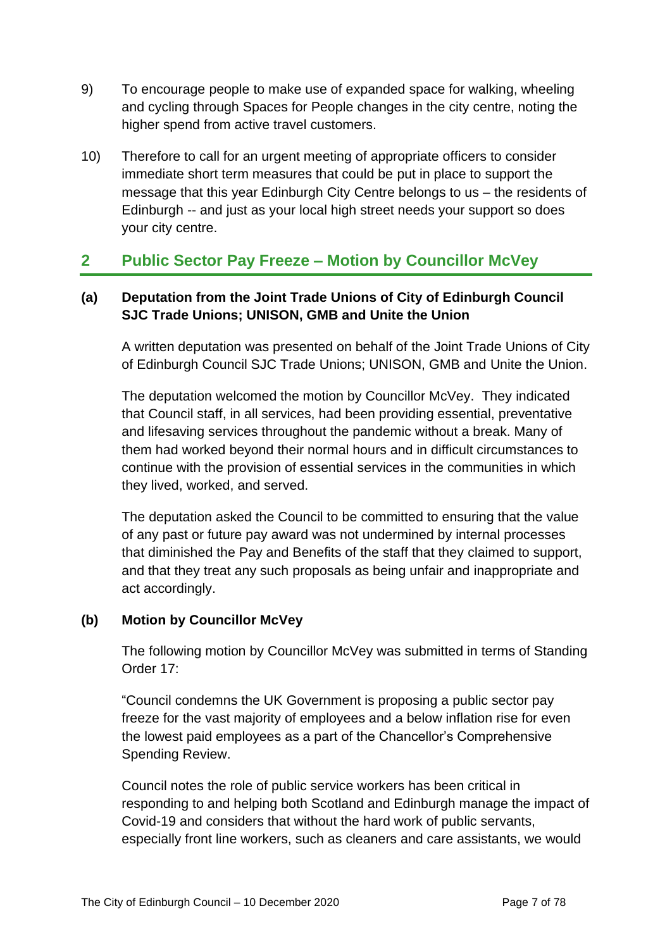- 9) To encourage people to make use of expanded space for walking, wheeling and cycling through Spaces for People changes in the city centre, noting the higher spend from active travel customers.
- 10) Therefore to call for an urgent meeting of appropriate officers to consider immediate short term measures that could be put in place to support the message that this year Edinburgh City Centre belongs to us – the residents of Edinburgh -- and just as your local high street needs your support so does your city centre.

# **2 Public Sector Pay Freeze – Motion by Councillor McVey**

## **(a) Deputation from the Joint Trade Unions of City of Edinburgh Council SJC Trade Unions; UNISON, GMB and Unite the Union**

A written deputation was presented on behalf of the Joint Trade Unions of City of Edinburgh Council SJC Trade Unions; UNISON, GMB and Unite the Union.

The deputation welcomed the motion by Councillor McVey. They indicated that Council staff, in all services, had been providing essential, preventative and lifesaving services throughout the pandemic without a break. Many of them had worked beyond their normal hours and in difficult circumstances to continue with the provision of essential services in the communities in which they lived, worked, and served.

The deputation asked the Council to be committed to ensuring that the value of any past or future pay award was not undermined by internal processes that diminished the Pay and Benefits of the staff that they claimed to support, and that they treat any such proposals as being unfair and inappropriate and act accordingly.

#### **(b) Motion by Councillor McVey**

The following motion by Councillor McVey was submitted in terms of Standing Order 17:

"Council condemns the UK Government is proposing a public sector pay freeze for the vast majority of employees and a below inflation rise for even the lowest paid employees as a part of the Chancellor's Comprehensive Spending Review.

Council notes the role of public service workers has been critical in responding to and helping both Scotland and Edinburgh manage the impact of Covid-19 and considers that without the hard work of public servants, especially front line workers, such as cleaners and care assistants, we would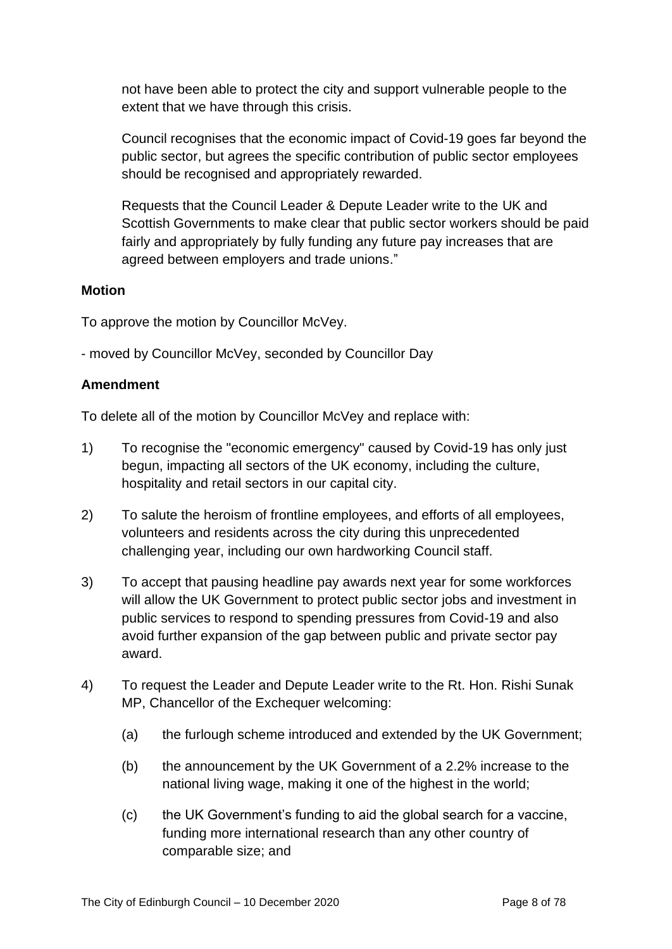not have been able to protect the city and support vulnerable people to the extent that we have through this crisis.

Council recognises that the economic impact of Covid-19 goes far beyond the public sector, but agrees the specific contribution of public sector employees should be recognised and appropriately rewarded.

Requests that the Council Leader & Depute Leader write to the UK and Scottish Governments to make clear that public sector workers should be paid fairly and appropriately by fully funding any future pay increases that are agreed between employers and trade unions."

#### **Motion**

To approve the motion by Councillor McVey.

- moved by Councillor McVey, seconded by Councillor Day

#### **Amendment**

To delete all of the motion by Councillor McVey and replace with:

- 1) To recognise the "economic emergency" caused by Covid-19 has only just begun, impacting all sectors of the UK economy, including the culture, hospitality and retail sectors in our capital city.
- 2) To salute the heroism of frontline employees, and efforts of all employees, volunteers and residents across the city during this unprecedented challenging year, including our own hardworking Council staff.
- 3) To accept that pausing headline pay awards next year for some workforces will allow the UK Government to protect public sector jobs and investment in public services to respond to spending pressures from Covid-19 and also avoid further expansion of the gap between public and private sector pay award.
- 4) To request the Leader and Depute Leader write to the Rt. Hon. Rishi Sunak MP, Chancellor of the Exchequer welcoming:
	- (a) the furlough scheme introduced and extended by the UK Government;
	- (b) the announcement by the UK Government of a 2.2% increase to the national living wage, making it one of the highest in the world;
	- (c) the UK Government's funding to aid the global search for a vaccine, funding more international research than any other country of comparable size; and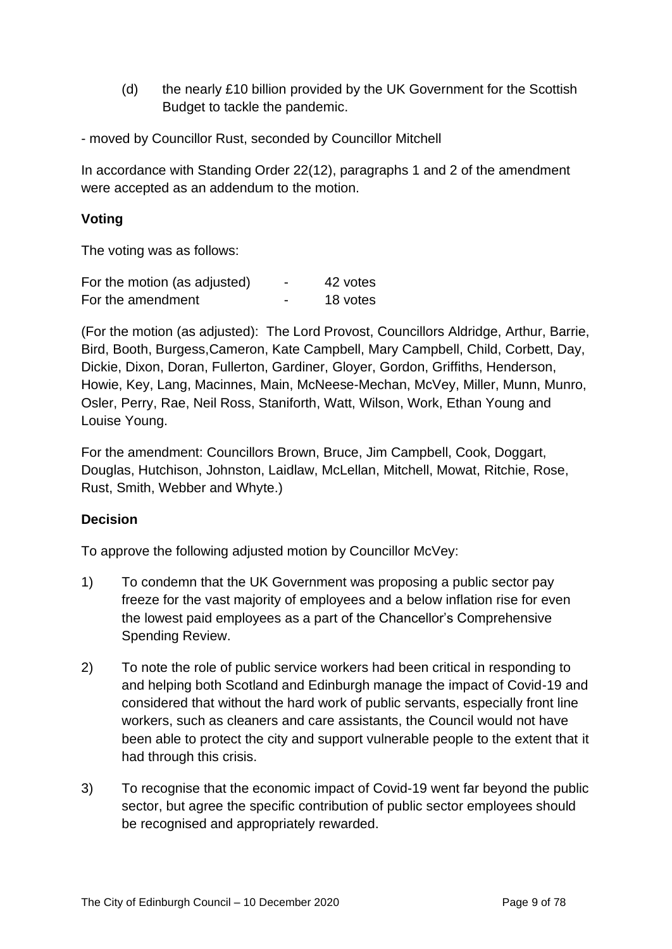- (d) the nearly £10 billion provided by the UK Government for the Scottish Budget to tackle the pandemic.
- moved by Councillor Rust, seconded by Councillor Mitchell

In accordance with Standing Order 22(12), paragraphs 1 and 2 of the amendment were accepted as an addendum to the motion.

#### **Voting**

The voting was as follows:

| For the motion (as adjusted) | $\overline{\phantom{0}}$ | 42 votes |
|------------------------------|--------------------------|----------|
| For the amendment            | -                        | 18 votes |

(For the motion (as adjusted): The Lord Provost, Councillors Aldridge, Arthur, Barrie, Bird, Booth, Burgess,Cameron, Kate Campbell, Mary Campbell, Child, Corbett, Day, Dickie, Dixon, Doran, Fullerton, Gardiner, Gloyer, Gordon, Griffiths, Henderson, Howie, Key, Lang, Macinnes, Main, McNeese-Mechan, McVey, Miller, Munn, Munro, Osler, Perry, Rae, Neil Ross, Staniforth, Watt, Wilson, Work, Ethan Young and Louise Young.

For the amendment: Councillors Brown, Bruce, Jim Campbell, Cook, Doggart, Douglas, Hutchison, Johnston, Laidlaw, McLellan, Mitchell, Mowat, Ritchie, Rose, Rust, Smith, Webber and Whyte.)

#### **Decision**

To approve the following adjusted motion by Councillor McVey:

- 1) To condemn that the UK Government was proposing a public sector pay freeze for the vast majority of employees and a below inflation rise for even the lowest paid employees as a part of the Chancellor's Comprehensive Spending Review.
- 2) To note the role of public service workers had been critical in responding to and helping both Scotland and Edinburgh manage the impact of Covid-19 and considered that without the hard work of public servants, especially front line workers, such as cleaners and care assistants, the Council would not have been able to protect the city and support vulnerable people to the extent that it had through this crisis.
- 3) To recognise that the economic impact of Covid-19 went far beyond the public sector, but agree the specific contribution of public sector employees should be recognised and appropriately rewarded.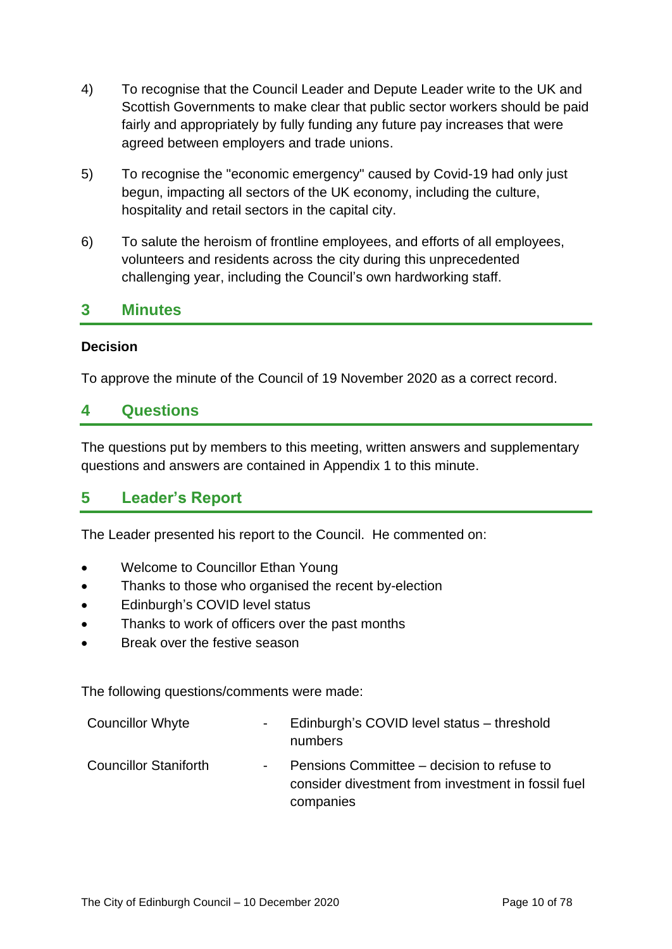- 4) To recognise that the Council Leader and Depute Leader write to the UK and Scottish Governments to make clear that public sector workers should be paid fairly and appropriately by fully funding any future pay increases that were agreed between employers and trade unions.
- 5) To recognise the "economic emergency" caused by Covid-19 had only just begun, impacting all sectors of the UK economy, including the culture, hospitality and retail sectors in the capital city.
- 6) To salute the heroism of frontline employees, and efforts of all employees, volunteers and residents across the city during this unprecedented challenging year, including the Council's own hardworking staff.

## **3 Minutes**

#### **Decision**

To approve the minute of the Council of 19 November 2020 as a correct record.

### **4 Questions**

The questions put by members to this meeting, written answers and supplementary questions and answers are contained in Appendix 1 to this minute.

## **5 Leader's Report**

The Leader presented his report to the Council. He commented on:

- Welcome to Councillor Ethan Young
- Thanks to those who organised the recent by-election
- Edinburgh's COVID level status
- Thanks to work of officers over the past months
- Break over the festive season

The following questions/comments were made:

| <b>Councillor Whyte</b>      | $\sim 100$ | Edinburgh's COVID level status – threshold<br>numbers                                                         |
|------------------------------|------------|---------------------------------------------------------------------------------------------------------------|
| <b>Councillor Staniforth</b> | $\sim 100$ | Pensions Committee – decision to refuse to<br>consider divestment from investment in fossil fuel<br>companies |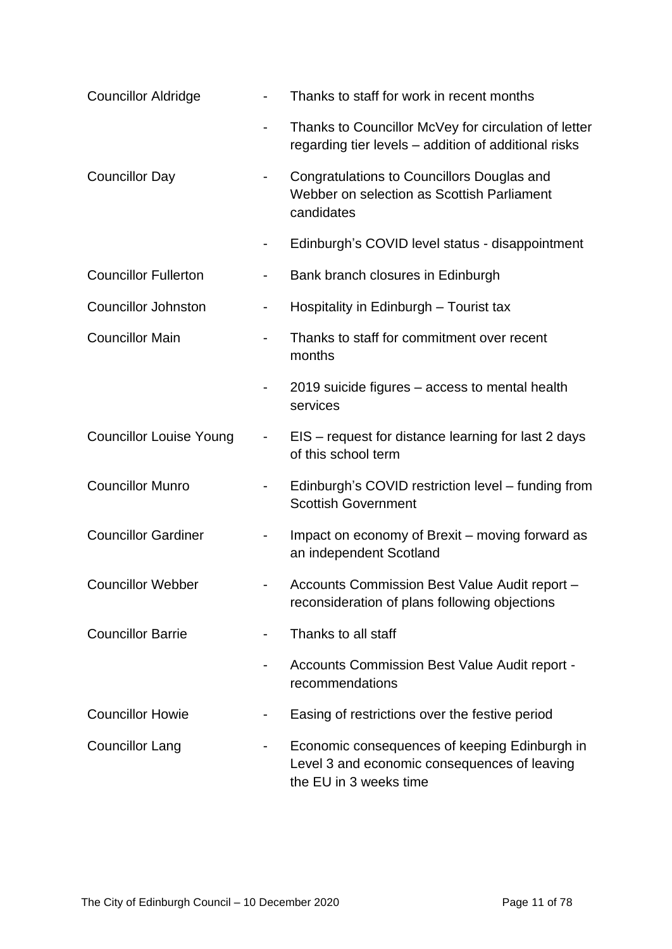| <b>Councillor Aldridge</b>     |                              | Thanks to staff for work in recent months                                                                               |
|--------------------------------|------------------------------|-------------------------------------------------------------------------------------------------------------------------|
|                                | $\qquad \qquad \blacksquare$ | Thanks to Councillor McVey for circulation of letter<br>regarding tier levels - addition of additional risks            |
| <b>Councillor Day</b>          | -                            | Congratulations to Councillors Douglas and<br>Webber on selection as Scottish Parliament<br>candidates                  |
|                                | $\blacksquare$               | Edinburgh's COVID level status - disappointment                                                                         |
| <b>Councillor Fullerton</b>    | -                            | Bank branch closures in Edinburgh                                                                                       |
| <b>Councillor Johnston</b>     | $\overline{\phantom{0}}$     | Hospitality in Edinburgh - Tourist tax                                                                                  |
| <b>Councillor Main</b>         | $\overline{\phantom{0}}$     | Thanks to staff for commitment over recent<br>months                                                                    |
|                                |                              | 2019 suicide figures – access to mental health<br>services                                                              |
| <b>Councillor Louise Young</b> | $\overline{\phantom{0}}$     | EIS - request for distance learning for last 2 days<br>of this school term                                              |
| <b>Councillor Munro</b>        | $\overline{\phantom{0}}$     | Edinburgh's COVID restriction level - funding from<br><b>Scottish Government</b>                                        |
| <b>Councillor Gardiner</b>     | $\overline{\phantom{a}}$     | Impact on economy of Brexit – moving forward as<br>an independent Scotland                                              |
| <b>Councillor Webber</b>       |                              | Accounts Commission Best Value Audit report -<br>reconsideration of plans following objections                          |
| <b>Councillor Barrie</b>       | -                            | Thanks to all staff                                                                                                     |
|                                |                              | Accounts Commission Best Value Audit report -<br>recommendations                                                        |
| <b>Councillor Howie</b>        |                              | Easing of restrictions over the festive period                                                                          |
| <b>Councillor Lang</b>         |                              | Economic consequences of keeping Edinburgh in<br>Level 3 and economic consequences of leaving<br>the EU in 3 weeks time |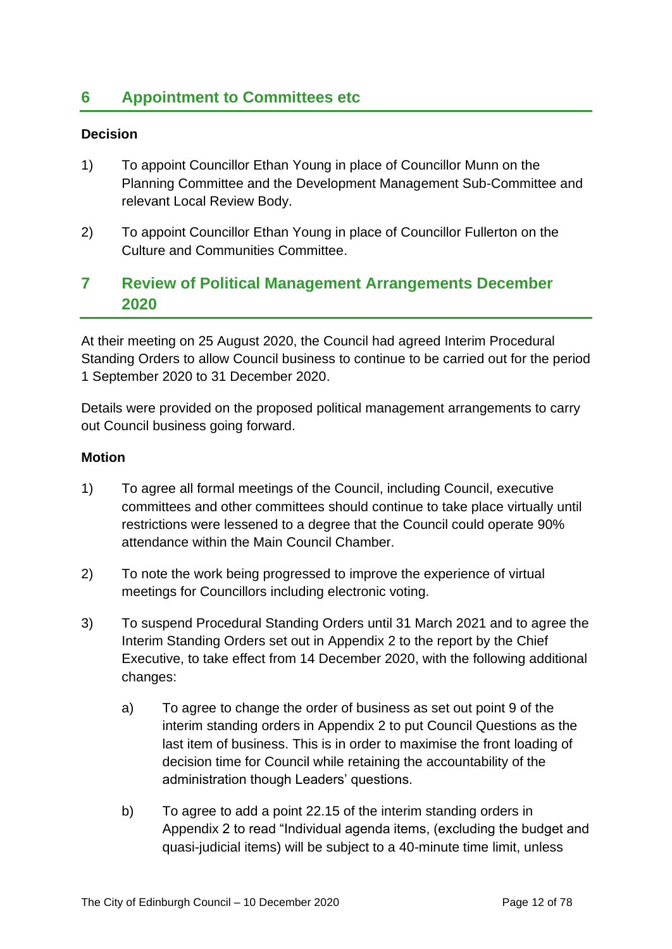## **6 Appointment to Committees etc**

#### **Decision**

- 1) To appoint Councillor Ethan Young in place of Councillor Munn on the Planning Committee and the Development Management Sub-Committee and relevant Local Review Body.
- 2) To appoint Councillor Ethan Young in place of Councillor Fullerton on the Culture and Communities Committee.

## **7 Review of Political Management Arrangements December 2020**

At their meeting on 25 August 2020, the Council had agreed Interim Procedural Standing Orders to allow Council business to continue to be carried out for the period 1 September 2020 to 31 December 2020.

Details were provided on the proposed political management arrangements to carry out Council business going forward.

#### **Motion**

- 1) To agree all formal meetings of the Council, including Council, executive committees and other committees should continue to take place virtually until restrictions were lessened to a degree that the Council could operate 90% attendance within the Main Council Chamber.
- 2) To note the work being progressed to improve the experience of virtual meetings for Councillors including electronic voting.
- 3) To suspend Procedural Standing Orders until 31 March 2021 and to agree the Interim Standing Orders set out in Appendix 2 to the report by the Chief Executive, to take effect from 14 December 2020, with the following additional changes:
	- a) To agree to change the order of business as set out point 9 of the interim standing orders in Appendix 2 to put Council Questions as the last item of business. This is in order to maximise the front loading of decision time for Council while retaining the accountability of the administration though Leaders' questions.
	- b) To agree to add a point 22.15 of the interim standing orders in Appendix 2 to read "Individual agenda items, (excluding the budget and quasi-judicial items) will be subject to a 40-minute time limit, unless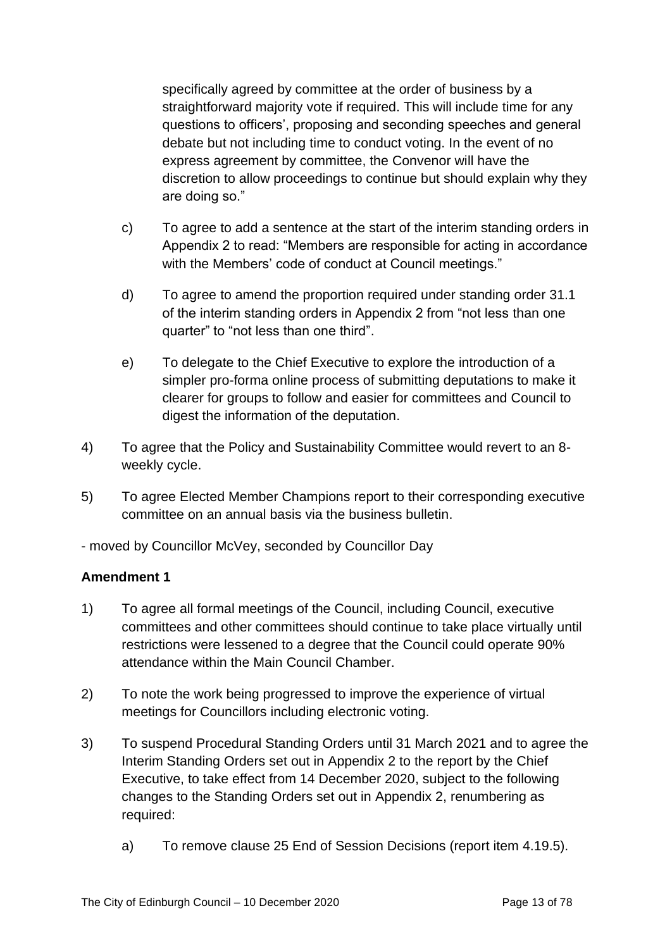specifically agreed by committee at the order of business by a straightforward majority vote if required. This will include time for any questions to officers', proposing and seconding speeches and general debate but not including time to conduct voting. In the event of no express agreement by committee, the Convenor will have the discretion to allow proceedings to continue but should explain why they are doing so."

- c) To agree to add a sentence at the start of the interim standing orders in Appendix 2 to read: "Members are responsible for acting in accordance with the Members' code of conduct at Council meetings."
- d) To agree to amend the proportion required under standing order 31.1 of the interim standing orders in Appendix 2 from "not less than one quarter" to "not less than one third".
- e) To delegate to the Chief Executive to explore the introduction of a simpler pro-forma online process of submitting deputations to make it clearer for groups to follow and easier for committees and Council to digest the information of the deputation.
- 4) To agree that the Policy and Sustainability Committee would revert to an 8 weekly cycle.
- 5) To agree Elected Member Champions report to their corresponding executive committee on an annual basis via the business bulletin.

- moved by Councillor McVey, seconded by Councillor Day

#### **Amendment 1**

- 1) To agree all formal meetings of the Council, including Council, executive committees and other committees should continue to take place virtually until restrictions were lessened to a degree that the Council could operate 90% attendance within the Main Council Chamber.
- 2) To note the work being progressed to improve the experience of virtual meetings for Councillors including electronic voting.
- 3) To suspend Procedural Standing Orders until 31 March 2021 and to agree the Interim Standing Orders set out in Appendix 2 to the report by the Chief Executive, to take effect from 14 December 2020, subject to the following changes to the Standing Orders set out in Appendix 2, renumbering as required:
	- a) To remove clause 25 End of Session Decisions (report item 4.19.5).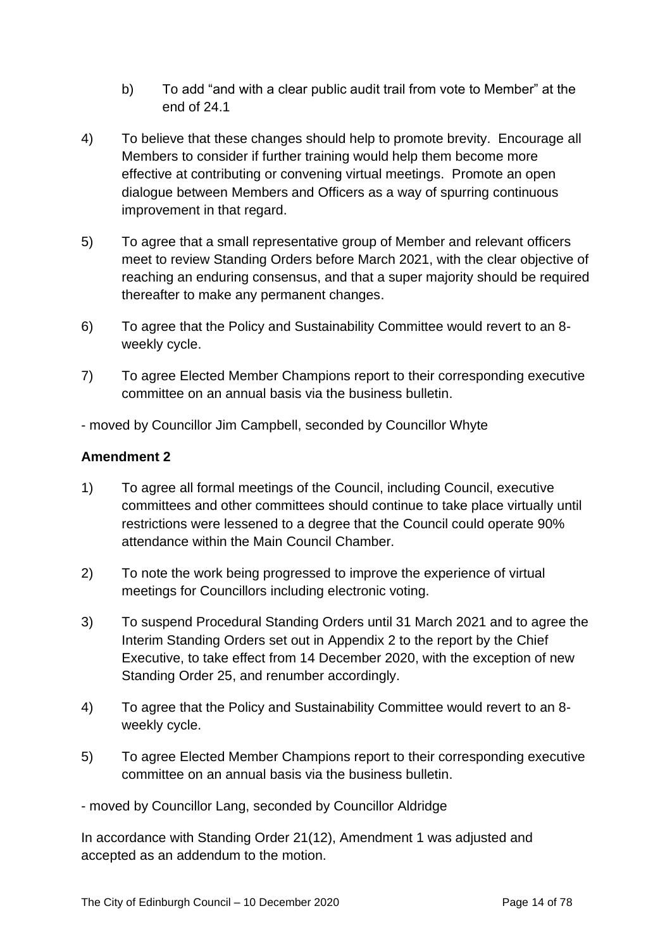- b) To add "and with a clear public audit trail from vote to Member" at the end of 24.1
- 4) To believe that these changes should help to promote brevity. Encourage all Members to consider if further training would help them become more effective at contributing or convening virtual meetings. Promote an open dialogue between Members and Officers as a way of spurring continuous improvement in that regard.
- 5) To agree that a small representative group of Member and relevant officers meet to review Standing Orders before March 2021, with the clear objective of reaching an enduring consensus, and that a super majority should be required thereafter to make any permanent changes.
- 6) To agree that the Policy and Sustainability Committee would revert to an 8 weekly cycle.
- 7) To agree Elected Member Champions report to their corresponding executive committee on an annual basis via the business bulletin.

- moved by Councillor Jim Campbell, seconded by Councillor Whyte

#### **Amendment 2**

- 1) To agree all formal meetings of the Council, including Council, executive committees and other committees should continue to take place virtually until restrictions were lessened to a degree that the Council could operate 90% attendance within the Main Council Chamber.
- 2) To note the work being progressed to improve the experience of virtual meetings for Councillors including electronic voting.
- 3) To suspend Procedural Standing Orders until 31 March 2021 and to agree the Interim Standing Orders set out in Appendix 2 to the report by the Chief Executive, to take effect from 14 December 2020, with the exception of new Standing Order 25, and renumber accordingly.
- 4) To agree that the Policy and Sustainability Committee would revert to an 8 weekly cycle.
- 5) To agree Elected Member Champions report to their corresponding executive committee on an annual basis via the business bulletin.

- moved by Councillor Lang, seconded by Councillor Aldridge

In accordance with Standing Order 21(12), Amendment 1 was adjusted and accepted as an addendum to the motion.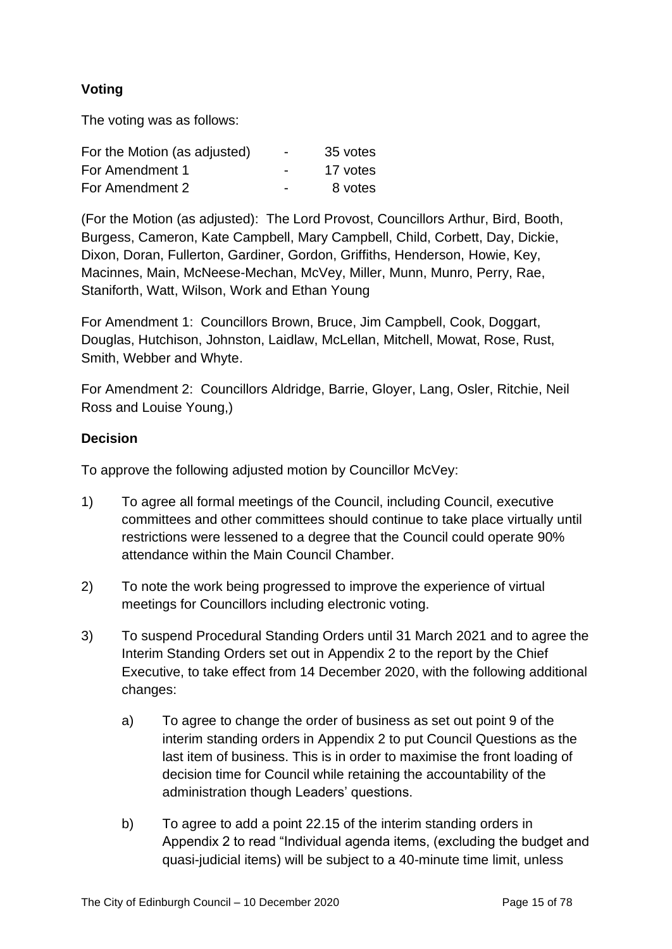## **Voting**

The voting was as follows:

| For the Motion (as adjusted) | $\overline{\phantom{0}}$ | 35 votes |
|------------------------------|--------------------------|----------|
| For Amendment 1              | $\overline{\phantom{0}}$ | 17 votes |
| For Amendment 2              | $\blacksquare$           | 8 votes  |

(For the Motion (as adjusted): The Lord Provost, Councillors Arthur, Bird, Booth, Burgess, Cameron, Kate Campbell, Mary Campbell, Child, Corbett, Day, Dickie, Dixon, Doran, Fullerton, Gardiner, Gordon, Griffiths, Henderson, Howie, Key, Macinnes, Main, McNeese-Mechan, McVey, Miller, Munn, Munro, Perry, Rae, Staniforth, Watt, Wilson, Work and Ethan Young

For Amendment 1: Councillors Brown, Bruce, Jim Campbell, Cook, Doggart, Douglas, Hutchison, Johnston, Laidlaw, McLellan, Mitchell, Mowat, Rose, Rust, Smith, Webber and Whyte.

For Amendment 2: Councillors Aldridge, Barrie, Gloyer, Lang, Osler, Ritchie, Neil Ross and Louise Young,)

#### **Decision**

To approve the following adjusted motion by Councillor McVey:

- 1) To agree all formal meetings of the Council, including Council, executive committees and other committees should continue to take place virtually until restrictions were lessened to a degree that the Council could operate 90% attendance within the Main Council Chamber.
- 2) To note the work being progressed to improve the experience of virtual meetings for Councillors including electronic voting.
- 3) To suspend Procedural Standing Orders until 31 March 2021 and to agree the Interim Standing Orders set out in Appendix 2 to the report by the Chief Executive, to take effect from 14 December 2020, with the following additional changes:
	- a) To agree to change the order of business as set out point 9 of the interim standing orders in Appendix 2 to put Council Questions as the last item of business. This is in order to maximise the front loading of decision time for Council while retaining the accountability of the administration though Leaders' questions.
	- b) To agree to add a point 22.15 of the interim standing orders in Appendix 2 to read "Individual agenda items, (excluding the budget and quasi-judicial items) will be subject to a 40-minute time limit, unless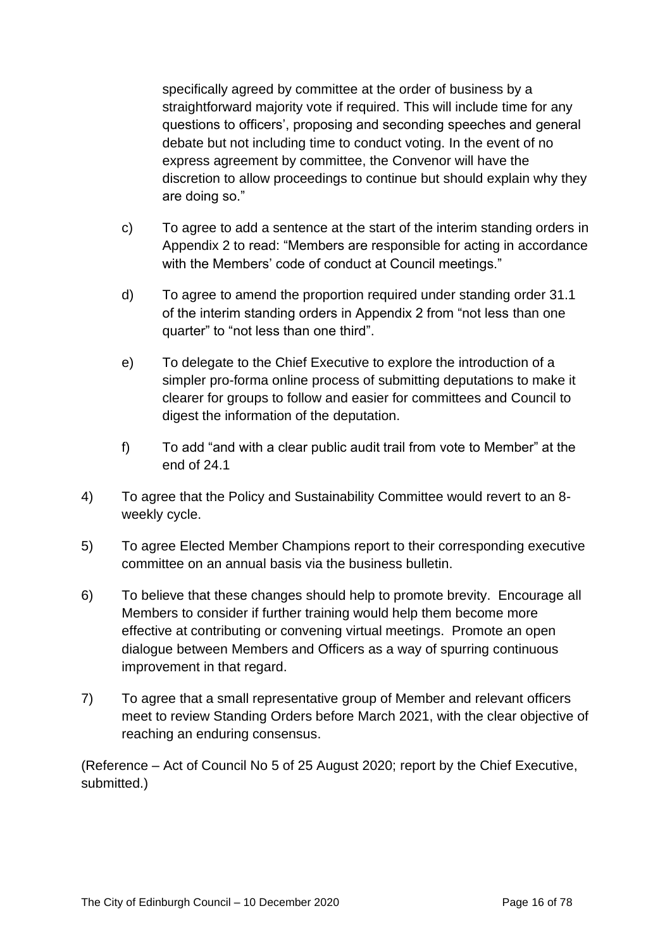specifically agreed by committee at the order of business by a straightforward majority vote if required. This will include time for any questions to officers', proposing and seconding speeches and general debate but not including time to conduct voting. In the event of no express agreement by committee, the Convenor will have the discretion to allow proceedings to continue but should explain why they are doing so."

- c) To agree to add a sentence at the start of the interim standing orders in Appendix 2 to read: "Members are responsible for acting in accordance with the Members' code of conduct at Council meetings."
- d) To agree to amend the proportion required under standing order 31.1 of the interim standing orders in Appendix 2 from "not less than one quarter" to "not less than one third".
- e) To delegate to the Chief Executive to explore the introduction of a simpler pro-forma online process of submitting deputations to make it clearer for groups to follow and easier for committees and Council to digest the information of the deputation.
- f) To add "and with a clear public audit trail from vote to Member" at the end of 24.1
- 4) To agree that the Policy and Sustainability Committee would revert to an 8 weekly cycle.
- 5) To agree Elected Member Champions report to their corresponding executive committee on an annual basis via the business bulletin.
- 6) To believe that these changes should help to promote brevity. Encourage all Members to consider if further training would help them become more effective at contributing or convening virtual meetings. Promote an open dialogue between Members and Officers as a way of spurring continuous improvement in that regard.
- 7) To agree that a small representative group of Member and relevant officers meet to review Standing Orders before March 2021, with the clear objective of reaching an enduring consensus.

(Reference – Act of Council No 5 of 25 August 2020; report by the Chief Executive, submitted.)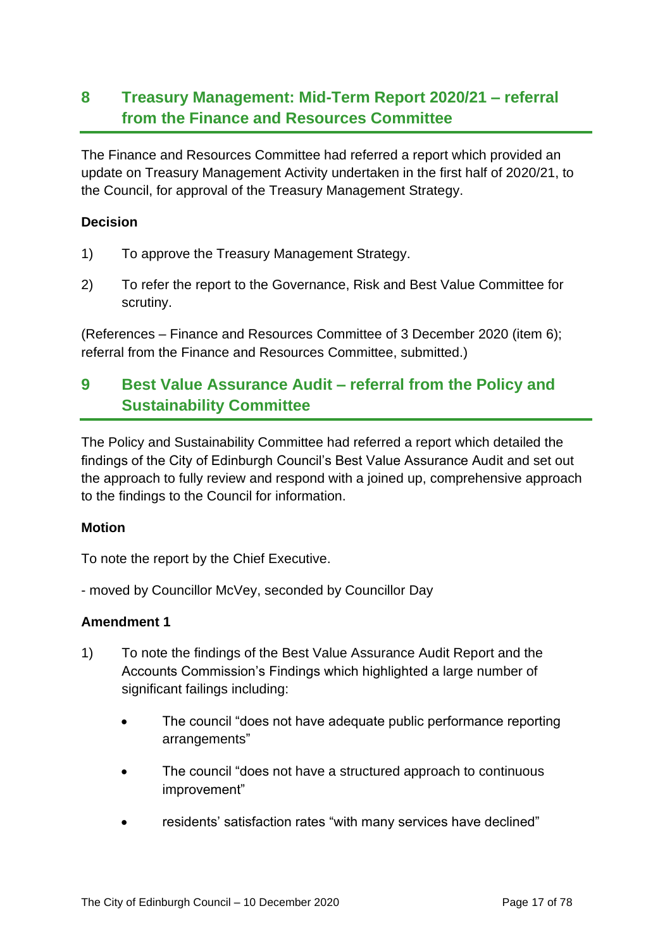# **8 Treasury Management: Mid-Term Report 2020/21 – referral from the Finance and Resources Committee**

The Finance and Resources Committee had referred a report which provided an update on Treasury Management Activity undertaken in the first half of 2020/21, to the Council, for approval of the Treasury Management Strategy.

#### **Decision**

- 1) To approve the Treasury Management Strategy.
- 2) To refer the report to the Governance, Risk and Best Value Committee for scrutiny.

(References – Finance and Resources Committee of 3 December 2020 (item 6); referral from the Finance and Resources Committee, submitted.)

## **9 Best Value Assurance Audit – referral from the Policy and Sustainability Committee**

The Policy and Sustainability Committee had referred a report which detailed the findings of the City of Edinburgh Council's Best Value Assurance Audit and set out the approach to fully review and respond with a joined up, comprehensive approach to the findings to the Council for information.

#### **Motion**

To note the report by the Chief Executive.

- moved by Councillor McVey, seconded by Councillor Day

#### **Amendment 1**

- 1) To note the findings of the Best Value Assurance Audit Report and the Accounts Commission's Findings which highlighted a large number of significant failings including:
	- The council "does not have adequate public performance reporting arrangements"
	- The council "does not have a structured approach to continuous improvement"
	- residents' satisfaction rates "with many services have declined"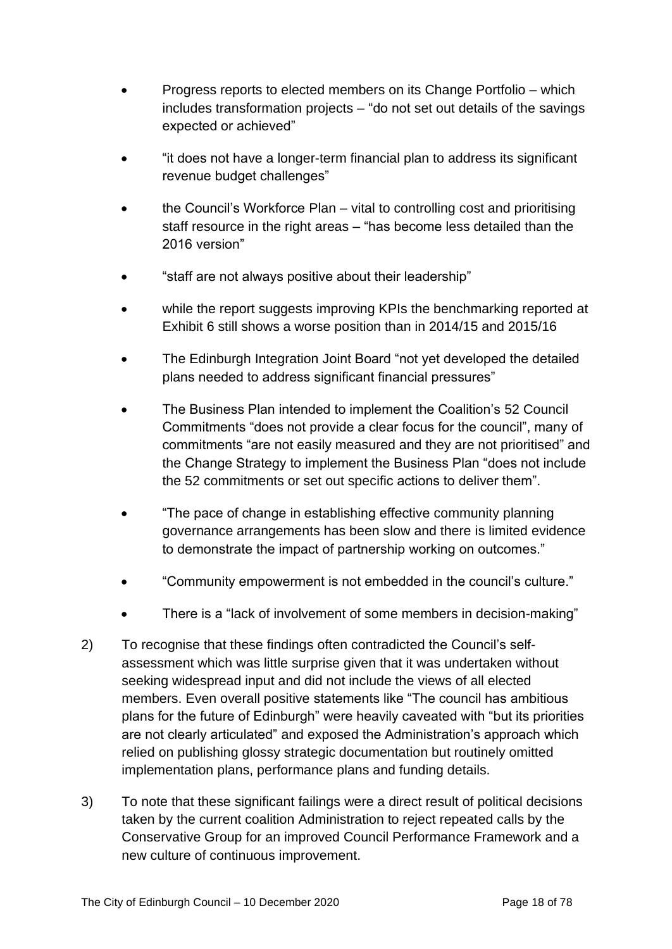- Progress reports to elected members on its Change Portfolio which includes transformation projects – "do not set out details of the savings expected or achieved"
- "it does not have a longer-term financial plan to address its significant revenue budget challenges"
- the Council's Workforce Plan vital to controlling cost and prioritising staff resource in the right areas – "has become less detailed than the 2016 version"
- "staff are not always positive about their leadership"
- while the report suggests improving KPIs the benchmarking reported at Exhibit 6 still shows a worse position than in 2014/15 and 2015/16
- The Edinburgh Integration Joint Board "not yet developed the detailed plans needed to address significant financial pressures"
- The Business Plan intended to implement the Coalition's 52 Council Commitments "does not provide a clear focus for the council", many of commitments "are not easily measured and they are not prioritised" and the Change Strategy to implement the Business Plan "does not include the 52 commitments or set out specific actions to deliver them".
- "The pace of change in establishing effective community planning governance arrangements has been slow and there is limited evidence to demonstrate the impact of partnership working on outcomes."
- "Community empowerment is not embedded in the council's culture."
- There is a "lack of involvement of some members in decision-making"
- 2) To recognise that these findings often contradicted the Council's selfassessment which was little surprise given that it was undertaken without seeking widespread input and did not include the views of all elected members. Even overall positive statements like "The council has ambitious plans for the future of Edinburgh" were heavily caveated with "but its priorities are not clearly articulated" and exposed the Administration's approach which relied on publishing glossy strategic documentation but routinely omitted implementation plans, performance plans and funding details.
- 3) To note that these significant failings were a direct result of political decisions taken by the current coalition Administration to reject repeated calls by the Conservative Group for an improved Council Performance Framework and a new culture of continuous improvement.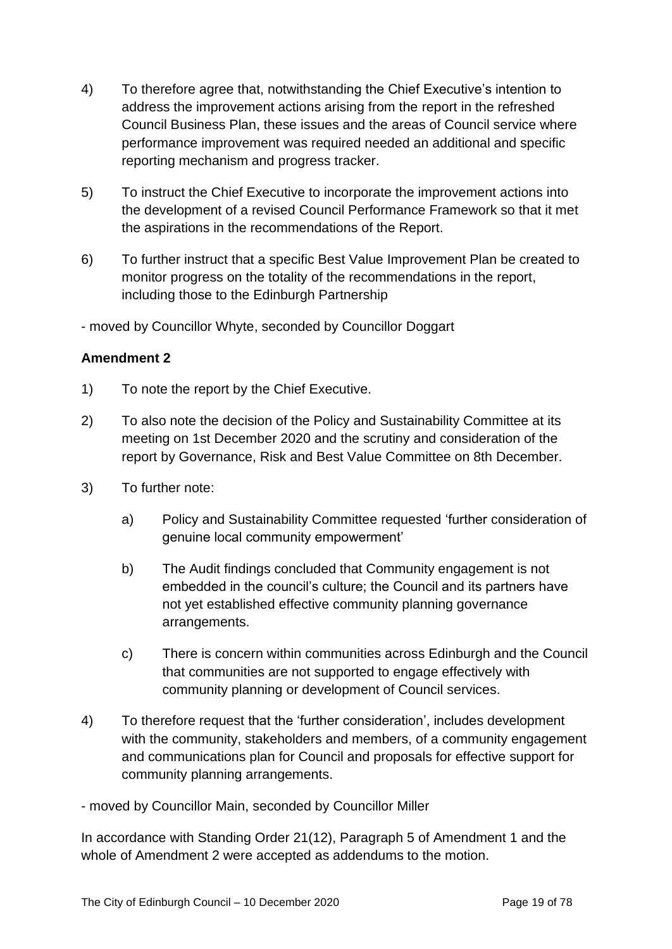- 4) To therefore agree that, notwithstanding the Chief Executive's intention to address the improvement actions arising from the report in the refreshed Council Business Plan, these issues and the areas of Council service where performance improvement was required needed an additional and specific reporting mechanism and progress tracker.
- 5) To instruct the Chief Executive to incorporate the improvement actions into the development of a revised Council Performance Framework so that it met the aspirations in the recommendations of the Report.
- 6) To further instruct that a specific Best Value Improvement Plan be created to monitor progress on the totality of the recommendations in the report, including those to the Edinburgh Partnership

- moved by Councillor Whyte, seconded by Councillor Doggart

#### **Amendment 2**

- 1) To note the report by the Chief Executive.
- 2) To also note the decision of the Policy and Sustainability Committee at its meeting on 1st December 2020 and the scrutiny and consideration of the report by Governance, Risk and Best Value Committee on 8th December.
- 3) To further note:
	- a) Policy and Sustainability Committee requested 'further consideration of genuine local community empowerment'
	- b) The Audit findings concluded that Community engagement is not embedded in the council's culture; the Council and its partners have not yet established effective community planning governance arrangements.
	- c) There is concern within communities across Edinburgh and the Council that communities are not supported to engage effectively with community planning or development of Council services.
- 4) To therefore request that the 'further consideration', includes development with the community, stakeholders and members, of a community engagement and communications plan for Council and proposals for effective support for community planning arrangements.
- moved by Councillor Main, seconded by Councillor Miller

In accordance with Standing Order 21(12), Paragraph 5 of Amendment 1 and the whole of Amendment 2 were accepted as addendums to the motion.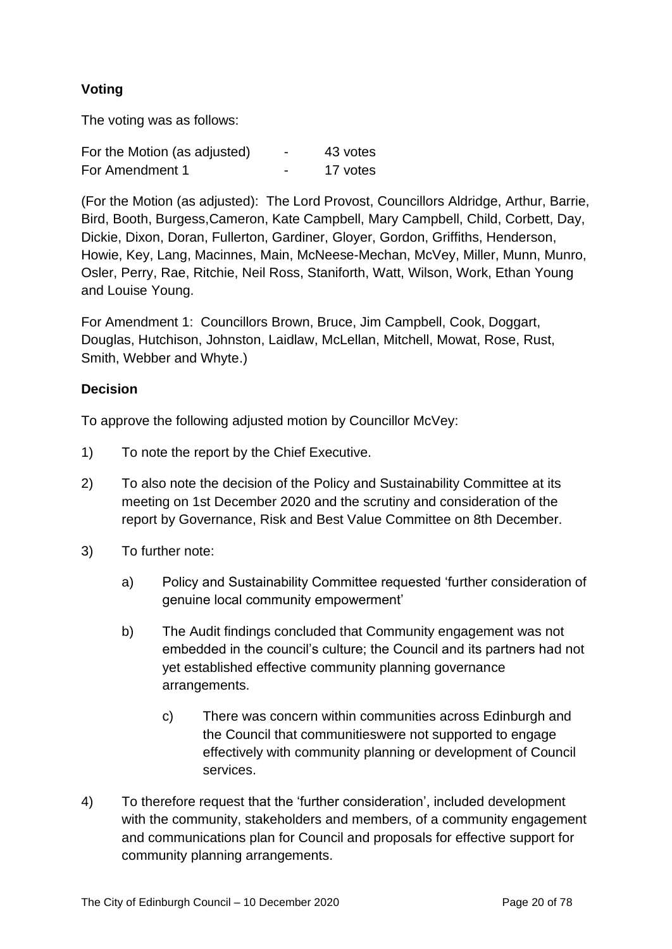## **Voting**

The voting was as follows:

| For the Motion (as adjusted) | $\blacksquare$           | 43 votes |
|------------------------------|--------------------------|----------|
| For Amendment 1              | $\overline{\phantom{0}}$ | 17 votes |

(For the Motion (as adjusted): The Lord Provost, Councillors Aldridge, Arthur, Barrie, Bird, Booth, Burgess,Cameron, Kate Campbell, Mary Campbell, Child, Corbett, Day, Dickie, Dixon, Doran, Fullerton, Gardiner, Gloyer, Gordon, Griffiths, Henderson, Howie, Key, Lang, Macinnes, Main, McNeese-Mechan, McVey, Miller, Munn, Munro, Osler, Perry, Rae, Ritchie, Neil Ross, Staniforth, Watt, Wilson, Work, Ethan Young and Louise Young.

For Amendment 1: Councillors Brown, Bruce, Jim Campbell, Cook, Doggart, Douglas, Hutchison, Johnston, Laidlaw, McLellan, Mitchell, Mowat, Rose, Rust, Smith, Webber and Whyte.)

#### **Decision**

To approve the following adjusted motion by Councillor McVey:

- 1) To note the report by the Chief Executive.
- 2) To also note the decision of the Policy and Sustainability Committee at its meeting on 1st December 2020 and the scrutiny and consideration of the report by Governance, Risk and Best Value Committee on 8th December.
- 3) To further note:
	- a) Policy and Sustainability Committee requested 'further consideration of genuine local community empowerment'
	- b) The Audit findings concluded that Community engagement was not embedded in the council's culture; the Council and its partners had not yet established effective community planning governance arrangements.
		- c) There was concern within communities across Edinburgh and the Council that communitieswere not supported to engage effectively with community planning or development of Council services.
- 4) To therefore request that the 'further consideration', included development with the community, stakeholders and members, of a community engagement and communications plan for Council and proposals for effective support for community planning arrangements.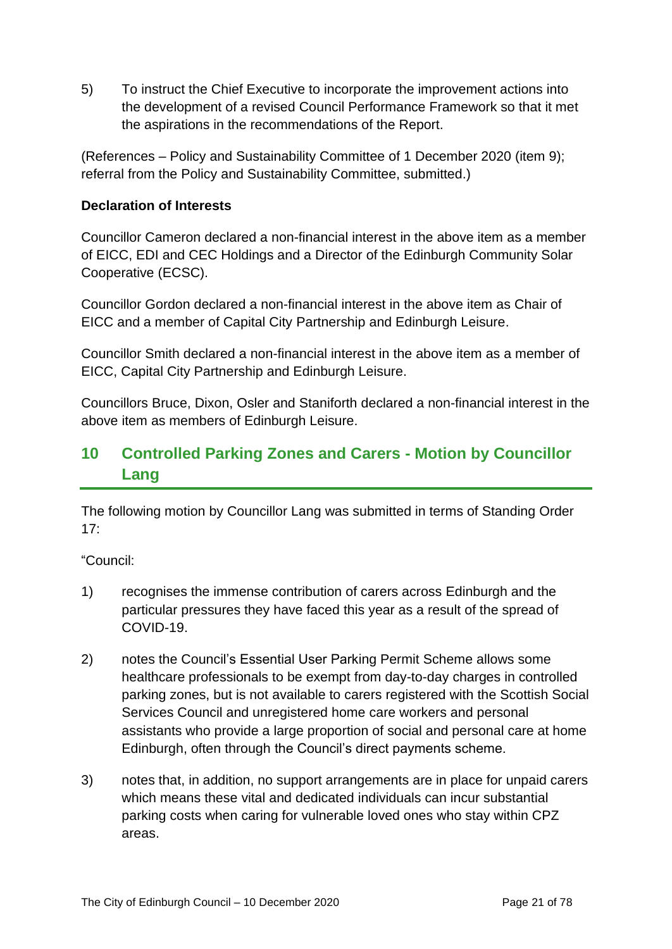5) To instruct the Chief Executive to incorporate the improvement actions into the development of a revised Council Performance Framework so that it met the aspirations in the recommendations of the Report.

(References – Policy and Sustainability Committee of 1 December 2020 (item 9); referral from the Policy and Sustainability Committee, submitted.)

#### **Declaration of Interests**

Councillor Cameron declared a non-financial interest in the above item as a member of EICC, EDI and CEC Holdings and a Director of the Edinburgh Community Solar Cooperative (ECSC).

Councillor Gordon declared a non-financial interest in the above item as Chair of EICC and a member of Capital City Partnership and Edinburgh Leisure.

Councillor Smith declared a non-financial interest in the above item as a member of EICC, Capital City Partnership and Edinburgh Leisure.

Councillors Bruce, Dixon, Osler and Staniforth declared a non-financial interest in the above item as members of Edinburgh Leisure.

# **10 Controlled Parking Zones and Carers - Motion by Councillor Lang**

The following motion by Councillor Lang was submitted in terms of Standing Order 17:

"Council:

- 1) recognises the immense contribution of carers across Edinburgh and the particular pressures they have faced this year as a result of the spread of COVID-19.
- 2) notes the Council's Essential User Parking Permit Scheme allows some healthcare professionals to be exempt from day-to-day charges in controlled parking zones, but is not available to carers registered with the Scottish Social Services Council and unregistered home care workers and personal assistants who provide a large proportion of social and personal care at home Edinburgh, often through the Council's direct payments scheme.
- 3) notes that, in addition, no support arrangements are in place for unpaid carers which means these vital and dedicated individuals can incur substantial parking costs when caring for vulnerable loved ones who stay within CPZ areas.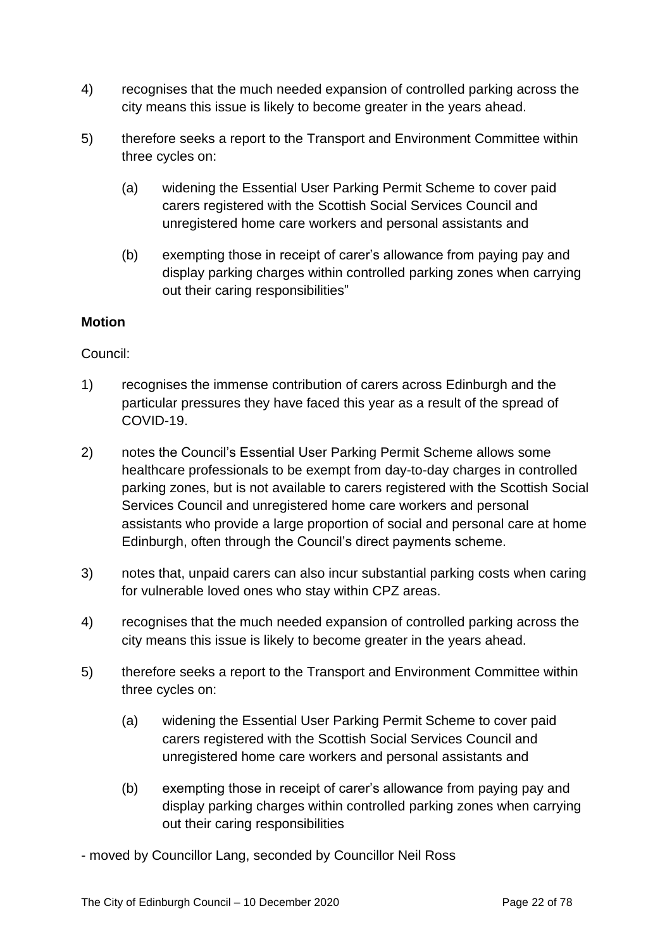- 4) recognises that the much needed expansion of controlled parking across the city means this issue is likely to become greater in the years ahead.
- 5) therefore seeks a report to the Transport and Environment Committee within three cycles on:
	- (a) widening the Essential User Parking Permit Scheme to cover paid carers registered with the Scottish Social Services Council and unregistered home care workers and personal assistants and
	- (b) exempting those in receipt of carer's allowance from paying pay and display parking charges within controlled parking zones when carrying out their caring responsibilities"

#### **Motion**

#### Council:

- 1) recognises the immense contribution of carers across Edinburgh and the particular pressures they have faced this year as a result of the spread of COVID-19.
- 2) notes the Council's Essential User Parking Permit Scheme allows some healthcare professionals to be exempt from day-to-day charges in controlled parking zones, but is not available to carers registered with the Scottish Social Services Council and unregistered home care workers and personal assistants who provide a large proportion of social and personal care at home Edinburgh, often through the Council's direct payments scheme.
- 3) notes that, unpaid carers can also incur substantial parking costs when caring for vulnerable loved ones who stay within CPZ areas.
- 4) recognises that the much needed expansion of controlled parking across the city means this issue is likely to become greater in the years ahead.
- 5) therefore seeks a report to the Transport and Environment Committee within three cycles on:
	- (a) widening the Essential User Parking Permit Scheme to cover paid carers registered with the Scottish Social Services Council and unregistered home care workers and personal assistants and
	- (b) exempting those in receipt of carer's allowance from paying pay and display parking charges within controlled parking zones when carrying out their caring responsibilities

- moved by Councillor Lang, seconded by Councillor Neil Ross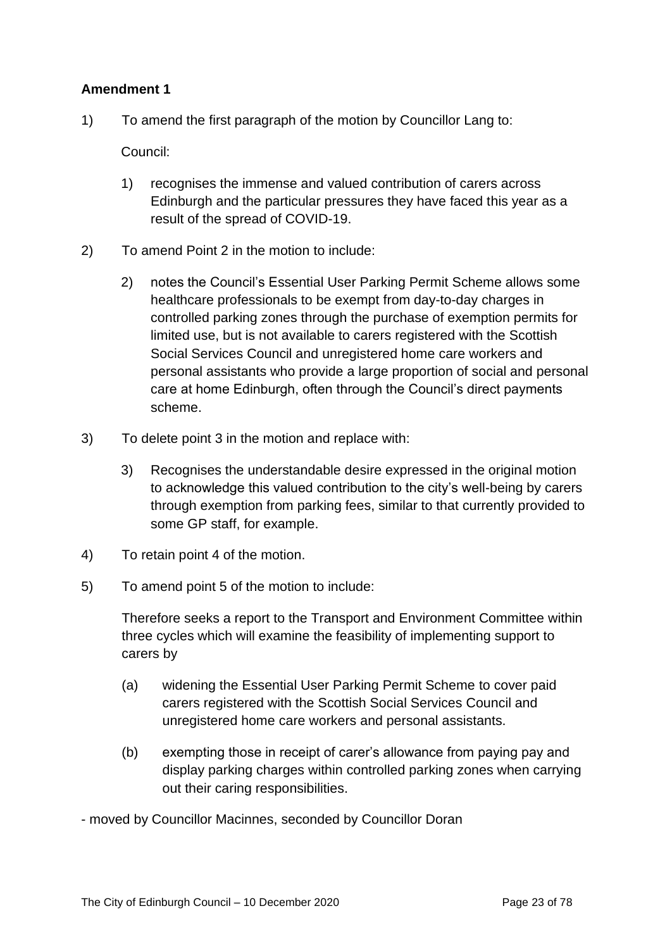#### **Amendment 1**

1) To amend the first paragraph of the motion by Councillor Lang to:

Council:

- 1) recognises the immense and valued contribution of carers across Edinburgh and the particular pressures they have faced this year as a result of the spread of COVID-19.
- 2) To amend Point 2 in the motion to include:
	- 2) notes the Council's Essential User Parking Permit Scheme allows some healthcare professionals to be exempt from day-to-day charges in controlled parking zones through the purchase of exemption permits for limited use, but is not available to carers registered with the Scottish Social Services Council and unregistered home care workers and personal assistants who provide a large proportion of social and personal care at home Edinburgh, often through the Council's direct payments scheme.
- 3) To delete point 3 in the motion and replace with:
	- 3) Recognises the understandable desire expressed in the original motion to acknowledge this valued contribution to the city's well-being by carers through exemption from parking fees, similar to that currently provided to some GP staff, for example.
- 4) To retain point 4 of the motion.
- 5) To amend point 5 of the motion to include:

Therefore seeks a report to the Transport and Environment Committee within three cycles which will examine the feasibility of implementing support to carers by

- (a) widening the Essential User Parking Permit Scheme to cover paid carers registered with the Scottish Social Services Council and unregistered home care workers and personal assistants.
- (b) exempting those in receipt of carer's allowance from paying pay and display parking charges within controlled parking zones when carrying out their caring responsibilities.

- moved by Councillor Macinnes, seconded by Councillor Doran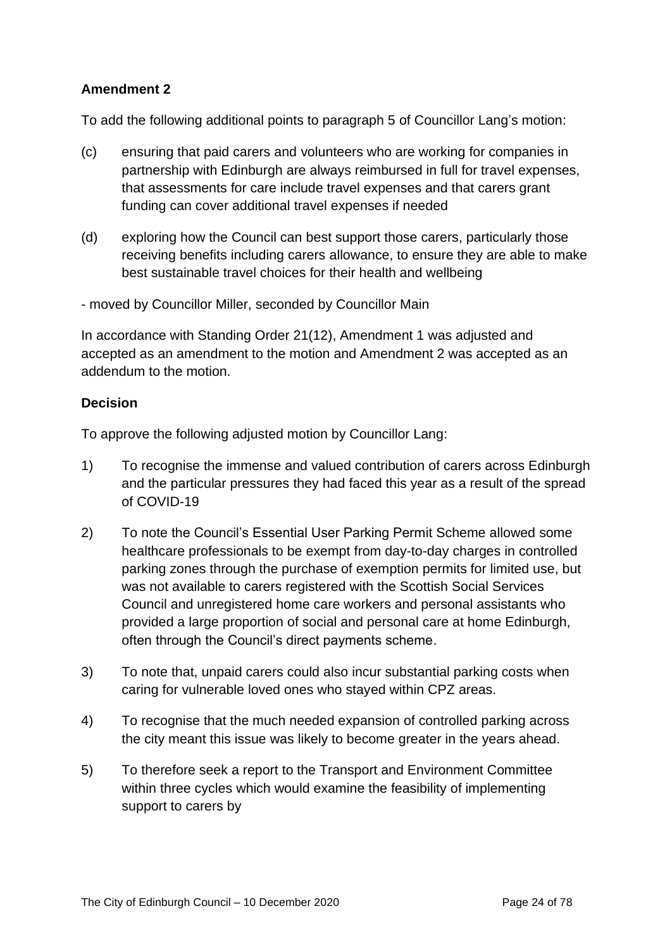#### **Amendment 2**

To add the following additional points to paragraph 5 of Councillor Lang's motion:

- (c) ensuring that paid carers and volunteers who are working for companies in partnership with Edinburgh are always reimbursed in full for travel expenses, that assessments for care include travel expenses and that carers grant funding can cover additional travel expenses if needed
- (d) exploring how the Council can best support those carers, particularly those receiving benefits including carers allowance, to ensure they are able to make best sustainable travel choices for their health and wellbeing
- moved by Councillor Miller, seconded by Councillor Main

In accordance with Standing Order 21(12), Amendment 1 was adjusted and accepted as an amendment to the motion and Amendment 2 was accepted as an addendum to the motion.

#### **Decision**

To approve the following adjusted motion by Councillor Lang:

- 1) To recognise the immense and valued contribution of carers across Edinburgh and the particular pressures they had faced this year as a result of the spread of COVID-19
- 2) To note the Council's Essential User Parking Permit Scheme allowed some healthcare professionals to be exempt from day-to-day charges in controlled parking zones through the purchase of exemption permits for limited use, but was not available to carers registered with the Scottish Social Services Council and unregistered home care workers and personal assistants who provided a large proportion of social and personal care at home Edinburgh, often through the Council's direct payments scheme.
- 3) To note that, unpaid carers could also incur substantial parking costs when caring for vulnerable loved ones who stayed within CPZ areas.
- 4) To recognise that the much needed expansion of controlled parking across the city meant this issue was likely to become greater in the years ahead.
- 5) To therefore seek a report to the Transport and Environment Committee within three cycles which would examine the feasibility of implementing support to carers by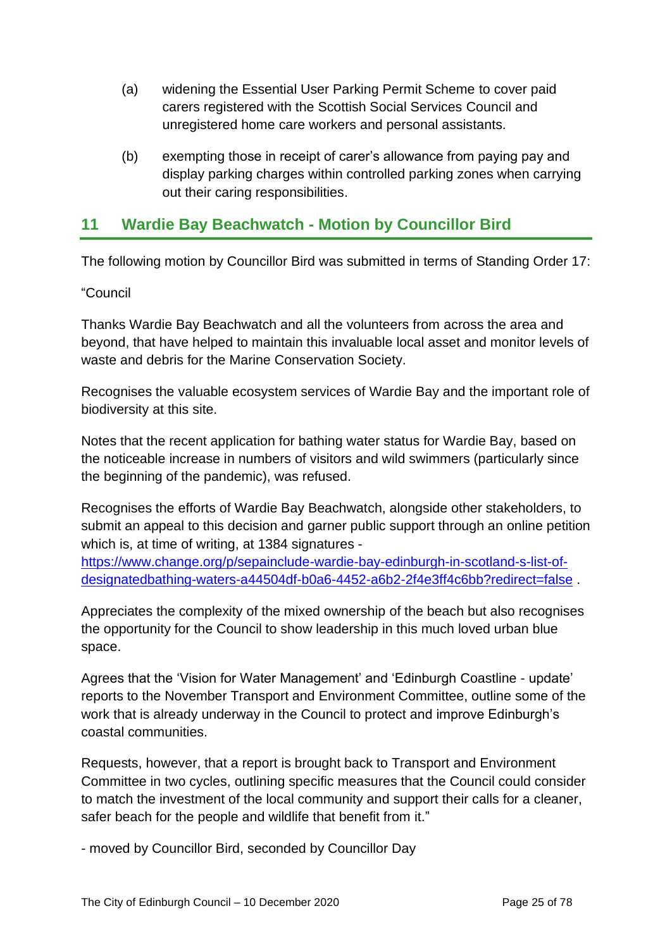- (a) widening the Essential User Parking Permit Scheme to cover paid carers registered with the Scottish Social Services Council and unregistered home care workers and personal assistants.
- (b) exempting those in receipt of carer's allowance from paying pay and display parking charges within controlled parking zones when carrying out their caring responsibilities.

## **11 Wardie Bay Beachwatch - Motion by Councillor Bird**

The following motion by Councillor Bird was submitted in terms of Standing Order 17:

#### "Council

Thanks Wardie Bay Beachwatch and all the volunteers from across the area and beyond, that have helped to maintain this invaluable local asset and monitor levels of waste and debris for the Marine Conservation Society.

Recognises the valuable ecosystem services of Wardie Bay and the important role of biodiversity at this site.

Notes that the recent application for bathing water status for Wardie Bay, based on the noticeable increase in numbers of visitors and wild swimmers (particularly since the beginning of the pandemic), was refused.

Recognises the efforts of Wardie Bay Beachwatch, alongside other stakeholders, to submit an appeal to this decision and garner public support through an online petition which is, at time of writing, at 1384 signatures -

[https://www.change.org/p/sepainclude-wardie-bay-edinburgh-in-scotland-s-list-of](https://www.change.org/p/sepainclude-wardie-bay-edinburgh-in-scotland-s-list-of-designatedbathing-waters-a44504df-b0a6-4452-a6b2-2f4e3ff4c6bb?redirect=false)[designatedbathing-waters-a44504df-b0a6-4452-a6b2-2f4e3ff4c6bb?redirect=false](https://www.change.org/p/sepainclude-wardie-bay-edinburgh-in-scotland-s-list-of-designatedbathing-waters-a44504df-b0a6-4452-a6b2-2f4e3ff4c6bb?redirect=false) .

Appreciates the complexity of the mixed ownership of the beach but also recognises the opportunity for the Council to show leadership in this much loved urban blue space.

Agrees that the 'Vision for Water Management' and 'Edinburgh Coastline - update' reports to the November Transport and Environment Committee, outline some of the work that is already underway in the Council to protect and improve Edinburgh's coastal communities.

Requests, however, that a report is brought back to Transport and Environment Committee in two cycles, outlining specific measures that the Council could consider to match the investment of the local community and support their calls for a cleaner, safer beach for the people and wildlife that benefit from it."

- moved by Councillor Bird, seconded by Councillor Day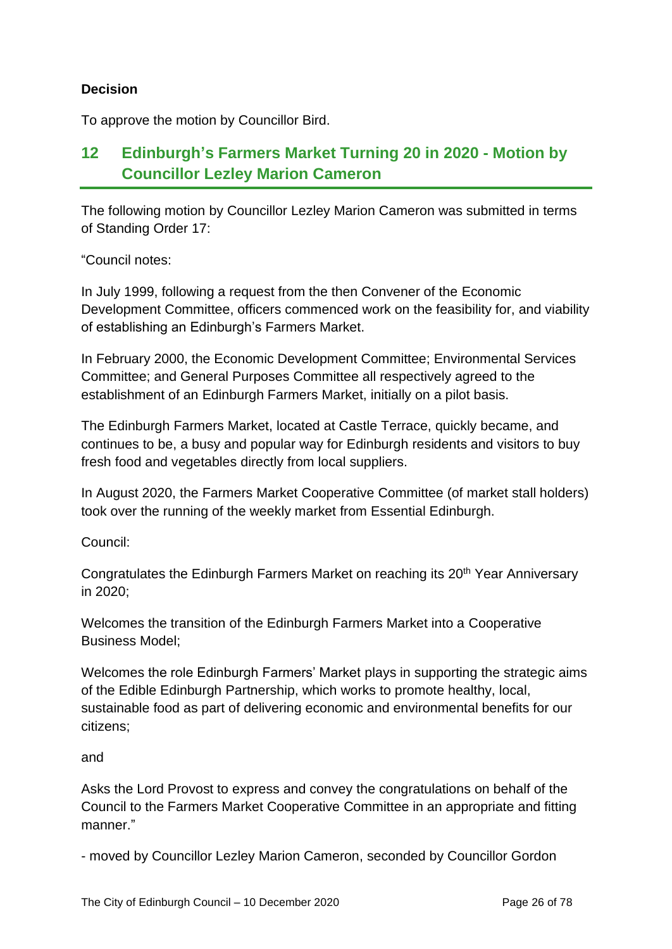#### **Decision**

To approve the motion by Councillor Bird.

# **12 Edinburgh's Farmers Market Turning 20 in 2020 - Motion by Councillor Lezley Marion Cameron**

The following motion by Councillor Lezley Marion Cameron was submitted in terms of Standing Order 17:

"Council notes:

In July 1999, following a request from the then Convener of the Economic Development Committee, officers commenced work on the feasibility for, and viability of establishing an Edinburgh's Farmers Market.

In February 2000, the Economic Development Committee; Environmental Services Committee; and General Purposes Committee all respectively agreed to the establishment of an Edinburgh Farmers Market, initially on a pilot basis.

The Edinburgh Farmers Market, located at Castle Terrace, quickly became, and continues to be, a busy and popular way for Edinburgh residents and visitors to buy fresh food and vegetables directly from local suppliers.

In August 2020, the Farmers Market Cooperative Committee (of market stall holders) took over the running of the weekly market from Essential Edinburgh.

Council:

Congratulates the Edinburgh Farmers Market on reaching its 20<sup>th</sup> Year Anniversary in 2020;

Welcomes the transition of the Edinburgh Farmers Market into a Cooperative Business Model;

Welcomes the role Edinburgh Farmers' Market plays in supporting the strategic aims of the Edible Edinburgh Partnership, which works to promote healthy, local, sustainable food as part of delivering economic and environmental benefits for our citizens;

and

Asks the Lord Provost to express and convey the congratulations on behalf of the Council to the Farmers Market Cooperative Committee in an appropriate and fitting manner."

- moved by Councillor Lezley Marion Cameron, seconded by Councillor Gordon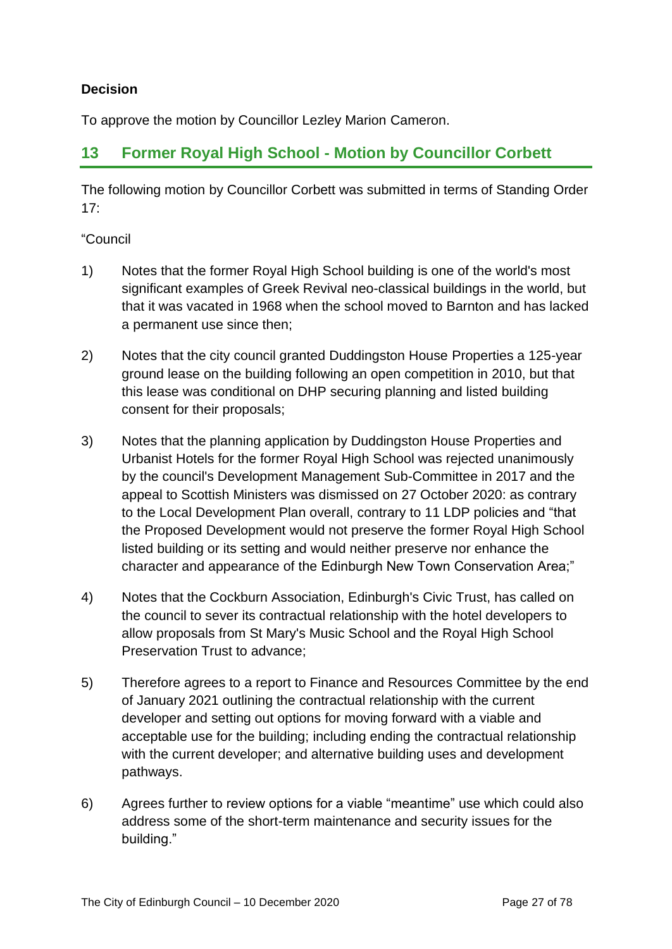#### **Decision**

To approve the motion by Councillor Lezley Marion Cameron.

## **13 Former Royal High School - Motion by Councillor Corbett**

The following motion by Councillor Corbett was submitted in terms of Standing Order 17:

#### "Council

- 1) Notes that the former Royal High School building is one of the world's most significant examples of Greek Revival neo-classical buildings in the world, but that it was vacated in 1968 when the school moved to Barnton and has lacked a permanent use since then;
- 2) Notes that the city council granted Duddingston House Properties a 125-year ground lease on the building following an open competition in 2010, but that this lease was conditional on DHP securing planning and listed building consent for their proposals;
- 3) Notes that the planning application by Duddingston House Properties and Urbanist Hotels for the former Royal High School was rejected unanimously by the council's Development Management Sub-Committee in 2017 and the appeal to Scottish Ministers was dismissed on 27 October 2020: as contrary to the Local Development Plan overall, contrary to 11 LDP policies and "that the Proposed Development would not preserve the former Royal High School listed building or its setting and would neither preserve nor enhance the character and appearance of the Edinburgh New Town Conservation Area;"
- 4) Notes that the Cockburn Association, Edinburgh's Civic Trust, has called on the council to sever its contractual relationship with the hotel developers to allow proposals from St Mary's Music School and the Royal High School Preservation Trust to advance;
- 5) Therefore agrees to a report to Finance and Resources Committee by the end of January 2021 outlining the contractual relationship with the current developer and setting out options for moving forward with a viable and acceptable use for the building; including ending the contractual relationship with the current developer; and alternative building uses and development pathways.
- 6) Agrees further to review options for a viable "meantime" use which could also address some of the short-term maintenance and security issues for the building."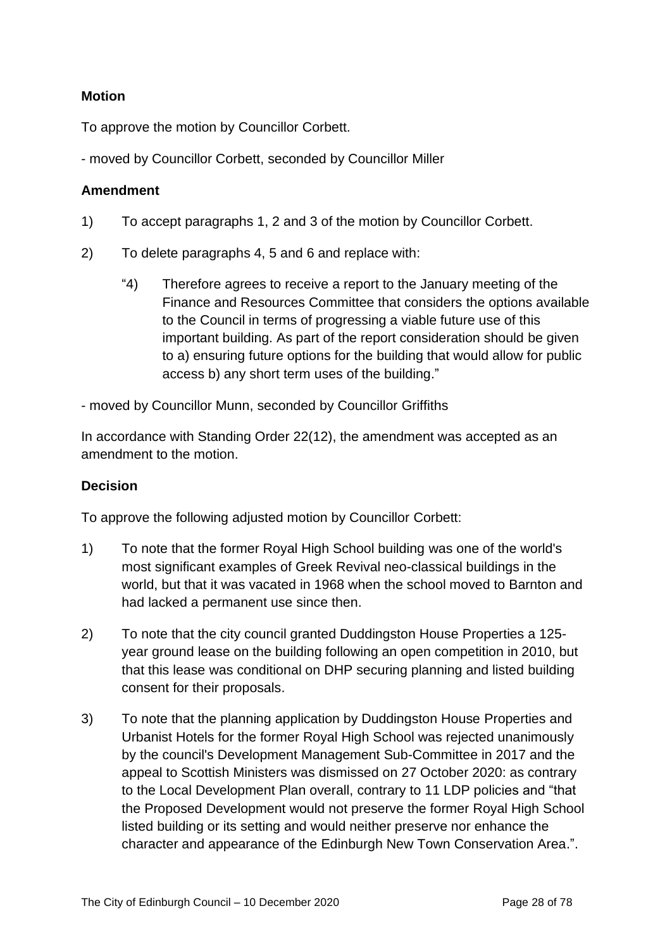#### **Motion**

To approve the motion by Councillor Corbett.

- moved by Councillor Corbett, seconded by Councillor Miller

#### **Amendment**

- 1) To accept paragraphs 1, 2 and 3 of the motion by Councillor Corbett.
- 2) To delete paragraphs 4, 5 and 6 and replace with:
	- "4) Therefore agrees to receive a report to the January meeting of the Finance and Resources Committee that considers the options available to the Council in terms of progressing a viable future use of this important building. As part of the report consideration should be given to a) ensuring future options for the building that would allow for public access b) any short term uses of the building."
- moved by Councillor Munn, seconded by Councillor Griffiths

In accordance with Standing Order 22(12), the amendment was accepted as an amendment to the motion.

#### **Decision**

To approve the following adjusted motion by Councillor Corbett:

- 1) To note that the former Royal High School building was one of the world's most significant examples of Greek Revival neo-classical buildings in the world, but that it was vacated in 1968 when the school moved to Barnton and had lacked a permanent use since then.
- 2) To note that the city council granted Duddingston House Properties a 125 year ground lease on the building following an open competition in 2010, but that this lease was conditional on DHP securing planning and listed building consent for their proposals.
- 3) To note that the planning application by Duddingston House Properties and Urbanist Hotels for the former Royal High School was rejected unanimously by the council's Development Management Sub-Committee in 2017 and the appeal to Scottish Ministers was dismissed on 27 October 2020: as contrary to the Local Development Plan overall, contrary to 11 LDP policies and "that the Proposed Development would not preserve the former Royal High School listed building or its setting and would neither preserve nor enhance the character and appearance of the Edinburgh New Town Conservation Area.".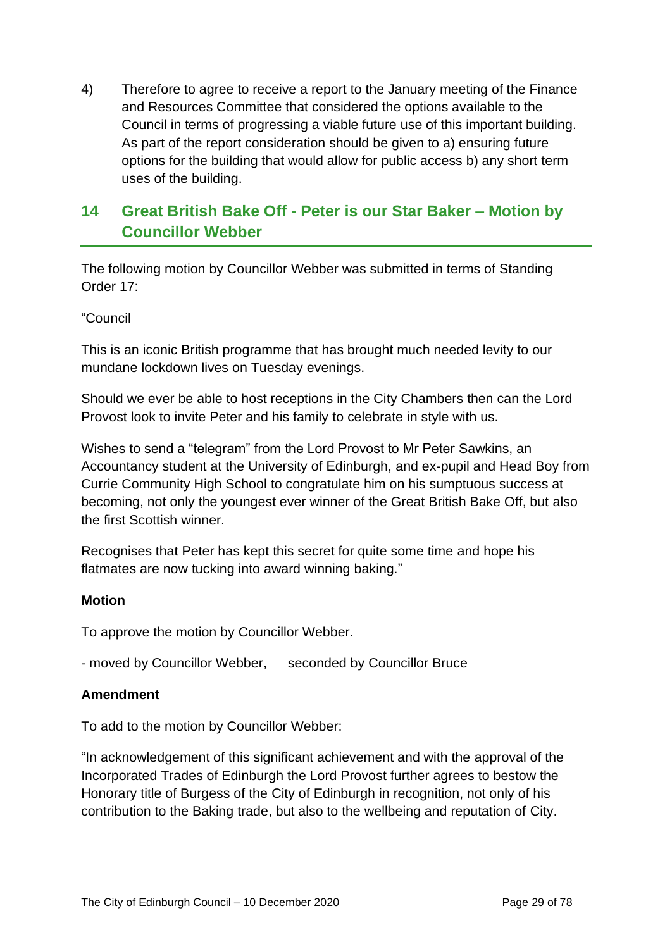4) Therefore to agree to receive a report to the January meeting of the Finance and Resources Committee that considered the options available to the Council in terms of progressing a viable future use of this important building. As part of the report consideration should be given to a) ensuring future options for the building that would allow for public access b) any short term uses of the building.

# **14 Great British Bake Off - Peter is our Star Baker – Motion by Councillor Webber**

The following motion by Councillor Webber was submitted in terms of Standing Order 17:

#### "Council

This is an iconic British programme that has brought much needed levity to our mundane lockdown lives on Tuesday evenings.

Should we ever be able to host receptions in the City Chambers then can the Lord Provost look to invite Peter and his family to celebrate in style with us.

Wishes to send a "telegram" from the Lord Provost to Mr Peter Sawkins, an Accountancy student at the University of Edinburgh, and ex-pupil and Head Boy from Currie Community High School to congratulate him on his sumptuous success at becoming, not only the youngest ever winner of the Great British Bake Off, but also the first Scottish winner.

Recognises that Peter has kept this secret for quite some time and hope his flatmates are now tucking into award winning baking."

#### **Motion**

To approve the motion by Councillor Webber.

- moved by Councillor Webber, seconded by Councillor Bruce

#### **Amendment**

To add to the motion by Councillor Webber:

"In acknowledgement of this significant achievement and with the approval of the Incorporated Trades of Edinburgh the Lord Provost further agrees to bestow the Honorary title of Burgess of the City of Edinburgh in recognition, not only of his contribution to the Baking trade, but also to the wellbeing and reputation of City.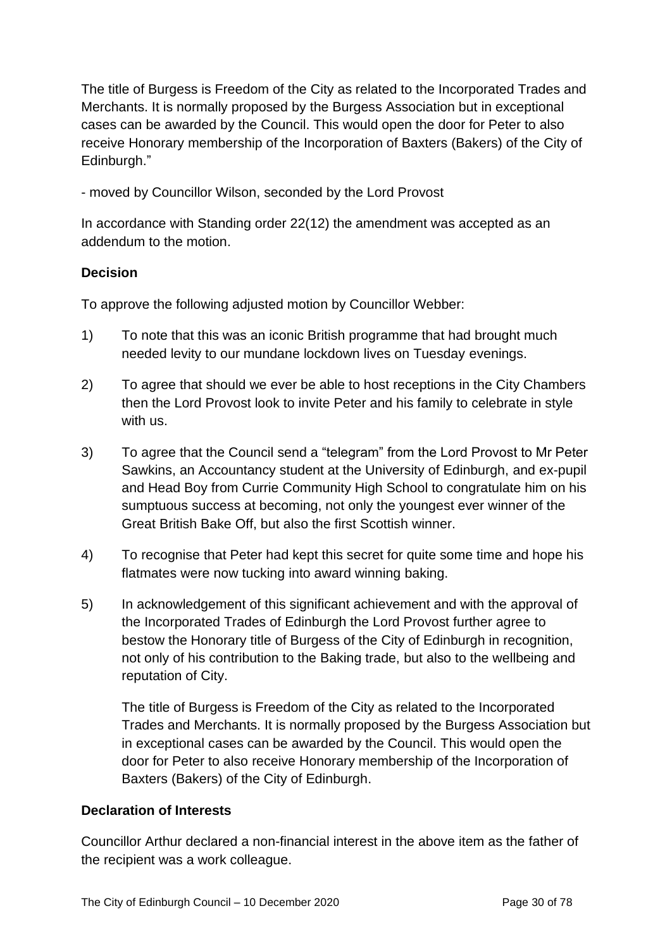The title of Burgess is Freedom of the City as related to the Incorporated Trades and Merchants. It is normally proposed by the Burgess Association but in exceptional cases can be awarded by the Council. This would open the door for Peter to also receive Honorary membership of the Incorporation of Baxters (Bakers) of the City of Edinburgh."

- moved by Councillor Wilson, seconded by the Lord Provost

In accordance with Standing order 22(12) the amendment was accepted as an addendum to the motion.

#### **Decision**

To approve the following adjusted motion by Councillor Webber:

- 1) To note that this was an iconic British programme that had brought much needed levity to our mundane lockdown lives on Tuesday evenings.
- 2) To agree that should we ever be able to host receptions in the City Chambers then the Lord Provost look to invite Peter and his family to celebrate in style with us.
- 3) To agree that the Council send a "telegram" from the Lord Provost to Mr Peter Sawkins, an Accountancy student at the University of Edinburgh, and ex-pupil and Head Boy from Currie Community High School to congratulate him on his sumptuous success at becoming, not only the youngest ever winner of the Great British Bake Off, but also the first Scottish winner.
- 4) To recognise that Peter had kept this secret for quite some time and hope his flatmates were now tucking into award winning baking.
- 5) In acknowledgement of this significant achievement and with the approval of the Incorporated Trades of Edinburgh the Lord Provost further agree to bestow the Honorary title of Burgess of the City of Edinburgh in recognition, not only of his contribution to the Baking trade, but also to the wellbeing and reputation of City.

The title of Burgess is Freedom of the City as related to the Incorporated Trades and Merchants. It is normally proposed by the Burgess Association but in exceptional cases can be awarded by the Council. This would open the door for Peter to also receive Honorary membership of the Incorporation of Baxters (Bakers) of the City of Edinburgh.

#### **Declaration of Interests**

Councillor Arthur declared a non-financial interest in the above item as the father of the recipient was a work colleague.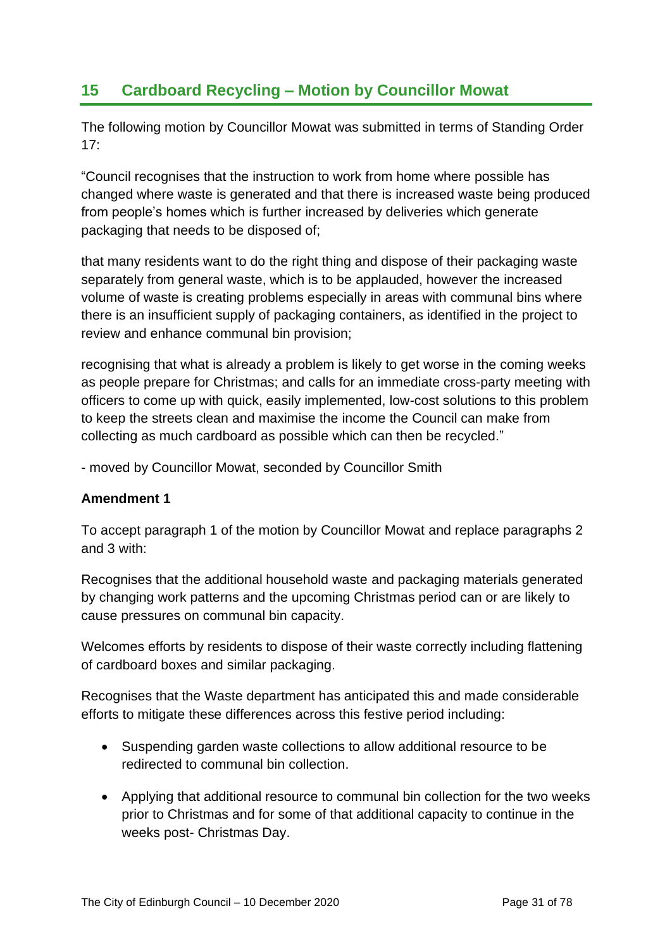## **15 Cardboard Recycling – Motion by Councillor Mowat**

The following motion by Councillor Mowat was submitted in terms of Standing Order 17:

"Council recognises that the instruction to work from home where possible has changed where waste is generated and that there is increased waste being produced from people's homes which is further increased by deliveries which generate packaging that needs to be disposed of;

that many residents want to do the right thing and dispose of their packaging waste separately from general waste, which is to be applauded, however the increased volume of waste is creating problems especially in areas with communal bins where there is an insufficient supply of packaging containers, as identified in the project to review and enhance communal bin provision;

recognising that what is already a problem is likely to get worse in the coming weeks as people prepare for Christmas; and calls for an immediate cross-party meeting with officers to come up with quick, easily implemented, low-cost solutions to this problem to keep the streets clean and maximise the income the Council can make from collecting as much cardboard as possible which can then be recycled."

- moved by Councillor Mowat, seconded by Councillor Smith

#### **Amendment 1**

To accept paragraph 1 of the motion by Councillor Mowat and replace paragraphs 2 and 3 with:

Recognises that the additional household waste and packaging materials generated by changing work patterns and the upcoming Christmas period can or are likely to cause pressures on communal bin capacity.

Welcomes efforts by residents to dispose of their waste correctly including flattening of cardboard boxes and similar packaging.

Recognises that the Waste department has anticipated this and made considerable efforts to mitigate these differences across this festive period including:

- Suspending garden waste collections to allow additional resource to be redirected to communal bin collection.
- Applying that additional resource to communal bin collection for the two weeks prior to Christmas and for some of that additional capacity to continue in the weeks post- Christmas Day.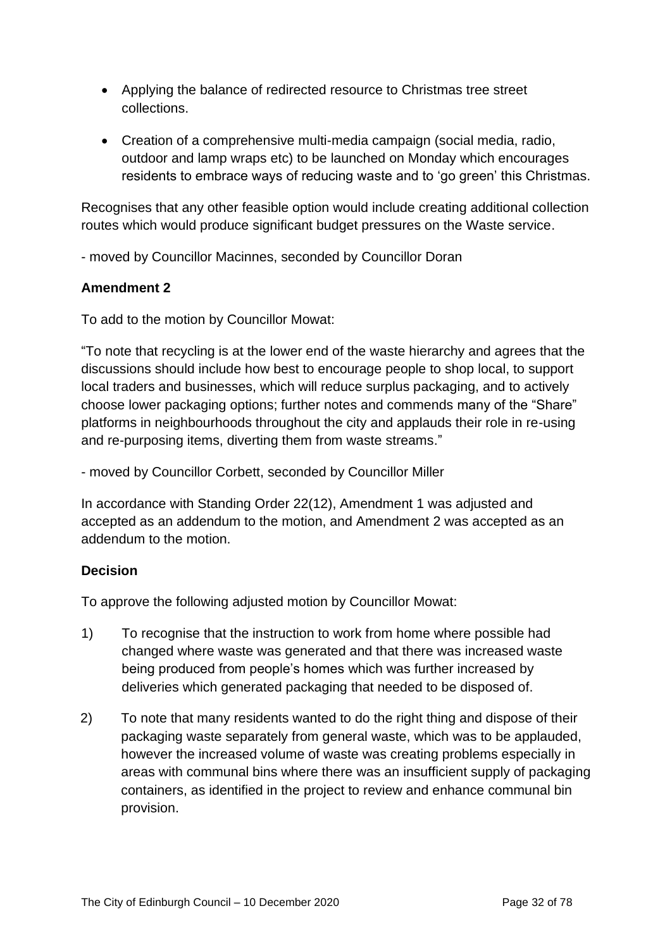- Applying the balance of redirected resource to Christmas tree street collections.
- Creation of a comprehensive multi-media campaign (social media, radio, outdoor and lamp wraps etc) to be launched on Monday which encourages residents to embrace ways of reducing waste and to 'go green' this Christmas.

Recognises that any other feasible option would include creating additional collection routes which would produce significant budget pressures on the Waste service.

- moved by Councillor Macinnes, seconded by Councillor Doran

#### **Amendment 2**

To add to the motion by Councillor Mowat:

"To note that recycling is at the lower end of the waste hierarchy and agrees that the discussions should include how best to encourage people to shop local, to support local traders and businesses, which will reduce surplus packaging, and to actively choose lower packaging options; further notes and commends many of the "Share" platforms in neighbourhoods throughout the city and applauds their role in re-using and re-purposing items, diverting them from waste streams."

- moved by Councillor Corbett, seconded by Councillor Miller

In accordance with Standing Order 22(12), Amendment 1 was adjusted and accepted as an addendum to the motion, and Amendment 2 was accepted as an addendum to the motion.

#### **Decision**

To approve the following adjusted motion by Councillor Mowat:

- 1) To recognise that the instruction to work from home where possible had changed where waste was generated and that there was increased waste being produced from people's homes which was further increased by deliveries which generated packaging that needed to be disposed of.
- 2) To note that many residents wanted to do the right thing and dispose of their packaging waste separately from general waste, which was to be applauded, however the increased volume of waste was creating problems especially in areas with communal bins where there was an insufficient supply of packaging containers, as identified in the project to review and enhance communal bin provision.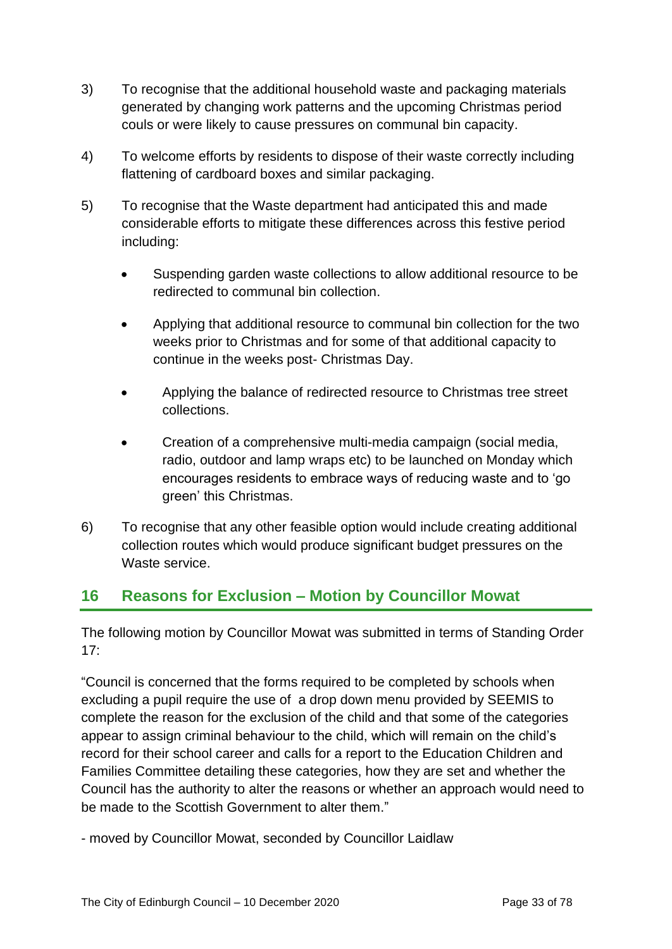- 3) To recognise that the additional household waste and packaging materials generated by changing work patterns and the upcoming Christmas period couls or were likely to cause pressures on communal bin capacity.
- 4) To welcome efforts by residents to dispose of their waste correctly including flattening of cardboard boxes and similar packaging.
- 5) To recognise that the Waste department had anticipated this and made considerable efforts to mitigate these differences across this festive period including:
	- Suspending garden waste collections to allow additional resource to be redirected to communal bin collection.
	- Applying that additional resource to communal bin collection for the two weeks prior to Christmas and for some of that additional capacity to continue in the weeks post- Christmas Day.
	- Applying the balance of redirected resource to Christmas tree street collections.
	- Creation of a comprehensive multi-media campaign (social media, radio, outdoor and lamp wraps etc) to be launched on Monday which encourages residents to embrace ways of reducing waste and to 'go green' this Christmas.
- 6) To recognise that any other feasible option would include creating additional collection routes which would produce significant budget pressures on the Waste service.

# **16 Reasons for Exclusion – Motion by Councillor Mowat**

The following motion by Councillor Mowat was submitted in terms of Standing Order 17:

"Council is concerned that the forms required to be completed by schools when excluding a pupil require the use of a drop down menu provided by SEEMIS to complete the reason for the exclusion of the child and that some of the categories appear to assign criminal behaviour to the child, which will remain on the child's record for their school career and calls for a report to the Education Children and Families Committee detailing these categories, how they are set and whether the Council has the authority to alter the reasons or whether an approach would need to be made to the Scottish Government to alter them."

- moved by Councillor Mowat, seconded by Councillor Laidlaw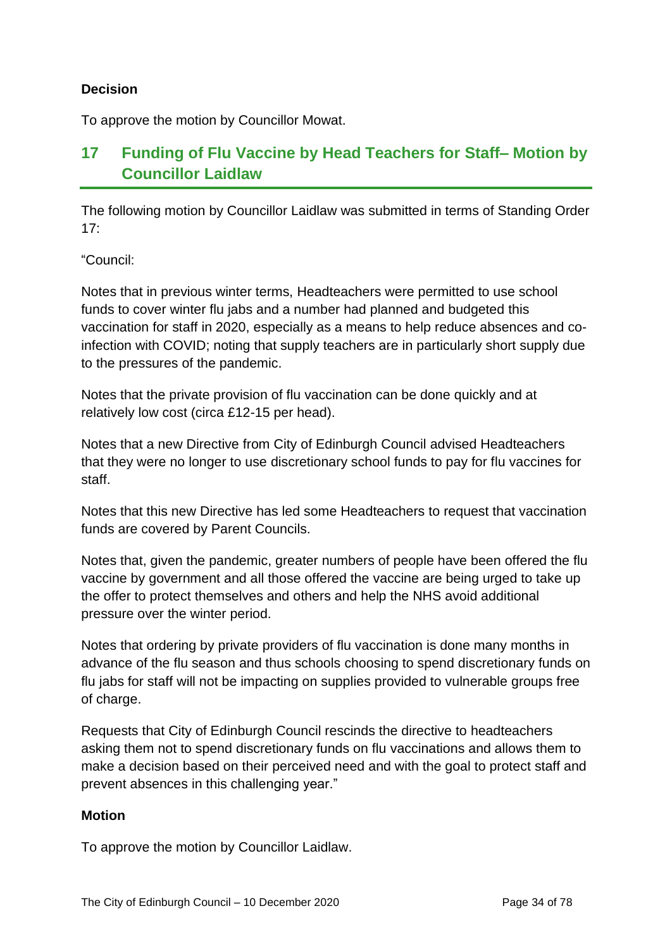#### **Decision**

To approve the motion by Councillor Mowat.

# **17 Funding of Flu Vaccine by Head Teachers for Staff– Motion by Councillor Laidlaw**

The following motion by Councillor Laidlaw was submitted in terms of Standing Order  $17<sup>·</sup>$ 

"Council:

Notes that in previous winter terms, Headteachers were permitted to use school funds to cover winter flu jabs and a number had planned and budgeted this vaccination for staff in 2020, especially as a means to help reduce absences and coinfection with COVID; noting that supply teachers are in particularly short supply due to the pressures of the pandemic.

Notes that the private provision of flu vaccination can be done quickly and at relatively low cost (circa £12-15 per head).

Notes that a new Directive from City of Edinburgh Council advised Headteachers that they were no longer to use discretionary school funds to pay for flu vaccines for staff.

Notes that this new Directive has led some Headteachers to request that vaccination funds are covered by Parent Councils.

Notes that, given the pandemic, greater numbers of people have been offered the flu vaccine by government and all those offered the vaccine are being urged to take up the offer to protect themselves and others and help the NHS avoid additional pressure over the winter period.

Notes that ordering by private providers of flu vaccination is done many months in advance of the flu season and thus schools choosing to spend discretionary funds on flu jabs for staff will not be impacting on supplies provided to vulnerable groups free of charge.

Requests that City of Edinburgh Council rescinds the directive to headteachers asking them not to spend discretionary funds on flu vaccinations and allows them to make a decision based on their perceived need and with the goal to protect staff and prevent absences in this challenging year."

#### **Motion**

To approve the motion by Councillor Laidlaw.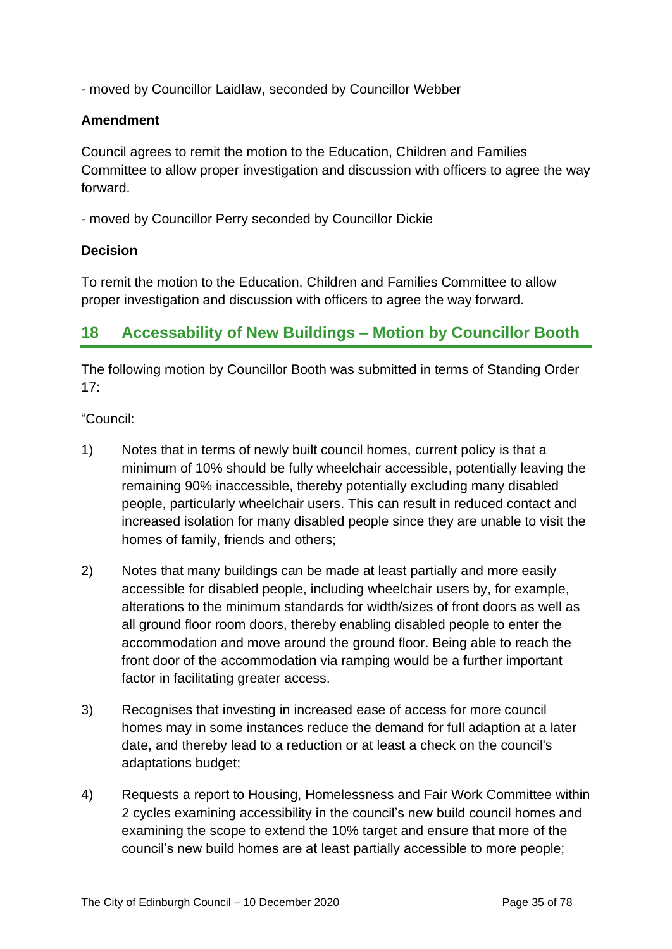- moved by Councillor Laidlaw, seconded by Councillor Webber

#### **Amendment**

Council agrees to remit the motion to the Education, Children and Families Committee to allow proper investigation and discussion with officers to agree the way forward.

- moved by Councillor Perry seconded by Councillor Dickie

#### **Decision**

To remit the motion to the Education, Children and Families Committee to allow proper investigation and discussion with officers to agree the way forward.

## **18 Accessability of New Buildings – Motion by Councillor Booth**

The following motion by Councillor Booth was submitted in terms of Standing Order 17:

"Council:

- 1) Notes that in terms of newly built council homes, current policy is that a minimum of 10% should be fully wheelchair accessible, potentially leaving the remaining 90% inaccessible, thereby potentially excluding many disabled people, particularly wheelchair users. This can result in reduced contact and increased isolation for many disabled people since they are unable to visit the homes of family, friends and others;
- 2) Notes that many buildings can be made at least partially and more easily accessible for disabled people, including wheelchair users by, for example, alterations to the minimum standards for width/sizes of front doors as well as all ground floor room doors, thereby enabling disabled people to enter the accommodation and move around the ground floor. Being able to reach the front door of the accommodation via ramping would be a further important factor in facilitating greater access.
- 3) Recognises that investing in increased ease of access for more council homes may in some instances reduce the demand for full adaption at a later date, and thereby lead to a reduction or at least a check on the council's adaptations budget;
- 4) Requests a report to Housing, Homelessness and Fair Work Committee within 2 cycles examining accessibility in the council's new build council homes and examining the scope to extend the 10% target and ensure that more of the council's new build homes are at least partially accessible to more people;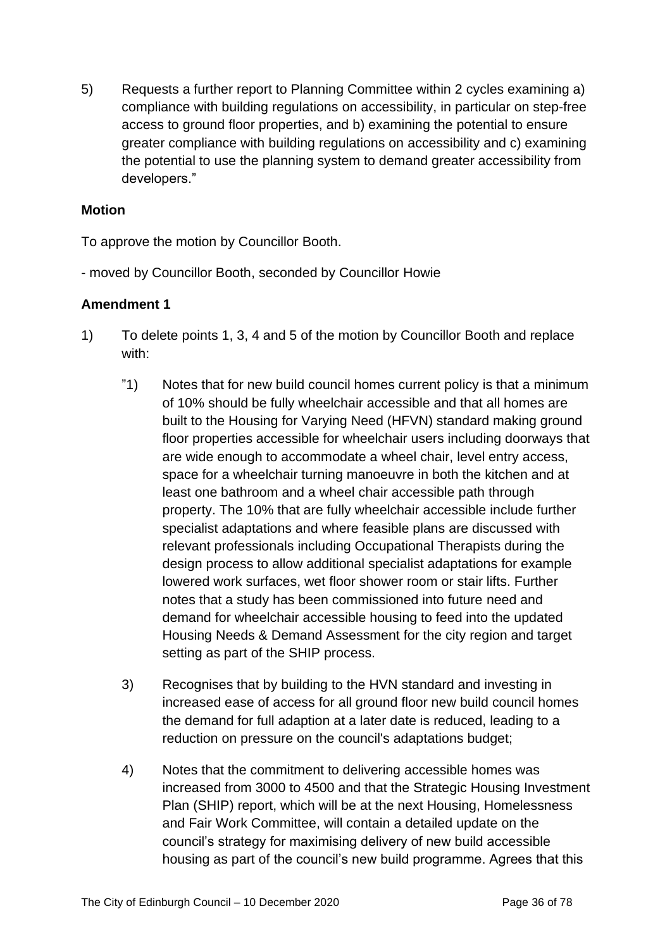5) Requests a further report to Planning Committee within 2 cycles examining a) compliance with building regulations on accessibility, in particular on step-free access to ground floor properties, and b) examining the potential to ensure greater compliance with building regulations on accessibility and c) examining the potential to use the planning system to demand greater accessibility from developers."

#### **Motion**

To approve the motion by Councillor Booth.

- moved by Councillor Booth, seconded by Councillor Howie

#### **Amendment 1**

- 1) To delete points 1, 3, 4 and 5 of the motion by Councillor Booth and replace with:
	- "1) Notes that for new build council homes current policy is that a minimum of 10% should be fully wheelchair accessible and that all homes are built to the Housing for Varying Need (HFVN) standard making ground floor properties accessible for wheelchair users including doorways that are wide enough to accommodate a wheel chair, level entry access, space for a wheelchair turning manoeuvre in both the kitchen and at least one bathroom and a wheel chair accessible path through property. The 10% that are fully wheelchair accessible include further specialist adaptations and where feasible plans are discussed with relevant professionals including Occupational Therapists during the design process to allow additional specialist adaptations for example lowered work surfaces, wet floor shower room or stair lifts. Further notes that a study has been commissioned into future need and demand for wheelchair accessible housing to feed into the updated Housing Needs & Demand Assessment for the city region and target setting as part of the SHIP process.
	- 3) Recognises that by building to the HVN standard and investing in increased ease of access for all ground floor new build council homes the demand for full adaption at a later date is reduced, leading to a reduction on pressure on the council's adaptations budget;
	- 4) Notes that the commitment to delivering accessible homes was increased from 3000 to 4500 and that the Strategic Housing Investment Plan (SHIP) report, which will be at the next Housing, Homelessness and Fair Work Committee, will contain a detailed update on the council's strategy for maximising delivery of new build accessible housing as part of the council's new build programme. Agrees that this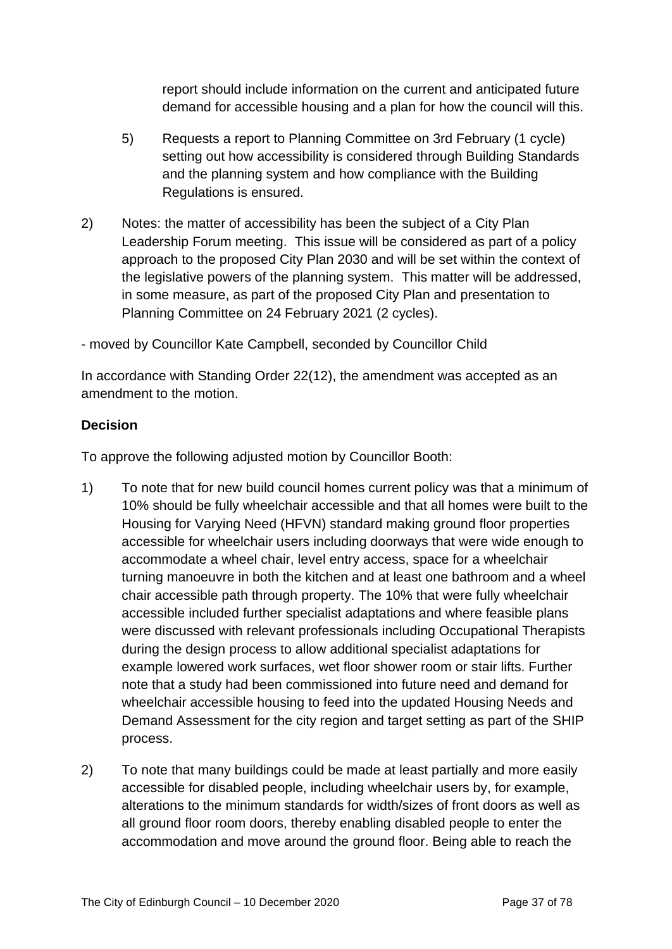report should include information on the current and anticipated future demand for accessible housing and a plan for how the council will this.

- 5) Requests a report to Planning Committee on 3rd February (1 cycle) setting out how accessibility is considered through Building Standards and the planning system and how compliance with the Building Regulations is ensured.
- 2) Notes: the matter of accessibility has been the subject of a City Plan Leadership Forum meeting. This issue will be considered as part of a policy approach to the proposed City Plan 2030 and will be set within the context of the legislative powers of the planning system. This matter will be addressed, in some measure, as part of the proposed City Plan and presentation to Planning Committee on 24 February 2021 (2 cycles).

- moved by Councillor Kate Campbell, seconded by Councillor Child

In accordance with Standing Order 22(12), the amendment was accepted as an amendment to the motion.

### **Decision**

To approve the following adjusted motion by Councillor Booth:

- 1) To note that for new build council homes current policy was that a minimum of 10% should be fully wheelchair accessible and that all homes were built to the Housing for Varying Need (HFVN) standard making ground floor properties accessible for wheelchair users including doorways that were wide enough to accommodate a wheel chair, level entry access, space for a wheelchair turning manoeuvre in both the kitchen and at least one bathroom and a wheel chair accessible path through property. The 10% that were fully wheelchair accessible included further specialist adaptations and where feasible plans were discussed with relevant professionals including Occupational Therapists during the design process to allow additional specialist adaptations for example lowered work surfaces, wet floor shower room or stair lifts. Further note that a study had been commissioned into future need and demand for wheelchair accessible housing to feed into the updated Housing Needs and Demand Assessment for the city region and target setting as part of the SHIP process.
- 2) To note that many buildings could be made at least partially and more easily accessible for disabled people, including wheelchair users by, for example, alterations to the minimum standards for width/sizes of front doors as well as all ground floor room doors, thereby enabling disabled people to enter the accommodation and move around the ground floor. Being able to reach the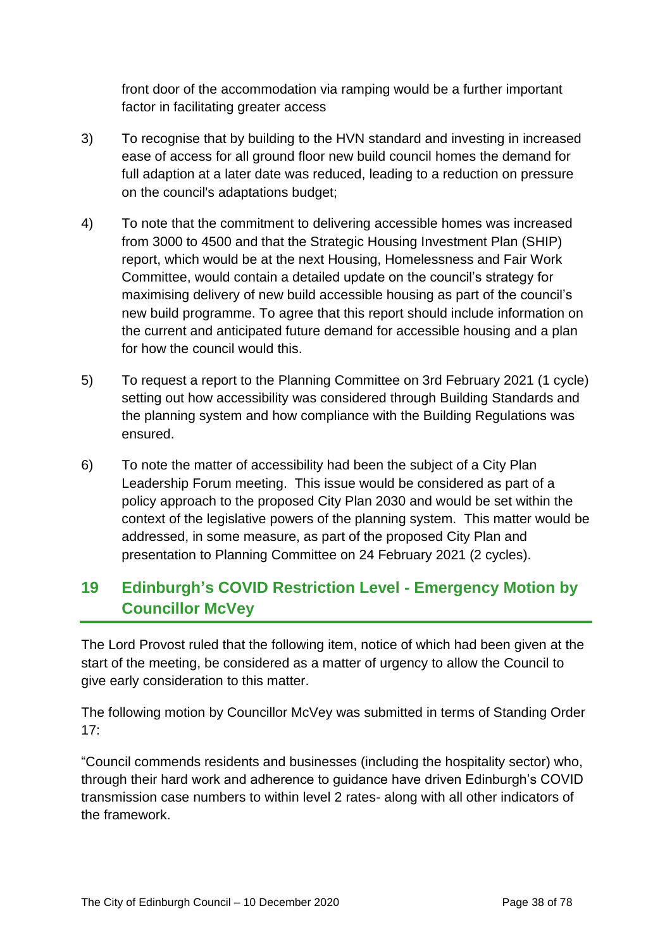front door of the accommodation via ramping would be a further important factor in facilitating greater access

- 3) To recognise that by building to the HVN standard and investing in increased ease of access for all ground floor new build council homes the demand for full adaption at a later date was reduced, leading to a reduction on pressure on the council's adaptations budget;
- 4) To note that the commitment to delivering accessible homes was increased from 3000 to 4500 and that the Strategic Housing Investment Plan (SHIP) report, which would be at the next Housing, Homelessness and Fair Work Committee, would contain a detailed update on the council's strategy for maximising delivery of new build accessible housing as part of the council's new build programme. To agree that this report should include information on the current and anticipated future demand for accessible housing and a plan for how the council would this.
- 5) To request a report to the Planning Committee on 3rd February 2021 (1 cycle) setting out how accessibility was considered through Building Standards and the planning system and how compliance with the Building Regulations was ensured.
- 6) To note the matter of accessibility had been the subject of a City Plan Leadership Forum meeting. This issue would be considered as part of a policy approach to the proposed City Plan 2030 and would be set within the context of the legislative powers of the planning system. This matter would be addressed, in some measure, as part of the proposed City Plan and presentation to Planning Committee on 24 February 2021 (2 cycles).

# **19 Edinburgh's COVID Restriction Level - Emergency Motion by Councillor McVey**

The Lord Provost ruled that the following item, notice of which had been given at the start of the meeting, be considered as a matter of urgency to allow the Council to give early consideration to this matter.

The following motion by Councillor McVey was submitted in terms of Standing Order 17:

"Council commends residents and businesses (including the hospitality sector) who, through their hard work and adherence to guidance have driven Edinburgh's COVID transmission case numbers to within level 2 rates- along with all other indicators of the framework.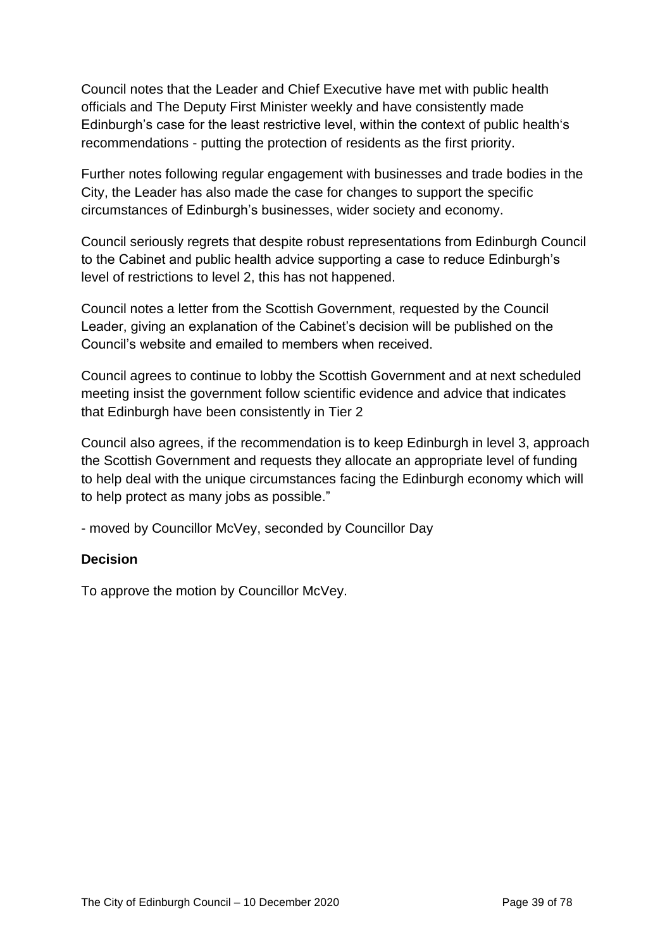Council notes that the Leader and Chief Executive have met with public health officials and The Deputy First Minister weekly and have consistently made Edinburgh's case for the least restrictive level, within the context of public health's recommendations - putting the protection of residents as the first priority.

Further notes following regular engagement with businesses and trade bodies in the City, the Leader has also made the case for changes to support the specific circumstances of Edinburgh's businesses, wider society and economy.

Council seriously regrets that despite robust representations from Edinburgh Council to the Cabinet and public health advice supporting a case to reduce Edinburgh's level of restrictions to level 2, this has not happened.

Council notes a letter from the Scottish Government, requested by the Council Leader, giving an explanation of the Cabinet's decision will be published on the Council's website and emailed to members when received.

Council agrees to continue to lobby the Scottish Government and at next scheduled meeting insist the government follow scientific evidence and advice that indicates that Edinburgh have been consistently in Tier 2

Council also agrees, if the recommendation is to keep Edinburgh in level 3, approach the Scottish Government and requests they allocate an appropriate level of funding to help deal with the unique circumstances facing the Edinburgh economy which will to help protect as many jobs as possible."

- moved by Councillor McVey, seconded by Councillor Day

### **Decision**

To approve the motion by Councillor McVey.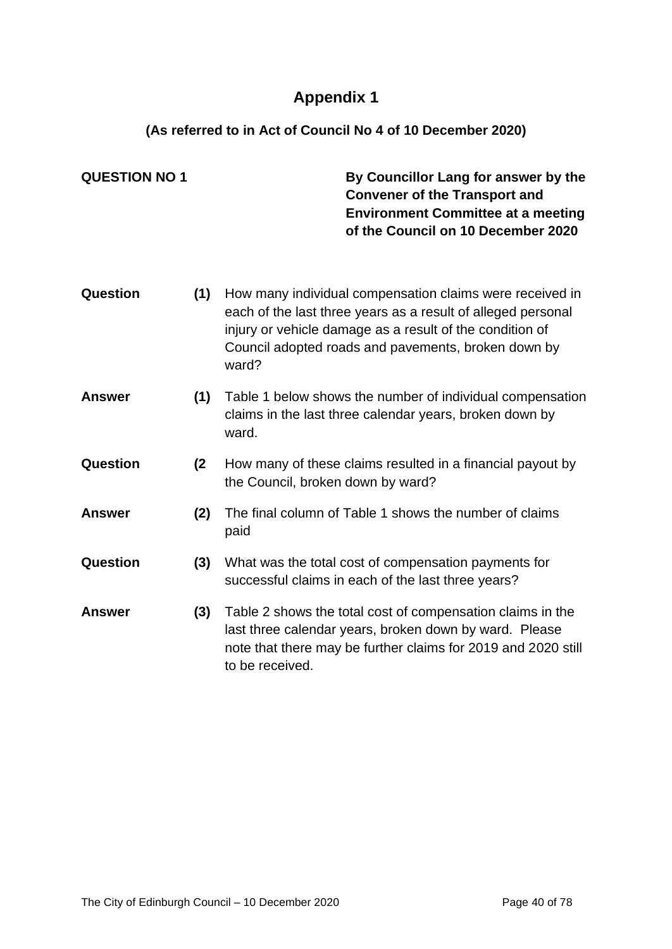# **Appendix 1**

## **(As referred to in Act of Council No 4 of 10 December 2020)**

| <b>QUESTION NO 1</b> |     | By Councillor Lang for answer by the<br><b>Convener of the Transport and</b><br><b>Environment Committee at a meeting</b><br>of the Council on 10 December 2020                                                                                      |
|----------------------|-----|------------------------------------------------------------------------------------------------------------------------------------------------------------------------------------------------------------------------------------------------------|
| Question             | (1) | How many individual compensation claims were received in<br>each of the last three years as a result of alleged personal<br>injury or vehicle damage as a result of the condition of<br>Council adopted roads and pavements, broken down by<br>ward? |
| <b>Answer</b>        | (1) | Table 1 below shows the number of individual compensation<br>claims in the last three calendar years, broken down by<br>ward.                                                                                                                        |
| Question             | (2) | How many of these claims resulted in a financial payout by<br>the Council, broken down by ward?                                                                                                                                                      |
| <b>Answer</b>        | (2) | The final column of Table 1 shows the number of claims<br>paid                                                                                                                                                                                       |
| Question             | (3) | What was the total cost of compensation payments for<br>successful claims in each of the last three years?                                                                                                                                           |
| <b>Answer</b>        | (3) | Table 2 shows the total cost of compensation claims in the<br>last three calendar years, broken down by ward. Please<br>note that there may be further claims for 2019 and 2020 still<br>to be received.                                             |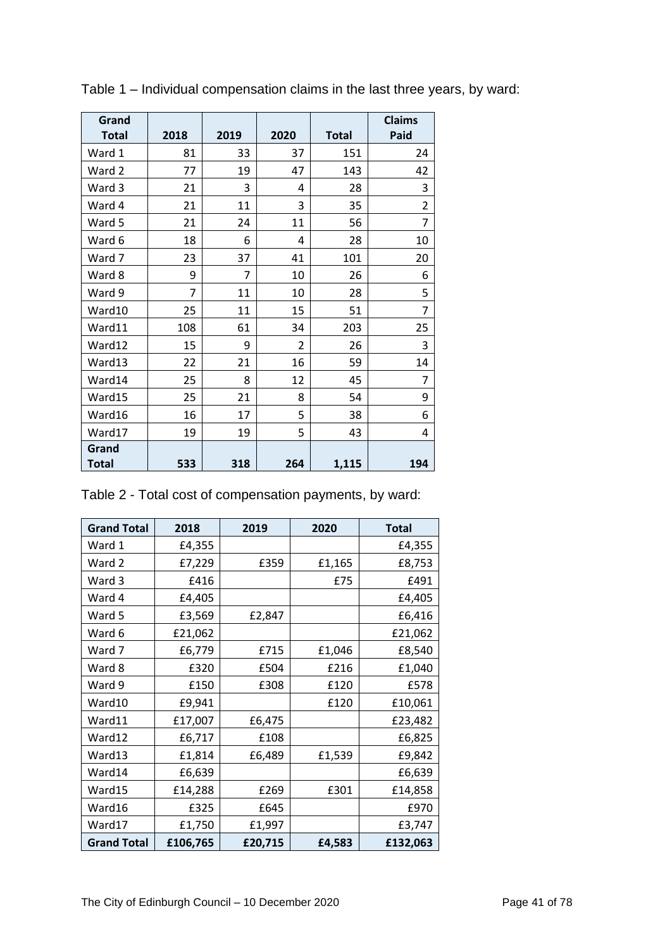| Grand<br><b>Total</b> | 2018 | 2019 | 2020           | <b>Total</b> | <b>Claims</b><br>Paid |
|-----------------------|------|------|----------------|--------------|-----------------------|
| Ward 1                | 81   | 33   | 37             | 151          | 24                    |
| Ward 2                | 77   | 19   | 47             | 143          | 42                    |
| Ward 3                | 21   | 3    | 4              | 28           | 3                     |
| Ward 4                | 21   | 11   | 3              | 35           | $\overline{2}$        |
| Ward 5                | 21   | 24   | 11             | 56           | 7                     |
| Ward 6                | 18   | 6    | 4              | 28           | 10                    |
| Ward 7                | 23   | 37   | 41             | 101          | 20                    |
| Ward 8                | 9    | 7    | 10             | 26           | 6                     |
| Ward 9                | 7    | 11   | 10             | 28           | 5                     |
| Ward10                | 25   | 11   | 15             | 51           | 7                     |
| Ward11                | 108  | 61   | 34             | 203          | 25                    |
| Ward12                | 15   | 9    | $\overline{2}$ | 26           | 3                     |
| Ward13                | 22   | 21   | 16             | 59           | 14                    |
| Ward14                | 25   | 8    | 12             | 45           | 7                     |
| Ward15                | 25   | 21   | 8              | 54           | 9                     |
| Ward16                | 16   | 17   | 5              | 38           | 6                     |
| Ward17                | 19   | 19   | 5              | 43           | 4                     |
| Grand<br><b>Total</b> | 533  | 318  | 264            | 1,115        | 194                   |

Table 1 – Individual compensation claims in the last three years, by ward:

Table 2 - Total cost of compensation payments, by ward:

| <b>Grand Total</b> | 2018     | 2019    | 2020   | <b>Total</b> |
|--------------------|----------|---------|--------|--------------|
| Ward 1             | £4,355   |         |        | £4,355       |
| Ward 2             | £7,229   | £359    | £1,165 | £8,753       |
| Ward 3             | £416     |         | £75    | £491         |
| Ward 4             | £4,405   |         |        | £4,405       |
| Ward 5             | £3,569   | £2,847  |        | £6,416       |
| Ward 6             | £21,062  |         |        | £21,062      |
| Ward 7             | £6,779   | £715    | £1,046 | £8,540       |
| Ward 8             | £320     | £504    | £216   | £1,040       |
| Ward 9             | £150     | £308    | £120   | £578         |
| Ward10             | £9,941   |         | £120   | £10,061      |
| Ward11             | £17,007  | £6,475  |        | £23,482      |
| Ward12             | £6,717   | £108    |        | £6,825       |
| Ward13             | £1,814   | £6,489  | £1,539 | £9,842       |
| Ward14             | £6,639   |         |        | £6,639       |
| Ward15             | £14,288  | £269    | £301   | £14,858      |
| Ward16             | £325     | £645    |        | £970         |
| Ward17             | £1,750   | £1,997  |        | £3,747       |
| <b>Grand Total</b> | £106,765 | £20,715 | £4,583 | £132,063     |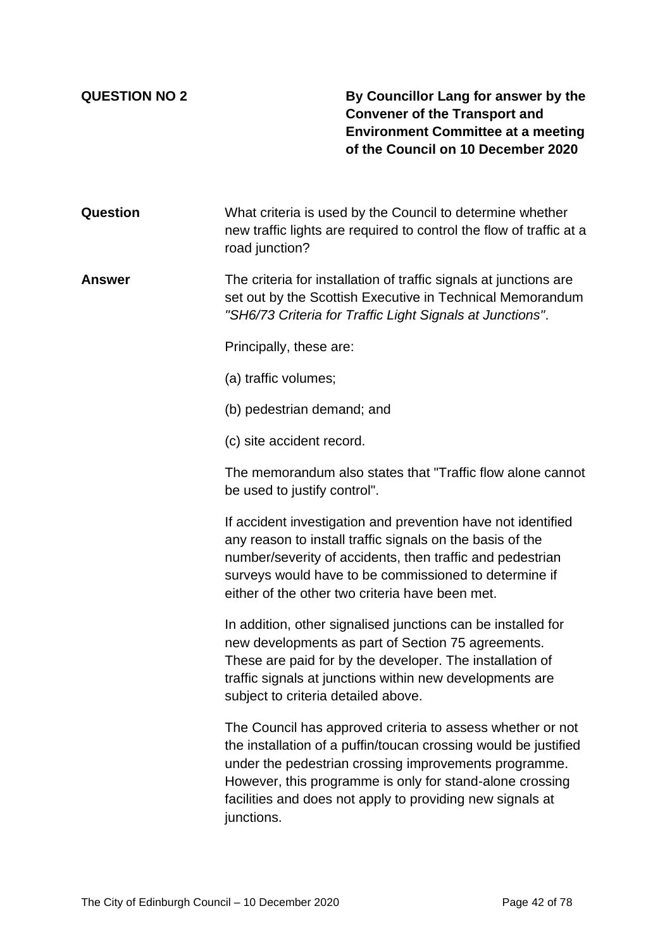**QUESTION NO 2 By Councillor Lang for answer by the Convener of the Transport and Environment Committee at a meeting of the Council on 10 December 2020**

**Question** What criteria is used by the Council to determine whether new traffic lights are required to control the flow of traffic at a road junction?

**Answer** The criteria for installation of traffic signals at junctions are set out by the Scottish Executive in Technical Memorandum *"SH6/73 Criteria for Traffic Light Signals at Junctions"*.

Principally, these are:

(a) traffic volumes;

(b) pedestrian demand; and

(c) site accident record.

The memorandum also states that "Traffic flow alone cannot be used to justify control".

If accident investigation and prevention have not identified any reason to install traffic signals on the basis of the number/severity of accidents, then traffic and pedestrian surveys would have to be commissioned to determine if either of the other two criteria have been met.

In addition, other signalised junctions can be installed for new developments as part of Section 75 agreements. These are paid for by the developer. The installation of traffic signals at junctions within new developments are subject to criteria detailed above.

The Council has approved criteria to assess whether or not the installation of a puffin/toucan crossing would be justified under the pedestrian crossing improvements programme. However, this programme is only for stand-alone crossing facilities and does not apply to providing new signals at junctions.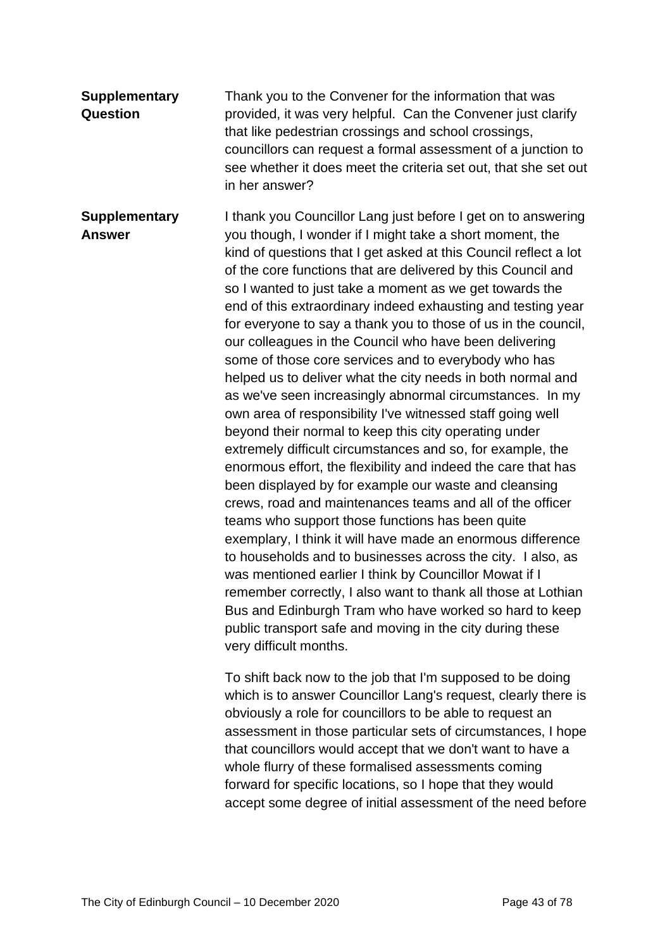**Supplementary Question** Thank you to the Convener for the information that was provided, it was very helpful. Can the Convener just clarify that like pedestrian crossings and school crossings, councillors can request a formal assessment of a junction to see whether it does meet the criteria set out, that she set out in her answer?

**Supplementary Answer** I thank you Councillor Lang just before I get on to answering you though, I wonder if I might take a short moment, the kind of questions that I get asked at this Council reflect a lot of the core functions that are delivered by this Council and so I wanted to just take a moment as we get towards the end of this extraordinary indeed exhausting and testing year for everyone to say a thank you to those of us in the council, our colleagues in the Council who have been delivering some of those core services and to everybody who has helped us to deliver what the city needs in both normal and as we've seen increasingly abnormal circumstances. In my own area of responsibility I've witnessed staff going well beyond their normal to keep this city operating under extremely difficult circumstances and so, for example, the enormous effort, the flexibility and indeed the care that has been displayed by for example our waste and cleansing crews, road and maintenances teams and all of the officer teams who support those functions has been quite exemplary, I think it will have made an enormous difference to households and to businesses across the city. I also, as was mentioned earlier I think by Councillor Mowat if I remember correctly, I also want to thank all those at Lothian Bus and Edinburgh Tram who have worked so hard to keep public transport safe and moving in the city during these very difficult months.

> To shift back now to the job that I'm supposed to be doing which is to answer Councillor Lang's request, clearly there is obviously a role for councillors to be able to request an assessment in those particular sets of circumstances, I hope that councillors would accept that we don't want to have a whole flurry of these formalised assessments coming forward for specific locations, so I hope that they would accept some degree of initial assessment of the need before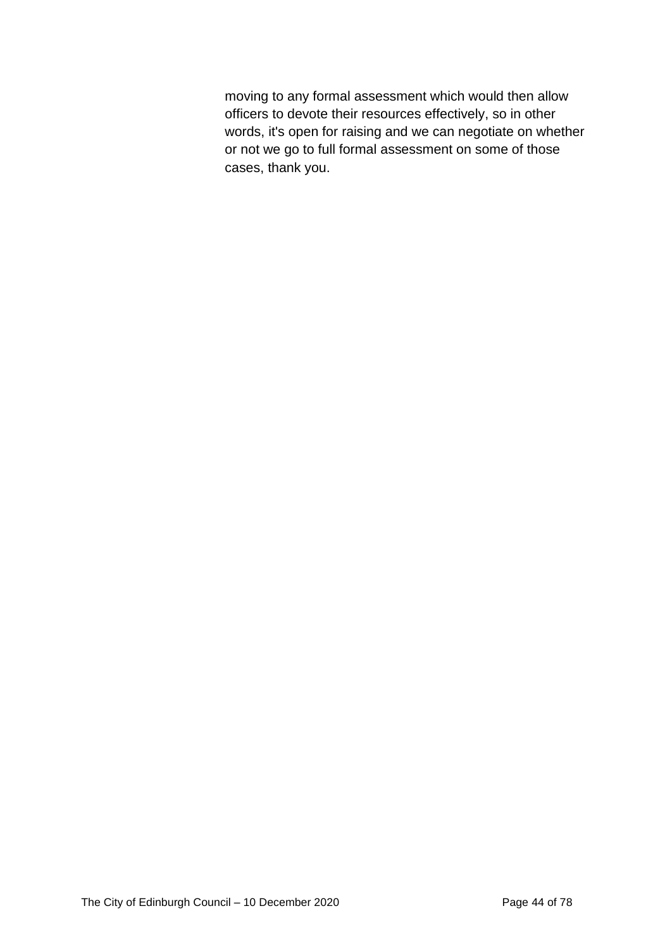moving to any formal assessment which would then allow officers to devote their resources effectively, so in other words, it's open for raising and we can negotiate on whether or not we go to full formal assessment on some of those cases, thank you.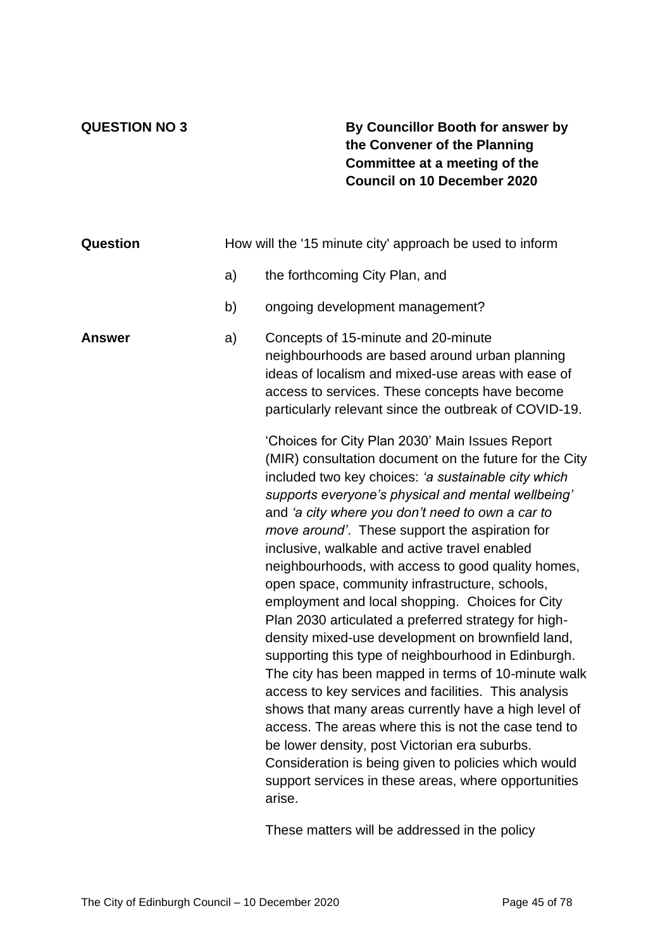### **QUESTION NO 3 By Councillor Booth for answer by the Convener of the Planning Committee at a meeting of the Council on 10 December 2020**

| Question | How will the '15 minute city' approach be used to inform |                                                                                                                                                                                                                                                                                                                                                                                                                                                                                                                                                                                                                                                                                                                                                                                                                                                                                                                                                                                                                                                                                                                        |  |  |  |
|----------|----------------------------------------------------------|------------------------------------------------------------------------------------------------------------------------------------------------------------------------------------------------------------------------------------------------------------------------------------------------------------------------------------------------------------------------------------------------------------------------------------------------------------------------------------------------------------------------------------------------------------------------------------------------------------------------------------------------------------------------------------------------------------------------------------------------------------------------------------------------------------------------------------------------------------------------------------------------------------------------------------------------------------------------------------------------------------------------------------------------------------------------------------------------------------------------|--|--|--|
|          | a)                                                       | the forthcoming City Plan, and                                                                                                                                                                                                                                                                                                                                                                                                                                                                                                                                                                                                                                                                                                                                                                                                                                                                                                                                                                                                                                                                                         |  |  |  |
|          | b)                                                       | ongoing development management?                                                                                                                                                                                                                                                                                                                                                                                                                                                                                                                                                                                                                                                                                                                                                                                                                                                                                                                                                                                                                                                                                        |  |  |  |
| Answer   | a)                                                       | Concepts of 15-minute and 20-minute<br>neighbourhoods are based around urban planning<br>ideas of localism and mixed-use areas with ease of<br>access to services. These concepts have become<br>particularly relevant since the outbreak of COVID-19.                                                                                                                                                                                                                                                                                                                                                                                                                                                                                                                                                                                                                                                                                                                                                                                                                                                                 |  |  |  |
|          |                                                          | 'Choices for City Plan 2030' Main Issues Report<br>(MIR) consultation document on the future for the City<br>included two key choices: 'a sustainable city which<br>supports everyone's physical and mental wellbeing'<br>and 'a city where you don't need to own a car to<br>move around'. These support the aspiration for<br>inclusive, walkable and active travel enabled<br>neighbourhoods, with access to good quality homes,<br>open space, community infrastructure, schools,<br>employment and local shopping. Choices for City<br>Plan 2030 articulated a preferred strategy for high-<br>density mixed-use development on brownfield land,<br>supporting this type of neighbourhood in Edinburgh.<br>The city has been mapped in terms of 10-minute walk<br>access to key services and facilities. This analysis<br>shows that many areas currently have a high level of<br>access. The areas where this is not the case tend to<br>be lower density, post Victorian era suburbs.<br>Consideration is being given to policies which would<br>support services in these areas, where opportunities<br>arise. |  |  |  |

These matters will be addressed in the policy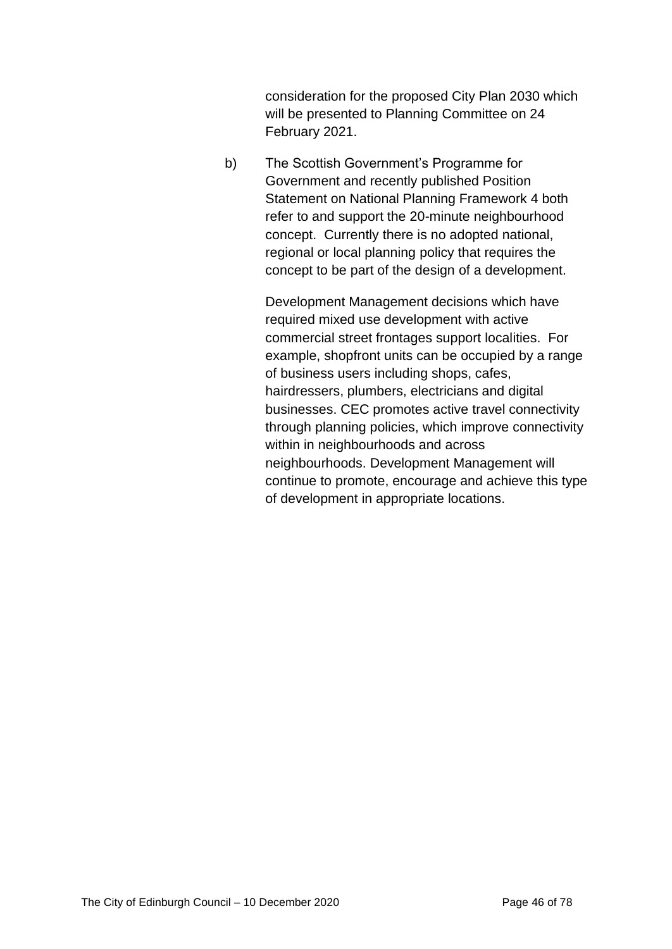consideration for the proposed City Plan 2030 which will be presented to Planning Committee on 24 February 2021.

b) The Scottish Government's Programme for Government and recently published Position Statement on National Planning Framework 4 both refer to and support the 20-minute neighbourhood concept. Currently there is no adopted national, regional or local planning policy that requires the concept to be part of the design of a development.

> Development Management decisions which have required mixed use development with active commercial street frontages support localities. For example, shopfront units can be occupied by a range of business users including shops, cafes, hairdressers, plumbers, electricians and digital businesses. CEC promotes active travel connectivity through planning policies, which improve connectivity within in neighbourhoods and across neighbourhoods. Development Management will continue to promote, encourage and achieve this type of development in appropriate locations.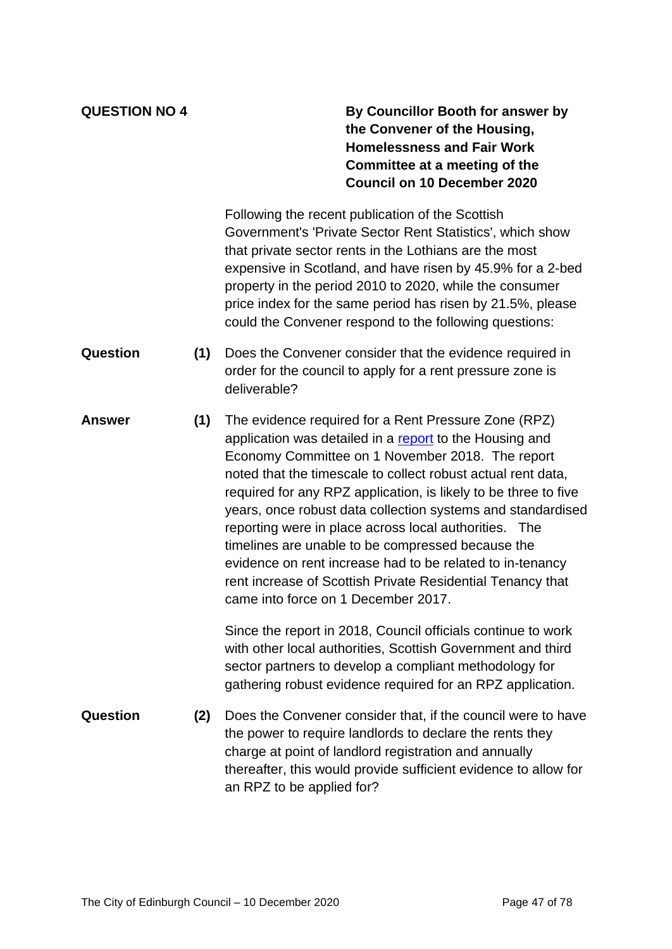**QUESTION NO 4 By Councillor Booth for answer by the Convener of the Housing, Homelessness and Fair Work Committee at a meeting of the Council on 10 December 2020**

> Following the recent publication of the Scottish Government's 'Private Sector Rent Statistics', which show that private sector rents in the Lothians are the most expensive in Scotland, and have risen by 45.9% for a 2-bed property in the period 2010 to 2020, while the consumer price index for the same period has risen by 21.5%, please could the Convener respond to the following questions:

- **Question (1)** Does the Convener consider that the evidence required in order for the council to apply for a rent pressure zone is deliverable?
- **Answer (1)** The evidence required for a Rent Pressure Zone (RPZ) application was detailed in a [report](https://democracy.edinburgh.gov.uk/Data/Housing%20and%20Economy%20Committee/20181101/Agenda/item_71_-_rent_pressure_zone_update.pdf) to the Housing and Economy Committee on 1 November 2018. The report noted that the timescale to collect robust actual rent data, required for any RPZ application, is likely to be three to five years, once robust data collection systems and standardised reporting were in place across local authorities. The timelines are unable to be compressed because the evidence on rent increase had to be related to in-tenancy rent increase of Scottish Private Residential Tenancy that came into force on 1 December 2017.

Since the report in 2018, Council officials continue to work with other local authorities, Scottish Government and third sector partners to develop a compliant methodology for gathering robust evidence required for an RPZ application.

**Question (2)** Does the Convener consider that, if the council were to have the power to require landlords to declare the rents they charge at point of landlord registration and annually thereafter, this would provide sufficient evidence to allow for an RPZ to be applied for?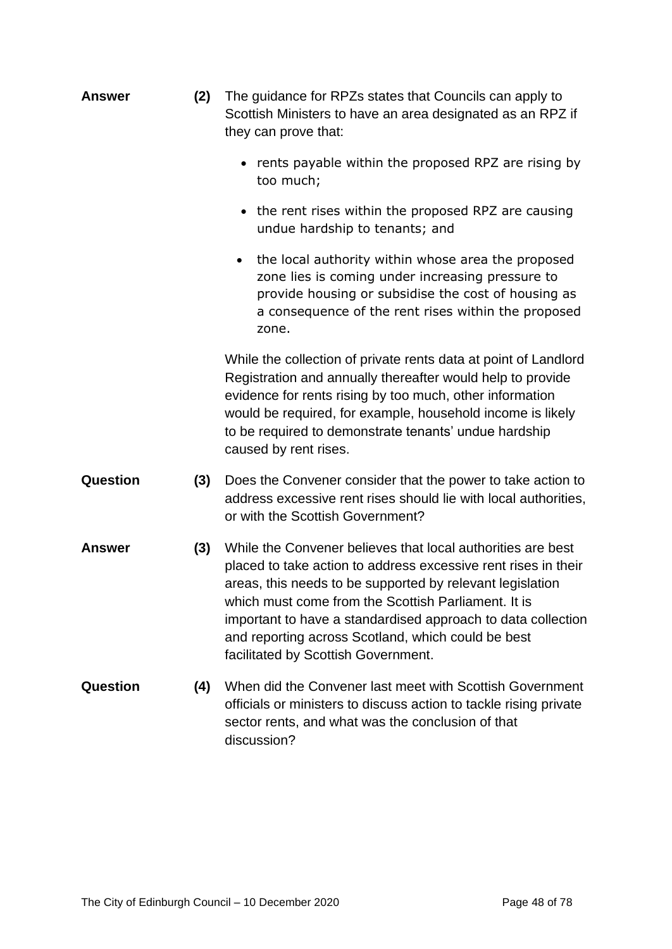| <b>Answer</b>   | (2) | The guidance for RPZs states that Councils can apply to<br>Scottish Ministers to have an area designated as an RPZ if<br>they can prove that:                                                                                                                                                                                                                                                                  |
|-----------------|-----|----------------------------------------------------------------------------------------------------------------------------------------------------------------------------------------------------------------------------------------------------------------------------------------------------------------------------------------------------------------------------------------------------------------|
|                 |     | rents payable within the proposed RPZ are rising by<br>too much;                                                                                                                                                                                                                                                                                                                                               |
|                 |     | the rent rises within the proposed RPZ are causing<br>undue hardship to tenants; and                                                                                                                                                                                                                                                                                                                           |
|                 |     | the local authority within whose area the proposed<br>$\bullet$<br>zone lies is coming under increasing pressure to<br>provide housing or subsidise the cost of housing as<br>a consequence of the rent rises within the proposed<br>zone.                                                                                                                                                                     |
|                 |     | While the collection of private rents data at point of Landlord<br>Registration and annually thereafter would help to provide<br>evidence for rents rising by too much, other information<br>would be required, for example, household income is likely<br>to be required to demonstrate tenants' undue hardship<br>caused by rent rises.                                                                      |
| <b>Question</b> | (3) | Does the Convener consider that the power to take action to<br>address excessive rent rises should lie with local authorities,<br>or with the Scottish Government?                                                                                                                                                                                                                                             |
| <b>Answer</b>   | (3) | While the Convener believes that local authorities are best<br>placed to take action to address excessive rent rises in their<br>areas, this needs to be supported by relevant legislation<br>which must come from the Scottish Parliament. It is<br>important to have a standardised approach to data collection<br>and reporting across Scotland, which could be best<br>facilitated by Scottish Government. |
| Question        | (4) | When did the Convener last meet with Scottish Government<br>officials or ministers to discuss action to tackle rising private<br>sector rents, and what was the conclusion of that<br>discussion?                                                                                                                                                                                                              |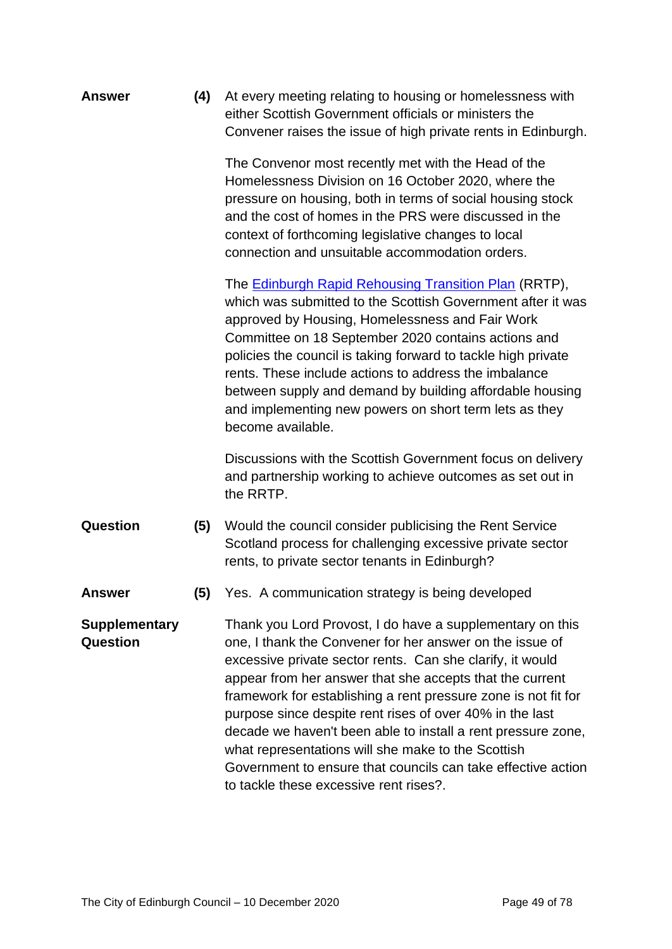**Answer (4)** At every meeting relating to housing or homelessness with either Scottish Government officials or ministers the Convener raises the issue of high private rents in Edinburgh.

> The Convenor most recently met with the Head of the Homelessness Division on 16 October 2020, where the pressure on housing, both in terms of social housing stock and the cost of homes in the PRS were discussed in the context of forthcoming legislative changes to local connection and unsuitable accommodation orders.

The [Edinburgh Rapid Rehousing Transition Plan](https://democracy.edinburgh.gov.uk/documents/s26277/Rapid%20Rehousing%20Transition%20Plan%20Report.pdf) (RRTP), which was submitted to the Scottish Government after it was approved by Housing, Homelessness and Fair Work Committee on 18 September 2020 contains actions and policies the council is taking forward to tackle high private rents. These include actions to address the imbalance between supply and demand by building affordable housing and implementing new powers on short term lets as they become available.

Discussions with the Scottish Government focus on delivery and partnership working to achieve outcomes as set out in the RRTP.

- **Question (5)** Would the council consider publicising the Rent Service Scotland process for challenging excessive private sector rents, to private sector tenants in Edinburgh?
- **Answer (5)** Yes. A communication strategy is being developed

**Supplementary Question** Thank you Lord Provost, I do have a supplementary on this one, I thank the Convener for her answer on the issue of excessive private sector rents. Can she clarify, it would appear from her answer that she accepts that the current framework for establishing a rent pressure zone is not fit for purpose since despite rent rises of over 40% in the last decade we haven't been able to install a rent pressure zone, what representations will she make to the Scottish Government to ensure that councils can take effective action to tackle these excessive rent rises?.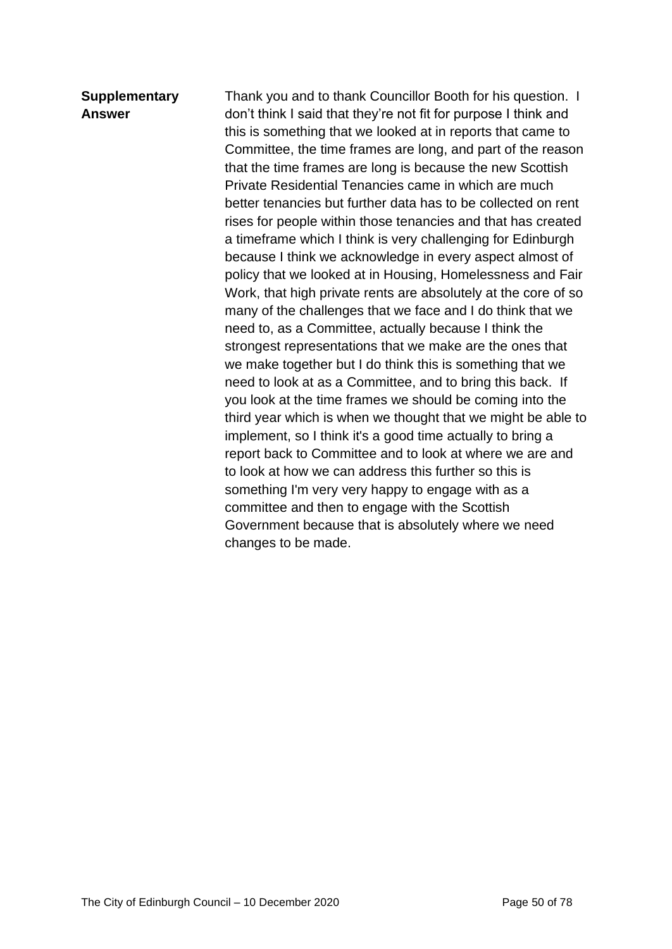### **Supplementary Answer**

Thank you and to thank Councillor Booth for his question. I don't think I said that they're not fit for purpose I think and this is something that we looked at in reports that came to Committee, the time frames are long, and part of the reason that the time frames are long is because the new Scottish Private Residential Tenancies came in which are much better tenancies but further data has to be collected on rent rises for people within those tenancies and that has created a timeframe which I think is very challenging for Edinburgh because I think we acknowledge in every aspect almost of policy that we looked at in Housing, Homelessness and Fair Work, that high private rents are absolutely at the core of so many of the challenges that we face and I do think that we need to, as a Committee, actually because I think the strongest representations that we make are the ones that we make together but I do think this is something that we need to look at as a Committee, and to bring this back. If you look at the time frames we should be coming into the third year which is when we thought that we might be able to implement, so I think it's a good time actually to bring a report back to Committee and to look at where we are and to look at how we can address this further so this is something I'm very very happy to engage with as a committee and then to engage with the Scottish Government because that is absolutely where we need changes to be made.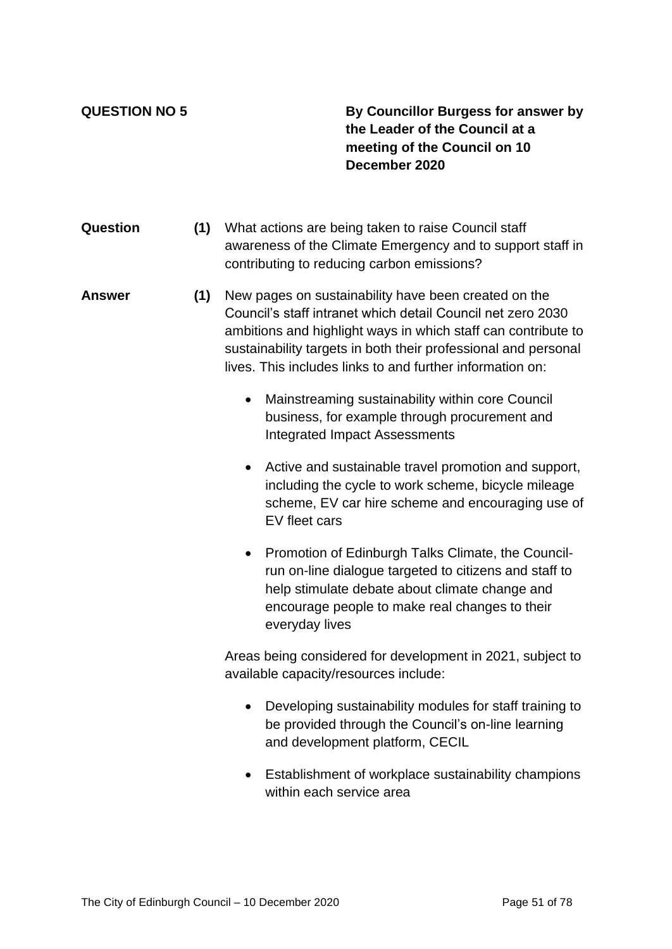**QUESTION NO 5 By Councillor Burgess for answer by the Leader of the Council at a meeting of the Council on 10 December 2020**

- **Question (1)** What actions are being taken to raise Council staff awareness of the Climate Emergency and to support staff in contributing to reducing carbon emissions?
- **Answer (1)** New pages on sustainability have been created on the Council's staff intranet which detail Council net zero 2030 ambitions and highlight ways in which staff can contribute to sustainability targets in both their professional and personal lives. This includes links to and further information on:
	- Mainstreaming sustainability within core Council business, for example through procurement and Integrated Impact Assessments
	- Active and sustainable travel promotion and support, including the cycle to work scheme, bicycle mileage scheme, EV car hire scheme and encouraging use of EV fleet cars
	- Promotion of Edinburgh Talks Climate, the Councilrun on-line dialogue targeted to citizens and staff to help stimulate debate about climate change and encourage people to make real changes to their everyday lives

Areas being considered for development in 2021, subject to available capacity/resources include:

- Developing sustainability modules for staff training to be provided through the Council's on-line learning and development platform, CECIL
- Establishment of workplace sustainability champions within each service area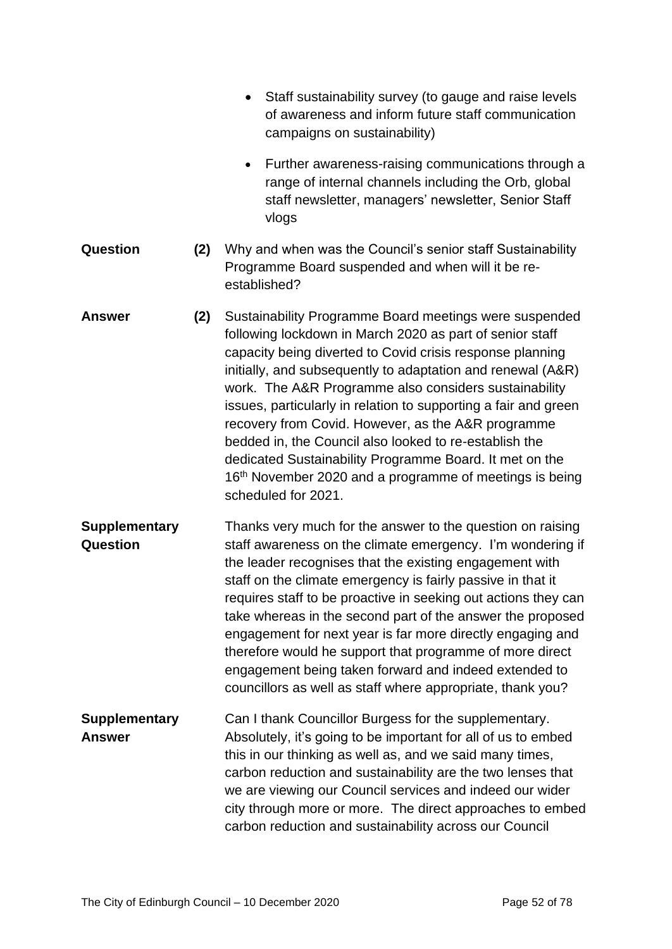|                                       |     | Staff sustainability survey (to gauge and raise levels<br>of awareness and inform future staff communication<br>campaigns on sustainability)                                                                                                                                                                                                                                                                                                                                                                                                                                                                                                        |
|---------------------------------------|-----|-----------------------------------------------------------------------------------------------------------------------------------------------------------------------------------------------------------------------------------------------------------------------------------------------------------------------------------------------------------------------------------------------------------------------------------------------------------------------------------------------------------------------------------------------------------------------------------------------------------------------------------------------------|
|                                       |     | Further awareness-raising communications through a<br>range of internal channels including the Orb, global<br>staff newsletter, managers' newsletter, Senior Staff<br>vlogs                                                                                                                                                                                                                                                                                                                                                                                                                                                                         |
| Question                              | (2) | Why and when was the Council's senior staff Sustainability<br>Programme Board suspended and when will it be re-<br>established?                                                                                                                                                                                                                                                                                                                                                                                                                                                                                                                     |
| <b>Answer</b>                         | (2) | Sustainability Programme Board meetings were suspended<br>following lockdown in March 2020 as part of senior staff<br>capacity being diverted to Covid crisis response planning<br>initially, and subsequently to adaptation and renewal (A&R)<br>work. The A&R Programme also considers sustainability<br>issues, particularly in relation to supporting a fair and green<br>recovery from Covid. However, as the A&R programme<br>bedded in, the Council also looked to re-establish the<br>dedicated Sustainability Programme Board. It met on the<br>16 <sup>th</sup> November 2020 and a programme of meetings is being<br>scheduled for 2021. |
| <b>Supplementary</b><br>Question      |     | Thanks very much for the answer to the question on raising<br>staff awareness on the climate emergency. I'm wondering if<br>the leader recognises that the existing engagement with<br>staff on the climate emergency is fairly passive in that it<br>requires staff to be proactive in seeking out actions they can<br>take whereas in the second part of the answer the proposed<br>engagement for next year is far more directly engaging and<br>therefore would he support that programme of more direct<br>engagement being taken forward and indeed extended to<br>councillors as well as staff where appropriate, thank you?                 |
| <b>Supplementary</b><br><b>Answer</b> |     | Can I thank Councillor Burgess for the supplementary.<br>Absolutely, it's going to be important for all of us to embed<br>this in our thinking as well as, and we said many times,<br>carbon reduction and sustainability are the two lenses that<br>we are viewing our Council services and indeed our wider<br>city through more or more. The direct approaches to embed<br>carbon reduction and sustainability across our Council                                                                                                                                                                                                                |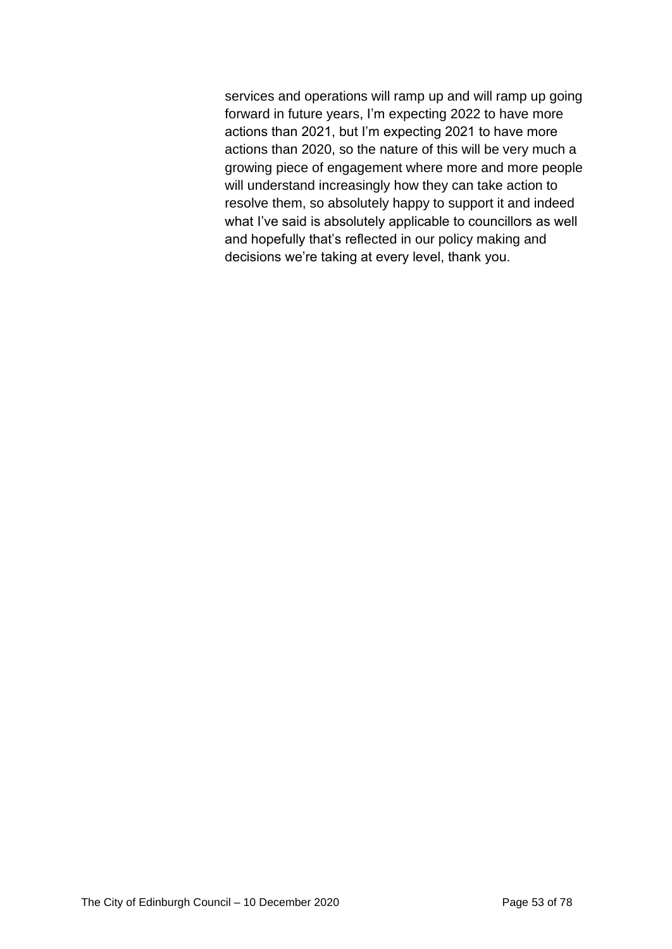services and operations will ramp up and will ramp up going forward in future years, I'm expecting 2022 to have more actions than 2021, but I'm expecting 2021 to have more actions than 2020, so the nature of this will be very much a growing piece of engagement where more and more people will understand increasingly how they can take action to resolve them, so absolutely happy to support it and indeed what I've said is absolutely applicable to councillors as well and hopefully that's reflected in our policy making and decisions we're taking at every level, thank you.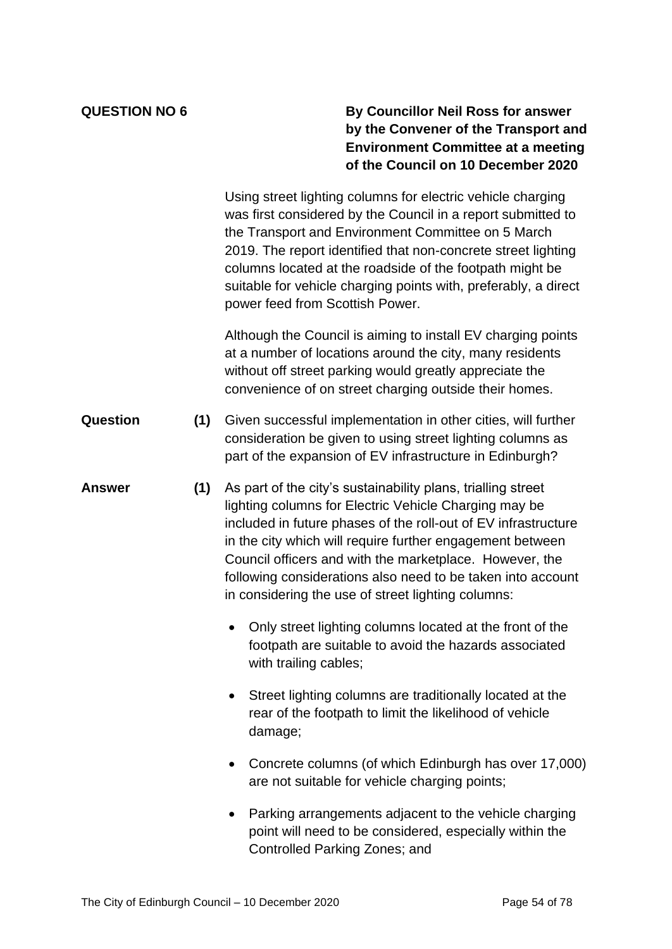### **QUESTION NO 6 By Councillor Neil Ross for answer by the Convener of the Transport and Environment Committee at a meeting of the Council on 10 December 2020**

Using street lighting columns for electric vehicle charging was first considered by the Council in a report submitted to the Transport and Environment Committee on 5 March 2019. The report identified that non-concrete street lighting columns located at the roadside of the footpath might be suitable for vehicle charging points with, preferably, a direct power feed from Scottish Power.

Although the Council is aiming to install EV charging points at a number of locations around the city, many residents without off street parking would greatly appreciate the convenience of on street charging outside their homes.

- **Question (1)** Given successful implementation in other cities, will further consideration be given to using street lighting columns as part of the expansion of EV infrastructure in Edinburgh?
- **Answer (1)** As part of the city's sustainability plans, trialling street lighting columns for Electric Vehicle Charging may be included in future phases of the roll-out of EV infrastructure in the city which will require further engagement between Council officers and with the marketplace. However, the following considerations also need to be taken into account in considering the use of street lighting columns:
	- Only street lighting columns located at the front of the footpath are suitable to avoid the hazards associated with trailing cables;
	- Street lighting columns are traditionally located at the rear of the footpath to limit the likelihood of vehicle damage;
	- Concrete columns (of which Edinburgh has over 17,000) are not suitable for vehicle charging points;
	- Parking arrangements adjacent to the vehicle charging point will need to be considered, especially within the Controlled Parking Zones; and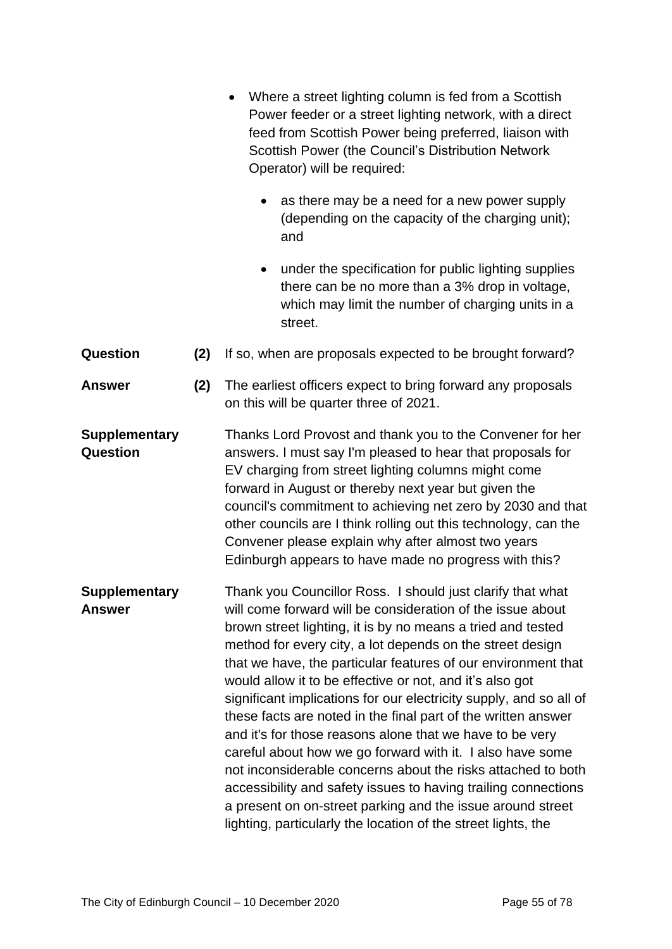|                                       |     | Where a street lighting column is fed from a Scottish<br>Power feeder or a street lighting network, with a direct<br>feed from Scottish Power being preferred, liaison with<br>Scottish Power (the Council's Distribution Network<br>Operator) will be required:                                                                                                                                                                                                                                                                                                                                                                                                                                                                                                                                                                                                                                                   |  |  |
|---------------------------------------|-----|--------------------------------------------------------------------------------------------------------------------------------------------------------------------------------------------------------------------------------------------------------------------------------------------------------------------------------------------------------------------------------------------------------------------------------------------------------------------------------------------------------------------------------------------------------------------------------------------------------------------------------------------------------------------------------------------------------------------------------------------------------------------------------------------------------------------------------------------------------------------------------------------------------------------|--|--|
|                                       |     | as there may be a need for a new power supply<br>(depending on the capacity of the charging unit);<br>and                                                                                                                                                                                                                                                                                                                                                                                                                                                                                                                                                                                                                                                                                                                                                                                                          |  |  |
|                                       |     | under the specification for public lighting supplies<br>there can be no more than a 3% drop in voltage,<br>which may limit the number of charging units in a<br>street.                                                                                                                                                                                                                                                                                                                                                                                                                                                                                                                                                                                                                                                                                                                                            |  |  |
| Question                              | (2) | If so, when are proposals expected to be brought forward?                                                                                                                                                                                                                                                                                                                                                                                                                                                                                                                                                                                                                                                                                                                                                                                                                                                          |  |  |
| <b>Answer</b>                         | (2) | The earliest officers expect to bring forward any proposals<br>on this will be quarter three of 2021.                                                                                                                                                                                                                                                                                                                                                                                                                                                                                                                                                                                                                                                                                                                                                                                                              |  |  |
| <b>Supplementary</b><br>Question      |     | Thanks Lord Provost and thank you to the Convener for her<br>answers. I must say I'm pleased to hear that proposals for<br>EV charging from street lighting columns might come<br>forward in August or thereby next year but given the<br>council's commitment to achieving net zero by 2030 and that<br>other councils are I think rolling out this technology, can the<br>Convener please explain why after almost two years<br>Edinburgh appears to have made no progress with this?                                                                                                                                                                                                                                                                                                                                                                                                                            |  |  |
| <b>Supplementary</b><br><b>Answer</b> |     | Thank you Councillor Ross. I should just clarify that what<br>will come forward will be consideration of the issue about<br>brown street lighting, it is by no means a tried and tested<br>method for every city, a lot depends on the street design<br>that we have, the particular features of our environment that<br>would allow it to be effective or not, and it's also got<br>significant implications for our electricity supply, and so all of<br>these facts are noted in the final part of the written answer<br>and it's for those reasons alone that we have to be very<br>careful about how we go forward with it. I also have some<br>not inconsiderable concerns about the risks attached to both<br>accessibility and safety issues to having trailing connections<br>a present on on-street parking and the issue around street<br>lighting, particularly the location of the street lights, the |  |  |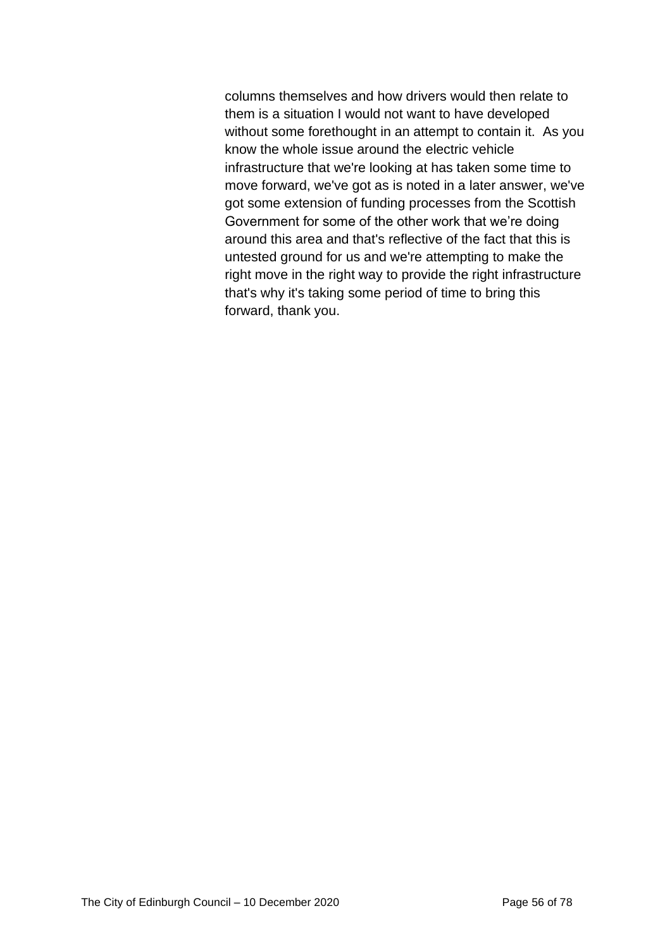columns themselves and how drivers would then relate to them is a situation I would not want to have developed without some forethought in an attempt to contain it. As you know the whole issue around the electric vehicle infrastructure that we're looking at has taken some time to move forward, we've got as is noted in a later answer, we've got some extension of funding processes from the Scottish Government for some of the other work that we're doing around this area and that's reflective of the fact that this is untested ground for us and we're attempting to make the right move in the right way to provide the right infrastructure that's why it's taking some period of time to bring this forward, thank you.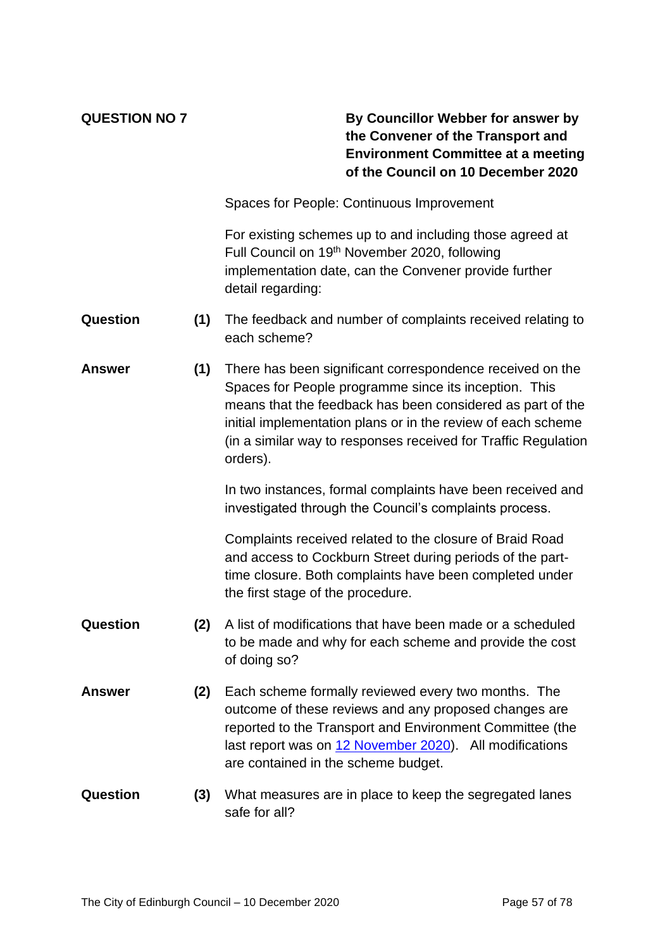### **QUESTION NO 7 By Councillor Webber for answer by the Convener of the Transport and Environment Committee at a meeting of the Council on 10 December 2020**

Spaces for People: Continuous Improvement

For existing schemes up to and including those agreed at Full Council on 19th November 2020, following implementation date, can the Convener provide further detail regarding:

- **Question (1)** The feedback and number of complaints received relating to each scheme?
- **Answer (1)** There has been significant correspondence received on the Spaces for People programme since its inception. This means that the feedback has been considered as part of the initial implementation plans or in the review of each scheme (in a similar way to responses received for Traffic Regulation orders).

In two instances, formal complaints have been received and investigated through the Council's complaints process.

Complaints received related to the closure of Braid Road and access to Cockburn Street during periods of the parttime closure. Both complaints have been completed under the first stage of the procedure.

- **Question (2)** A list of modifications that have been made or a scheduled to be made and why for each scheme and provide the cost of doing so?
- **Answer (2)** Each scheme formally reviewed every two months. The outcome of these reviews and any proposed changes are reported to the Transport and Environment Committee (the last report was on [12 November 2020\)](https://democracy.edinburgh.gov.uk/documents/s28763/7.6%20-%20Spaces%20for%20People%20Update%20_Final.pdf). All modifications are contained in the scheme budget.
- **Question (3)** What measures are in place to keep the segregated lanes safe for all?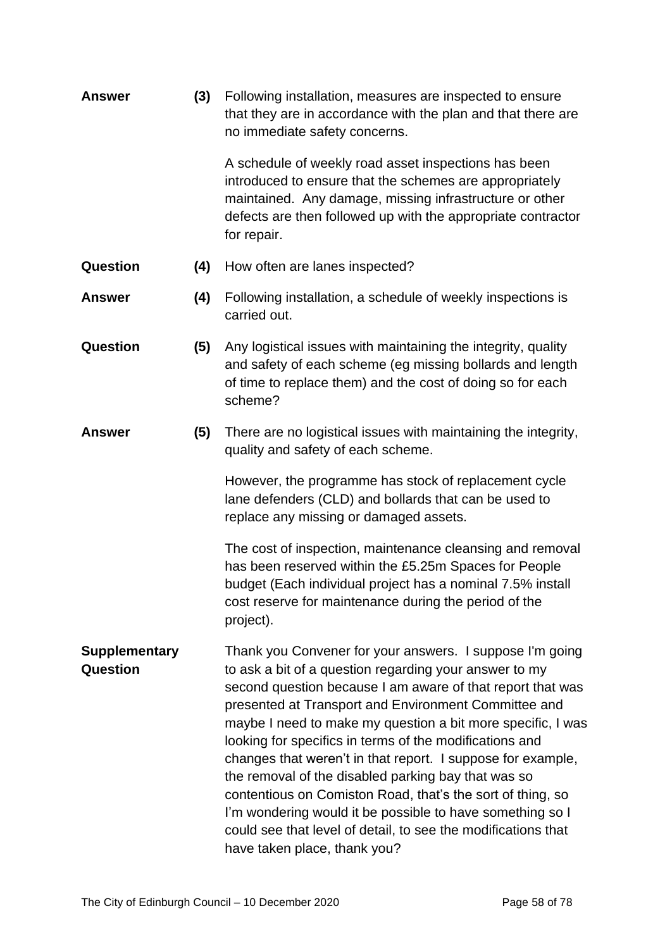| (3)<br><b>Answer</b>                    |     | Following installation, measures are inspected to ensure<br>that they are in accordance with the plan and that there are<br>no immediate safety concerns.                                                                                                                                                                                                                                                                                                                                                                                                                                                                                                                                                            |
|-----------------------------------------|-----|----------------------------------------------------------------------------------------------------------------------------------------------------------------------------------------------------------------------------------------------------------------------------------------------------------------------------------------------------------------------------------------------------------------------------------------------------------------------------------------------------------------------------------------------------------------------------------------------------------------------------------------------------------------------------------------------------------------------|
|                                         |     | A schedule of weekly road asset inspections has been<br>introduced to ensure that the schemes are appropriately<br>maintained. Any damage, missing infrastructure or other<br>defects are then followed up with the appropriate contractor<br>for repair.                                                                                                                                                                                                                                                                                                                                                                                                                                                            |
| Question                                | (4) | How often are lanes inspected?                                                                                                                                                                                                                                                                                                                                                                                                                                                                                                                                                                                                                                                                                       |
| <b>Answer</b>                           | (4) | Following installation, a schedule of weekly inspections is<br>carried out.                                                                                                                                                                                                                                                                                                                                                                                                                                                                                                                                                                                                                                          |
| Question                                | (5) | Any logistical issues with maintaining the integrity, quality<br>and safety of each scheme (eg missing bollards and length<br>of time to replace them) and the cost of doing so for each<br>scheme?                                                                                                                                                                                                                                                                                                                                                                                                                                                                                                                  |
| <b>Answer</b>                           | (5) | There are no logistical issues with maintaining the integrity,<br>quality and safety of each scheme.                                                                                                                                                                                                                                                                                                                                                                                                                                                                                                                                                                                                                 |
|                                         |     | However, the programme has stock of replacement cycle<br>lane defenders (CLD) and bollards that can be used to<br>replace any missing or damaged assets.                                                                                                                                                                                                                                                                                                                                                                                                                                                                                                                                                             |
|                                         |     | The cost of inspection, maintenance cleansing and removal<br>has been reserved within the £5.25m Spaces for People<br>budget (Each individual project has a nominal 7.5% install<br>cost reserve for maintenance during the period of the<br>project).                                                                                                                                                                                                                                                                                                                                                                                                                                                               |
| <b>Supplementary</b><br><b>Question</b> |     | Thank you Convener for your answers. I suppose I'm going<br>to ask a bit of a question regarding your answer to my<br>second question because I am aware of that report that was<br>presented at Transport and Environment Committee and<br>maybe I need to make my question a bit more specific, I was<br>looking for specifics in terms of the modifications and<br>changes that weren't in that report. I suppose for example,<br>the removal of the disabled parking bay that was so<br>contentious on Comiston Road, that's the sort of thing, so<br>I'm wondering would it be possible to have something so I<br>could see that level of detail, to see the modifications that<br>have taken place, thank you? |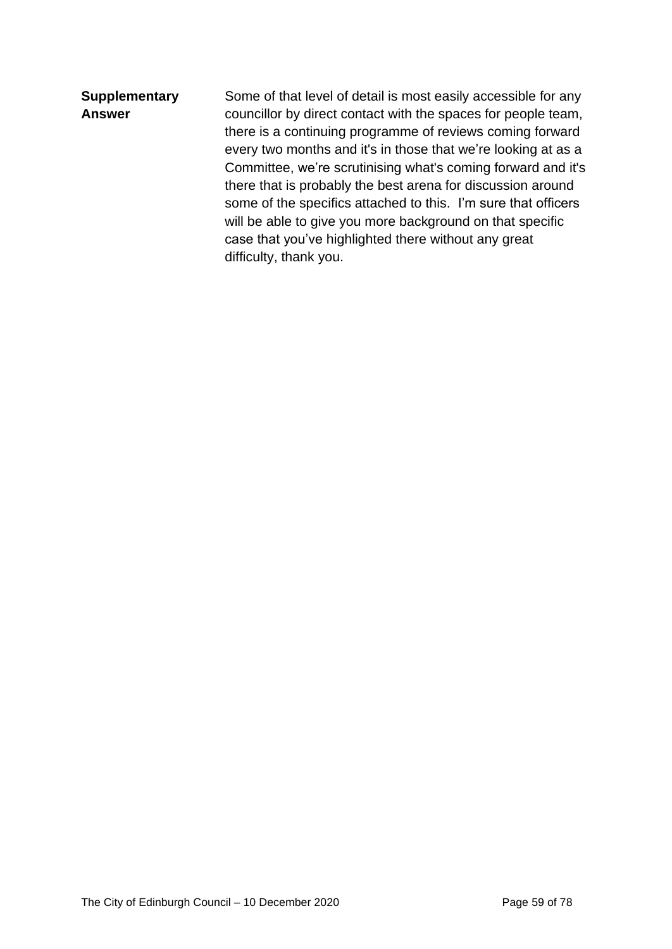### **Supplementary Answer**

Some of that level of detail is most easily accessible for any councillor by direct contact with the spaces for people team, there is a continuing programme of reviews coming forward every two months and it's in those that we're looking at as a Committee, we're scrutinising what's coming forward and it's there that is probably the best arena for discussion around some of the specifics attached to this. I'm sure that officers will be able to give you more background on that specific case that you've highlighted there without any great difficulty, thank you.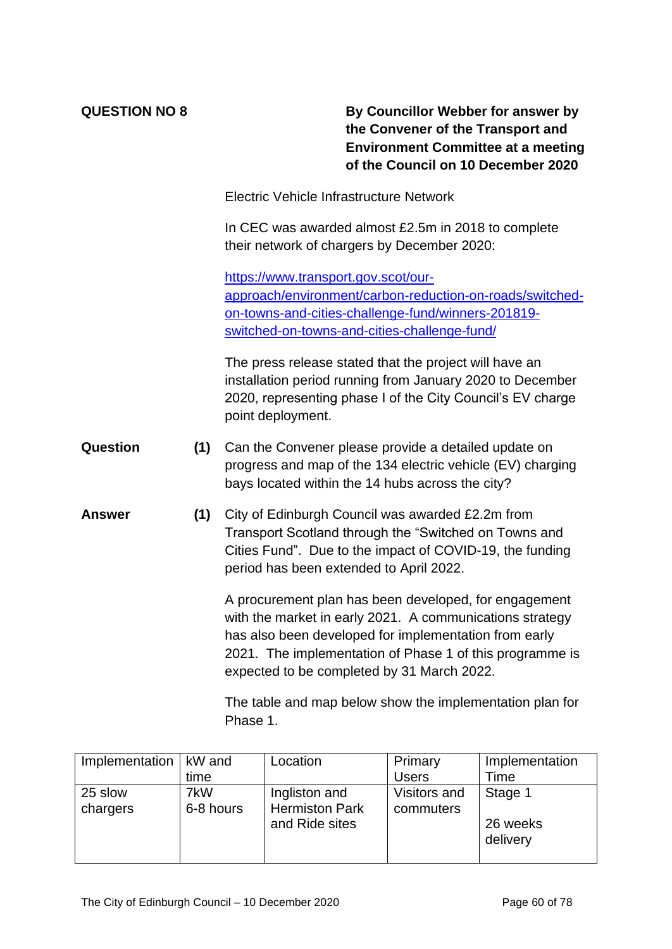**QUESTION NO 8 By Councillor Webber for answer by the Convener of the Transport and Environment Committee at a meeting of the Council on 10 December 2020**

Electric Vehicle Infrastructure Network

In CEC was awarded almost £2.5m in 2018 to complete their network of chargers by December 2020:

[https://www.transport.gov.scot/our](https://www.transport.gov.scot/our-approach/environment/carbon-reduction-on-roads/switched-on-towns-and-cities-challenge-fund/winners-201819-switched-on-towns-and-cities-challenge-fund/)[approach/environment/carbon-reduction-on-roads/switched](https://www.transport.gov.scot/our-approach/environment/carbon-reduction-on-roads/switched-on-towns-and-cities-challenge-fund/winners-201819-switched-on-towns-and-cities-challenge-fund/)[on-towns-and-cities-challenge-fund/winners-201819](https://www.transport.gov.scot/our-approach/environment/carbon-reduction-on-roads/switched-on-towns-and-cities-challenge-fund/winners-201819-switched-on-towns-and-cities-challenge-fund/) [switched-on-towns-and-cities-challenge-fund/](https://www.transport.gov.scot/our-approach/environment/carbon-reduction-on-roads/switched-on-towns-and-cities-challenge-fund/winners-201819-switched-on-towns-and-cities-challenge-fund/)

The press release stated that the project will have an installation period running from January 2020 to December 2020, representing phase I of the City Council's EV charge point deployment.

- **Question (1)** Can the Convener please provide a detailed update on progress and map of the 134 electric vehicle (EV) charging bays located within the 14 hubs across the city?
- **Answer (1)** City of Edinburgh Council was awarded £2.2m from Transport Scotland through the "Switched on Towns and Cities Fund". Due to the impact of COVID-19, the funding period has been extended to April 2022.

A procurement plan has been developed, for engagement with the market in early 2021. A communications strategy has also been developed for implementation from early 2021. The implementation of Phase 1 of this programme is expected to be completed by 31 March 2022.

The table and map below show the implementation plan for Phase 1.

| Implementation   kW and |                  | Location                               | Primary                   | Implementation       |
|-------------------------|------------------|----------------------------------------|---------------------------|----------------------|
|                         | time             |                                        | <b>Users</b>              | Time                 |
| 25 slow<br>chargers     | 7kW<br>6-8 hours | Ingliston and<br><b>Hermiston Park</b> | Visitors and<br>commuters | Stage 1              |
|                         |                  | and Ride sites                         |                           | 26 weeks<br>delivery |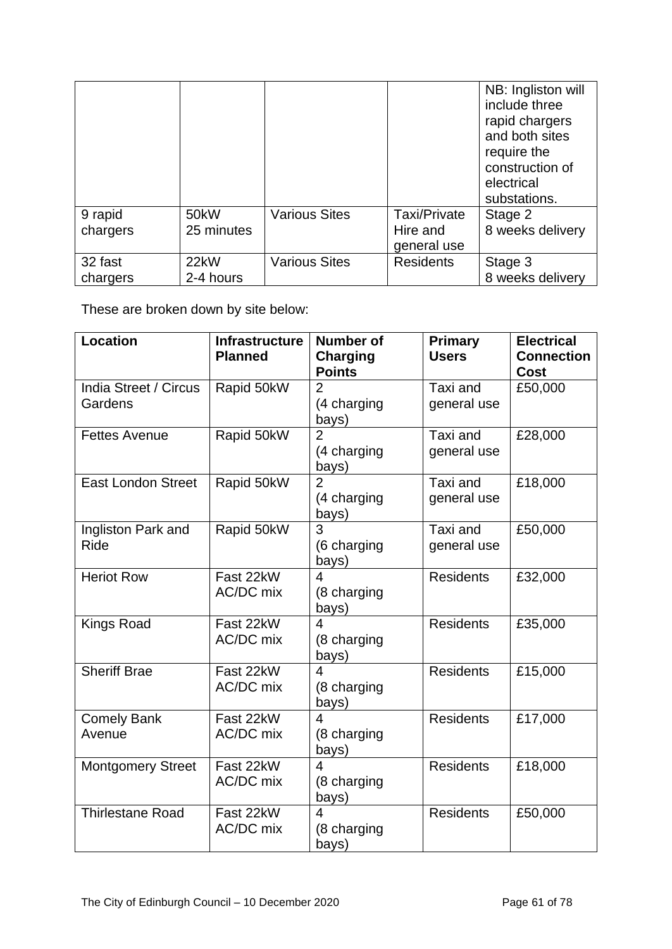|          |                   |                      |                  | NB: Ingliston will<br>include three<br>rapid chargers<br>and both sites<br>require the<br>construction of<br>electrical<br>substations. |
|----------|-------------------|----------------------|------------------|-----------------------------------------------------------------------------------------------------------------------------------------|
| 9 rapid  | 50 <sub>k</sub> W | <b>Various Sites</b> | Taxi/Private     | Stage 2                                                                                                                                 |
| chargers | 25 minutes        |                      | Hire and         | 8 weeks delivery                                                                                                                        |
|          |                   |                      | general use      |                                                                                                                                         |
| 32 fast  | 22kW              | <b>Various Sites</b> | <b>Residents</b> | Stage 3                                                                                                                                 |
| chargers | 2-4 hours         |                      |                  | 8 weeks delivery                                                                                                                        |

These are broken down by site below:

| <b>Location</b>                   | <b>Infrastructure</b><br><b>Planned</b> | <b>Number of</b><br><b>Charging</b><br><b>Points</b> | <b>Primary</b><br><b>Users</b> | <b>Electrical</b><br><b>Connection</b><br><b>Cost</b> |
|-----------------------------------|-----------------------------------------|------------------------------------------------------|--------------------------------|-------------------------------------------------------|
| India Street / Circus<br>Gardens  | Rapid 50kW                              | $\overline{2}$<br>(4 charging<br>bays)               | Taxi and<br>general use        | £50,000                                               |
| <b>Fettes Avenue</b>              | Rapid 50kW                              | $\overline{2}$<br>(4 charging<br>bays)               | Taxi and<br>general use        | £28,000                                               |
| <b>East London Street</b>         | Rapid 50kW                              | $\overline{2}$<br>(4 charging<br>bays)               | Taxi and<br>general use        | £18,000                                               |
| Ingliston Park and<br><b>Ride</b> | Rapid 50kW                              | $\overline{3}$<br>(6 charging<br>bays)               | Taxi and<br>general use        | £50,000                                               |
| <b>Heriot Row</b>                 | Fast 22kW<br>AC/DC mix                  | 4<br>(8 charging<br>bays)                            | <b>Residents</b>               | £32,000                                               |
| <b>Kings Road</b>                 | Fast 22kW<br>AC/DC mix                  | $\overline{\mathcal{A}}$<br>(8 charging<br>bays)     | <b>Residents</b>               | £35,000                                               |
| <b>Sheriff Brae</b>               | Fast 22kW<br>AC/DC mix                  | 4<br>(8 charging<br>bays)                            | <b>Residents</b>               | £15,000                                               |
| <b>Comely Bank</b><br>Avenue      | Fast 22kW<br>AC/DC mix                  | 4<br>(8 charging<br>bays)                            | <b>Residents</b>               | £17,000                                               |
| <b>Montgomery Street</b>          | Fast 22kW<br>AC/DC mix                  | 4<br>(8 charging<br>bays)                            | <b>Residents</b>               | £18,000                                               |
| <b>Thirlestane Road</b>           | Fast 22kW<br>AC/DC mix                  | 4<br>(8 charging<br>bays)                            | <b>Residents</b>               | £50,000                                               |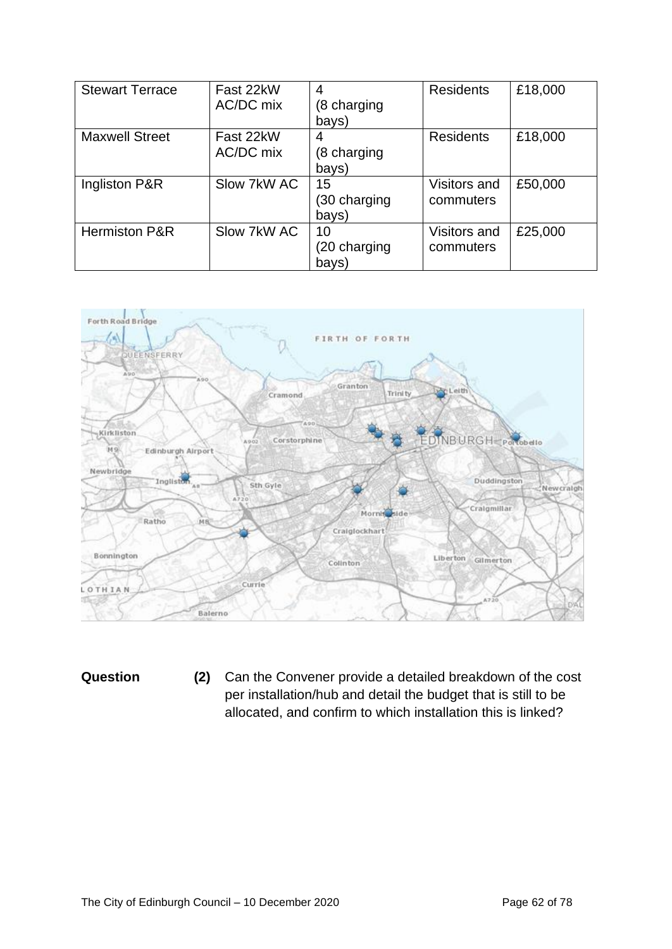| <b>Stewart Terrace</b>   | Fast 22kW<br>AC/DC mix | 4<br>(8 charging<br>bays)   | <b>Residents</b>          | £18,000 |
|--------------------------|------------------------|-----------------------------|---------------------------|---------|
| <b>Maxwell Street</b>    | Fast 22kW<br>AC/DC mix | 4<br>(8 charging<br>bays)   | <b>Residents</b>          | £18,000 |
| Ingliston P&R            | Slow 7kW AC            | 15<br>(30 charging<br>bays) | Visitors and<br>commuters | £50,000 |
| <b>Hermiston P&amp;R</b> | Slow 7kW AC            | 10<br>(20 charging<br>bays) | Visitors and<br>commuters | £25,000 |



**Question (2)** Can the Convener provide a detailed breakdown of the cost per installation/hub and detail the budget that is still to be allocated, and confirm to which installation this is linked?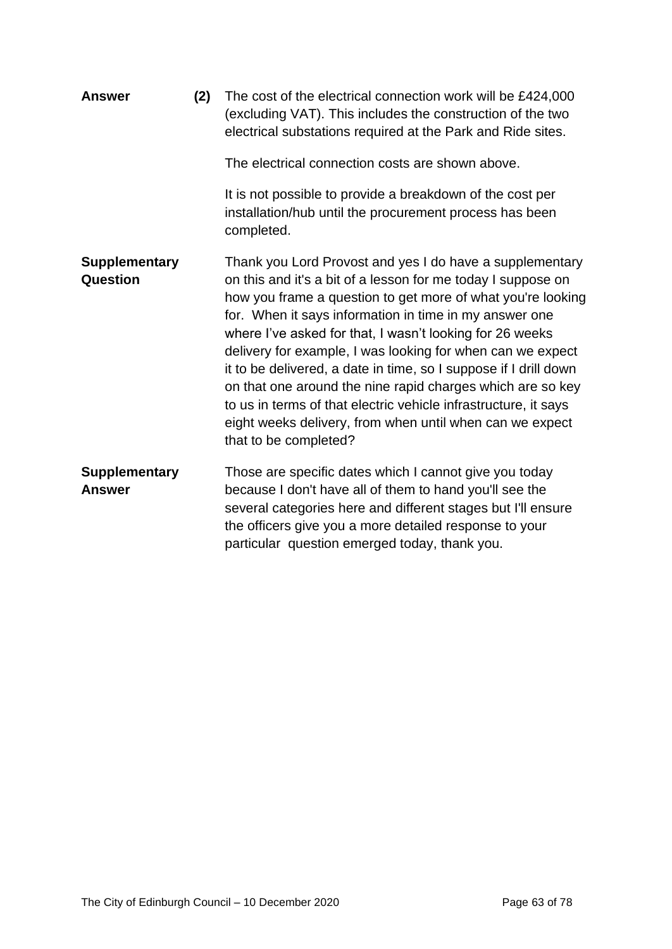| <b>Answer</b>                           | (2) | The cost of the electrical connection work will be £424,000<br>(excluding VAT). This includes the construction of the two<br>electrical substations required at the Park and Ride sites.                                                                                                                                                                                                                                                                                                                                                                                                                                                                              |
|-----------------------------------------|-----|-----------------------------------------------------------------------------------------------------------------------------------------------------------------------------------------------------------------------------------------------------------------------------------------------------------------------------------------------------------------------------------------------------------------------------------------------------------------------------------------------------------------------------------------------------------------------------------------------------------------------------------------------------------------------|
|                                         |     | The electrical connection costs are shown above.                                                                                                                                                                                                                                                                                                                                                                                                                                                                                                                                                                                                                      |
|                                         |     | It is not possible to provide a breakdown of the cost per<br>installation/hub until the procurement process has been<br>completed.                                                                                                                                                                                                                                                                                                                                                                                                                                                                                                                                    |
| <b>Supplementary</b><br><b>Question</b> |     | Thank you Lord Provost and yes I do have a supplementary<br>on this and it's a bit of a lesson for me today I suppose on<br>how you frame a question to get more of what you're looking<br>for. When it says information in time in my answer one<br>where I've asked for that, I wasn't looking for 26 weeks<br>delivery for example, I was looking for when can we expect<br>it to be delivered, a date in time, so I suppose if I drill down<br>on that one around the nine rapid charges which are so key<br>to us in terms of that electric vehicle infrastructure, it says<br>eight weeks delivery, from when until when can we expect<br>that to be completed? |
| <b>Supplementary</b><br><b>Answer</b>   |     | Those are specific dates which I cannot give you today<br>because I don't have all of them to hand you'll see the<br>several categories here and different stages but I'll ensure<br>the officers give you a more detailed response to your<br>particular question emerged today, thank you.                                                                                                                                                                                                                                                                                                                                                                          |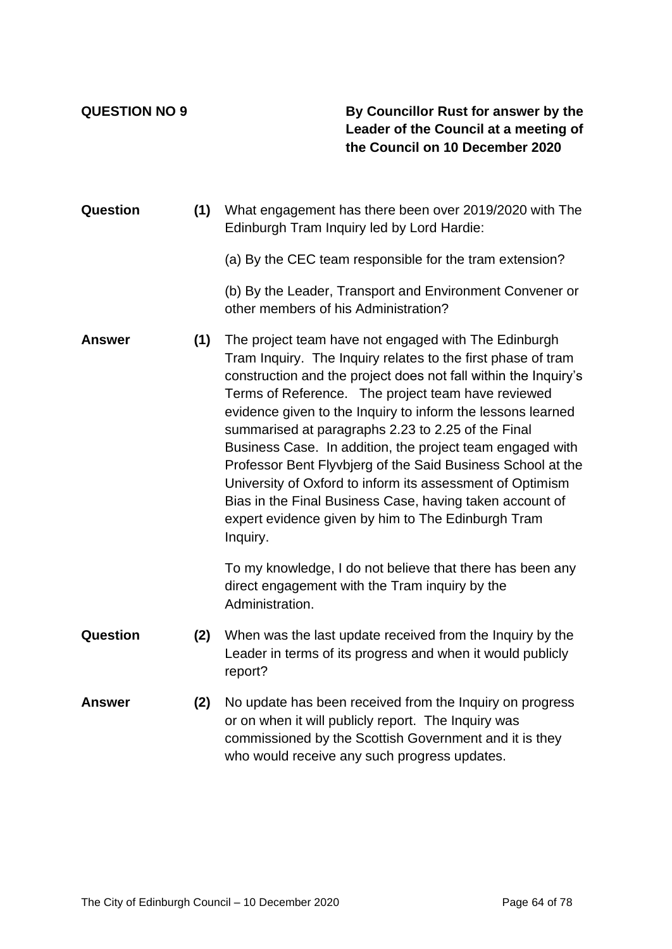**QUESTION NO 9 By Councillor Rust for answer by the Leader of the Council at a meeting of the Council on 10 December 2020**

- **Question (1)** What engagement has there been over 2019/2020 with The Edinburgh Tram Inquiry led by Lord Hardie:
	- (a) By the CEC team responsible for the tram extension?

(b) By the Leader, Transport and Environment Convener or other members of his Administration?

**Answer (1)** The project team have not engaged with The Edinburgh Tram Inquiry. The Inquiry relates to the first phase of tram construction and the project does not fall within the Inquiry's Terms of Reference. The project team have reviewed evidence given to the Inquiry to inform the lessons learned summarised at paragraphs 2.23 to 2.25 of the Final Business Case. In addition, the project team engaged with Professor Bent Flyvbjerg of the Said Business School at the University of Oxford to inform its assessment of Optimism Bias in the Final Business Case, having taken account of expert evidence given by him to The Edinburgh Tram Inquiry.

> To my knowledge, I do not believe that there has been any direct engagement with the Tram inquiry by the Administration.

- **Question (2)** When was the last update received from the Inquiry by the Leader in terms of its progress and when it would publicly report?
- **Answer (2)** No update has been received from the Inquiry on progress or on when it will publicly report. The Inquiry was commissioned by the Scottish Government and it is they who would receive any such progress updates.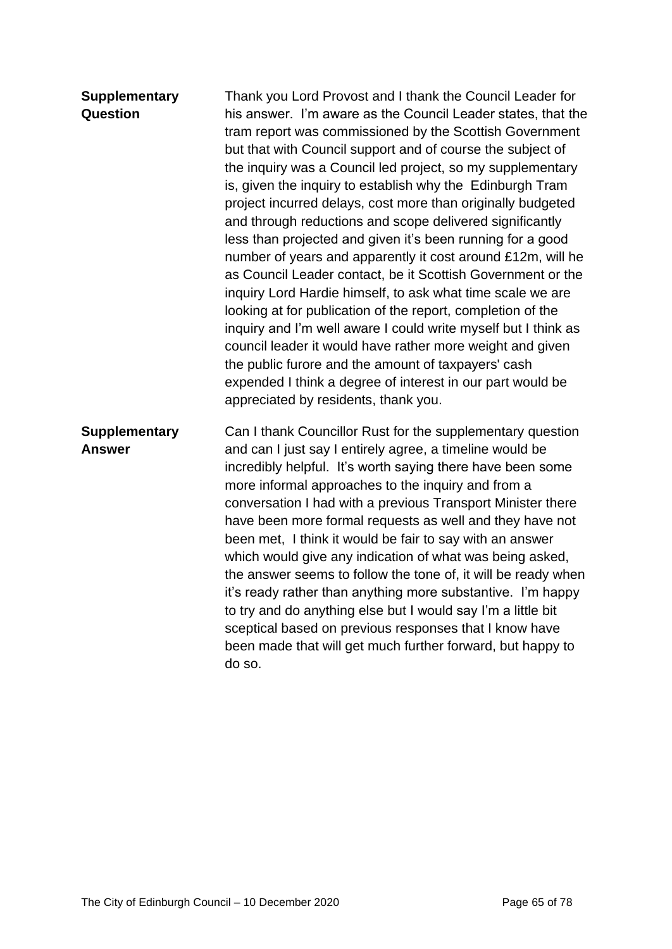### **Supplementary Question**

Thank you Lord Provost and I thank the Council Leader for his answer. I'm aware as the Council Leader states, that the tram report was commissioned by the Scottish Government but that with Council support and of course the subject of the inquiry was a Council led project, so my supplementary is, given the inquiry to establish why the Edinburgh Tram project incurred delays, cost more than originally budgeted and through reductions and scope delivered significantly less than projected and given it's been running for a good number of years and apparently it cost around £12m, will he as Council Leader contact, be it Scottish Government or the inquiry Lord Hardie himself, to ask what time scale we are looking at for publication of the report, completion of the inquiry and I'm well aware I could write myself but I think as council leader it would have rather more weight and given the public furore and the amount of taxpayers' cash expended I think a degree of interest in our part would be appreciated by residents, thank you.

**Supplementary Answer** Can I thank Councillor Rust for the supplementary question and can I just say I entirely agree, a timeline would be incredibly helpful. It's worth saying there have been some more informal approaches to the inquiry and from a conversation I had with a previous Transport Minister there have been more formal requests as well and they have not been met, I think it would be fair to say with an answer which would give any indication of what was being asked, the answer seems to follow the tone of, it will be ready when it's ready rather than anything more substantive. I'm happy to try and do anything else but I would say I'm a little bit sceptical based on previous responses that I know have been made that will get much further forward, but happy to do so.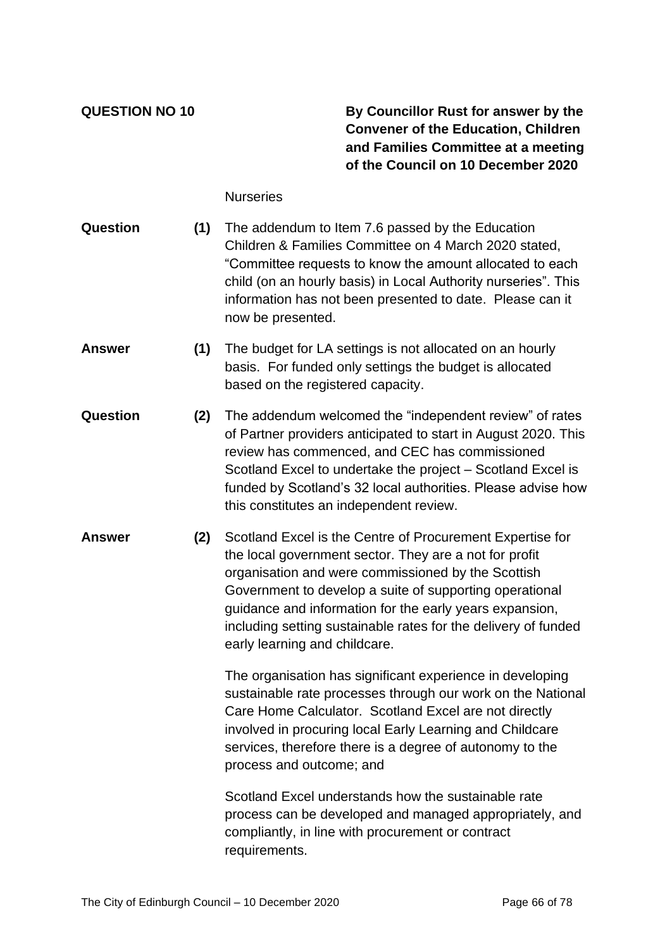**QUESTION NO 10 By Councillor Rust for answer by the Convener of the Education, Children and Families Committee at a meeting of the Council on 10 December 2020**

**Nurseries** 

- **Question (1)** The addendum to Item 7.6 passed by the Education Children & Families Committee on 4 March 2020 stated, "Committee requests to know the amount allocated to each child (on an hourly basis) in Local Authority nurseries". This information has not been presented to date. Please can it now be presented.
- **Answer (1)** The budget for LA settings is not allocated on an hourly basis. For funded only settings the budget is allocated based on the registered capacity.
- **Question (2)** The addendum welcomed the "independent review" of rates of Partner providers anticipated to start in August 2020. This review has commenced, and CEC has commissioned Scotland Excel to undertake the project – Scotland Excel is funded by Scotland's 32 local authorities. Please advise how this constitutes an independent review.
- **Answer (2)** Scotland Excel is the Centre of Procurement Expertise for the local government sector. They are a not for profit organisation and were commissioned by the Scottish Government to develop a suite of supporting operational guidance and information for the early years expansion, including setting sustainable rates for the delivery of funded early learning and childcare.

The organisation has significant experience in developing sustainable rate processes through our work on the National Care Home Calculator. Scotland Excel are not directly involved in procuring local Early Learning and Childcare services, therefore there is a degree of autonomy to the process and outcome; and

Scotland Excel understands how the sustainable rate process can be developed and managed appropriately, and compliantly, in line with procurement or contract requirements.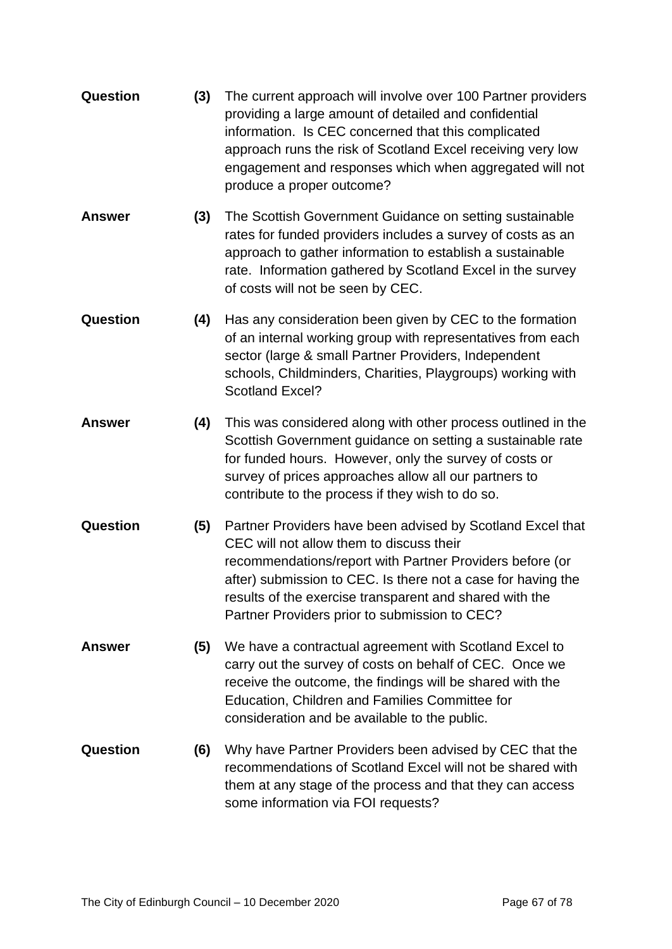| <b>Question</b> | (3) | The current approach will involve over 100 Partner providers<br>providing a large amount of detailed and confidential<br>information. Is CEC concerned that this complicated<br>approach runs the risk of Scotland Excel receiving very low<br>engagement and responses which when aggregated will not<br>produce a proper outcome?            |
|-----------------|-----|------------------------------------------------------------------------------------------------------------------------------------------------------------------------------------------------------------------------------------------------------------------------------------------------------------------------------------------------|
| <b>Answer</b>   | (3) | The Scottish Government Guidance on setting sustainable<br>rates for funded providers includes a survey of costs as an<br>approach to gather information to establish a sustainable<br>rate. Information gathered by Scotland Excel in the survey<br>of costs will not be seen by CEC.                                                         |
| Question        | (4) | Has any consideration been given by CEC to the formation<br>of an internal working group with representatives from each<br>sector (large & small Partner Providers, Independent<br>schools, Childminders, Charities, Playgroups) working with<br>Scotland Excel?                                                                               |
| <b>Answer</b>   | (4) | This was considered along with other process outlined in the<br>Scottish Government guidance on setting a sustainable rate<br>for funded hours. However, only the survey of costs or<br>survey of prices approaches allow all our partners to<br>contribute to the process if they wish to do so.                                              |
| Question        | (5) | Partner Providers have been advised by Scotland Excel that<br>CEC will not allow them to discuss their<br>recommendations/report with Partner Providers before (or<br>after) submission to CEC. Is there not a case for having the<br>results of the exercise transparent and shared with the<br>Partner Providers prior to submission to CEC? |
| <b>Answer</b>   | (5) | We have a contractual agreement with Scotland Excel to<br>carry out the survey of costs on behalf of CEC. Once we<br>receive the outcome, the findings will be shared with the<br>Education, Children and Families Committee for<br>consideration and be available to the public.                                                              |
| <b>Question</b> | (6) | Why have Partner Providers been advised by CEC that the<br>recommendations of Scotland Excel will not be shared with<br>them at any stage of the process and that they can access<br>some information via FOI requests?                                                                                                                        |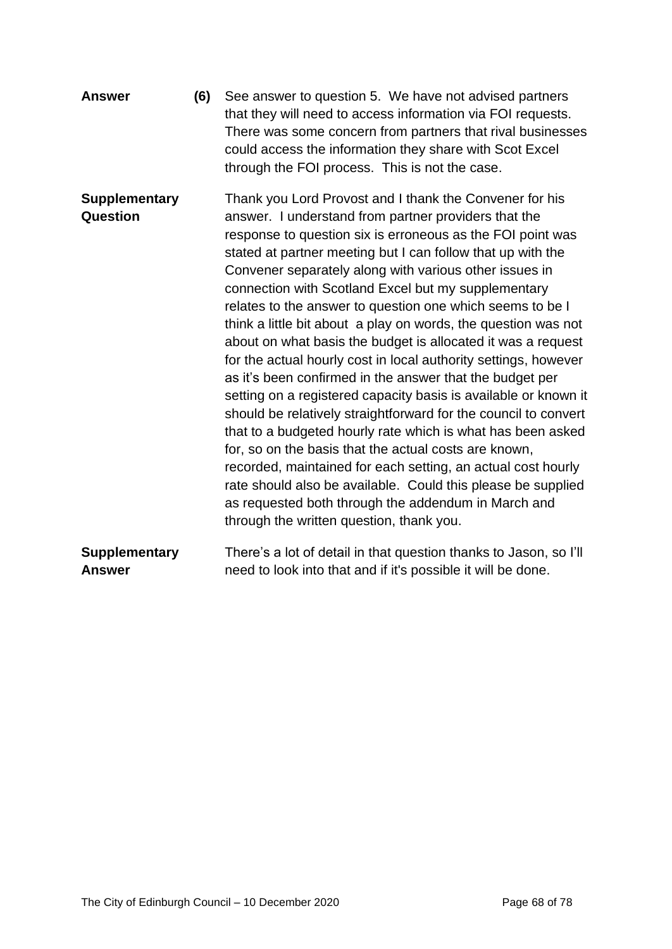| <b>Answer</b>                         | (6) | See answer to question 5. We have not advised partners<br>that they will need to access information via FOI requests.<br>There was some concern from partners that rival businesses<br>could access the information they share with Scot Excel<br>through the FOI process. This is not the case.                                                                                                                                                                                                                                                                                                                                                                                                                                                                                                                                                                                                                                                                                                                                                                                                                                                                                             |
|---------------------------------------|-----|----------------------------------------------------------------------------------------------------------------------------------------------------------------------------------------------------------------------------------------------------------------------------------------------------------------------------------------------------------------------------------------------------------------------------------------------------------------------------------------------------------------------------------------------------------------------------------------------------------------------------------------------------------------------------------------------------------------------------------------------------------------------------------------------------------------------------------------------------------------------------------------------------------------------------------------------------------------------------------------------------------------------------------------------------------------------------------------------------------------------------------------------------------------------------------------------|
| <b>Supplementary</b><br>Question      |     | Thank you Lord Provost and I thank the Convener for his<br>answer. I understand from partner providers that the<br>response to question six is erroneous as the FOI point was<br>stated at partner meeting but I can follow that up with the<br>Convener separately along with various other issues in<br>connection with Scotland Excel but my supplementary<br>relates to the answer to question one which seems to be I<br>think a little bit about a play on words, the question was not<br>about on what basis the budget is allocated it was a request<br>for the actual hourly cost in local authority settings, however<br>as it's been confirmed in the answer that the budget per<br>setting on a registered capacity basis is available or known it<br>should be relatively straightforward for the council to convert<br>that to a budgeted hourly rate which is what has been asked<br>for, so on the basis that the actual costs are known,<br>recorded, maintained for each setting, an actual cost hourly<br>rate should also be available. Could this please be supplied<br>as requested both through the addendum in March and<br>through the written question, thank you. |
| <b>Supplementary</b><br><b>Answer</b> |     | There's a lot of detail in that question thanks to Jason, so I'll<br>need to look into that and if it's possible it will be done.                                                                                                                                                                                                                                                                                                                                                                                                                                                                                                                                                                                                                                                                                                                                                                                                                                                                                                                                                                                                                                                            |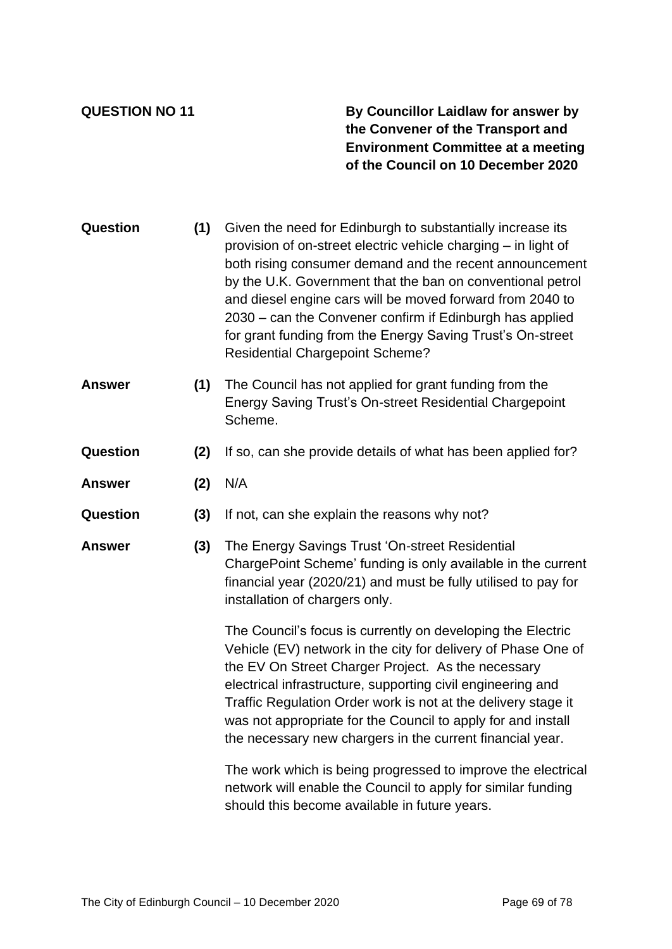**QUESTION NO 11 By Councillor Laidlaw for answer by the Convener of the Transport and Environment Committee at a meeting of the Council on 10 December 2020**

- **Question (1)** Given the need for Edinburgh to substantially increase its provision of on-street electric vehicle charging – in light of both rising consumer demand and the recent announcement by the U.K. Government that the ban on conventional petrol and diesel engine cars will be moved forward from 2040 to 2030 – can the Convener confirm if Edinburgh has applied for grant funding from the Energy Saving Trust's On-street Residential Chargepoint Scheme?
- **Answer (1)** The Council has not applied for grant funding from the Energy Saving Trust's On-street Residential Chargepoint Scheme.
- **Question (2)** If so, can she provide details of what has been applied for?
- **Answer (2)** N/A
- **Question (3)** If not, can she explain the reasons why not?
- **Answer (3)** The Energy Savings Trust 'On-street Residential ChargePoint Scheme' funding is only available in the current financial year (2020/21) and must be fully utilised to pay for installation of chargers only.

The Council's focus is currently on developing the Electric Vehicle (EV) network in the city for delivery of Phase One of the EV On Street Charger Project. As the necessary electrical infrastructure, supporting civil engineering and Traffic Regulation Order work is not at the delivery stage it was not appropriate for the Council to apply for and install the necessary new chargers in the current financial year.

The work which is being progressed to improve the electrical network will enable the Council to apply for similar funding should this become available in future years.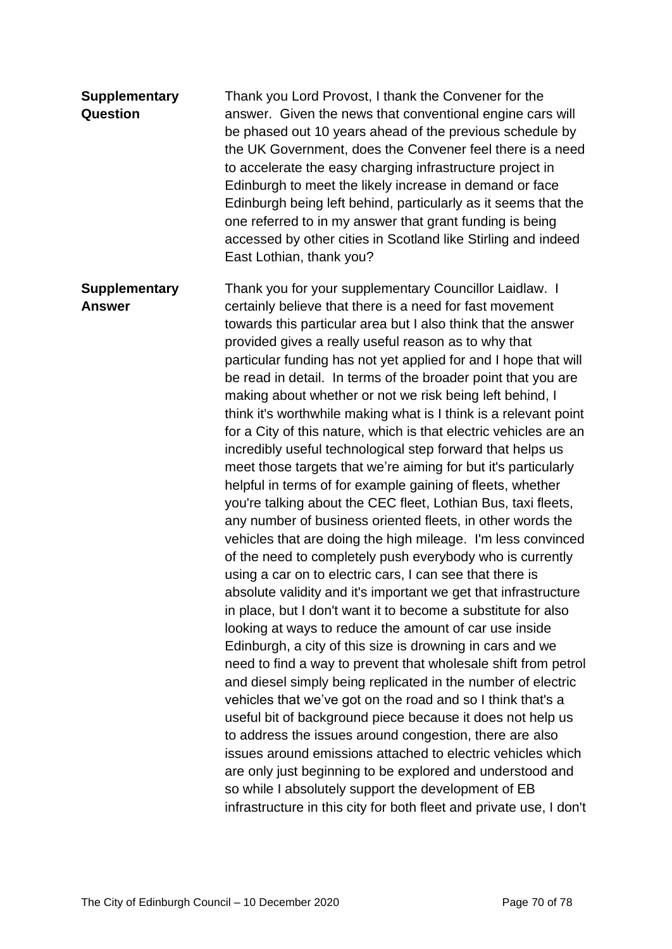| <b>Supplementary</b><br><b>Question</b> | Thank you Lord Provost, I thank the Convener for the<br>answer. Given the news that conventional engine cars will<br>be phased out 10 years ahead of the previous schedule by<br>the UK Government, does the Convener feel there is a need<br>to accelerate the easy charging infrastructure project in<br>Edinburgh to meet the likely increase in demand or face<br>Edinburgh being left behind, particularly as it seems that the<br>one referred to in my answer that grant funding is being<br>accessed by other cities in Scotland like Stirling and indeed<br>East Lothian, thank you?                                                                                                                                                                                                                                                                                                                                                                                                                                                                                                                                                                                                                                                                                                                                                                                                                                                                                                                                                                                                                                                                                                                                                                                                                                                                                                                                                             |
|-----------------------------------------|-----------------------------------------------------------------------------------------------------------------------------------------------------------------------------------------------------------------------------------------------------------------------------------------------------------------------------------------------------------------------------------------------------------------------------------------------------------------------------------------------------------------------------------------------------------------------------------------------------------------------------------------------------------------------------------------------------------------------------------------------------------------------------------------------------------------------------------------------------------------------------------------------------------------------------------------------------------------------------------------------------------------------------------------------------------------------------------------------------------------------------------------------------------------------------------------------------------------------------------------------------------------------------------------------------------------------------------------------------------------------------------------------------------------------------------------------------------------------------------------------------------------------------------------------------------------------------------------------------------------------------------------------------------------------------------------------------------------------------------------------------------------------------------------------------------------------------------------------------------------------------------------------------------------------------------------------------------|
| <b>Supplementary</b><br><b>Answer</b>   | Thank you for your supplementary Councillor Laidlaw. I<br>certainly believe that there is a need for fast movement<br>towards this particular area but I also think that the answer<br>provided gives a really useful reason as to why that<br>particular funding has not yet applied for and I hope that will<br>be read in detail. In terms of the broader point that you are<br>making about whether or not we risk being left behind, I<br>think it's worthwhile making what is I think is a relevant point<br>for a City of this nature, which is that electric vehicles are an<br>incredibly useful technological step forward that helps us<br>meet those targets that we're aiming for but it's particularly<br>helpful in terms of for example gaining of fleets, whether<br>you're talking about the CEC fleet, Lothian Bus, taxi fleets,<br>any number of business oriented fleets, in other words the<br>vehicles that are doing the high mileage. I'm less convinced<br>of the need to completely push everybody who is currently<br>using a car on to electric cars, I can see that there is<br>absolute validity and it's important we get that infrastructure<br>in place, but I don't want it to become a substitute for also<br>looking at ways to reduce the amount of car use inside<br>Edinburgh, a city of this size is drowning in cars and we<br>need to find a way to prevent that wholesale shift from petrol<br>and diesel simply being replicated in the number of electric<br>vehicles that we've got on the road and so I think that's a<br>useful bit of background piece because it does not help us<br>to address the issues around congestion, there are also<br>issues around emissions attached to electric vehicles which<br>are only just beginning to be explored and understood and<br>so while I absolutely support the development of EB<br>infrastructure in this city for both fleet and private use, I don't |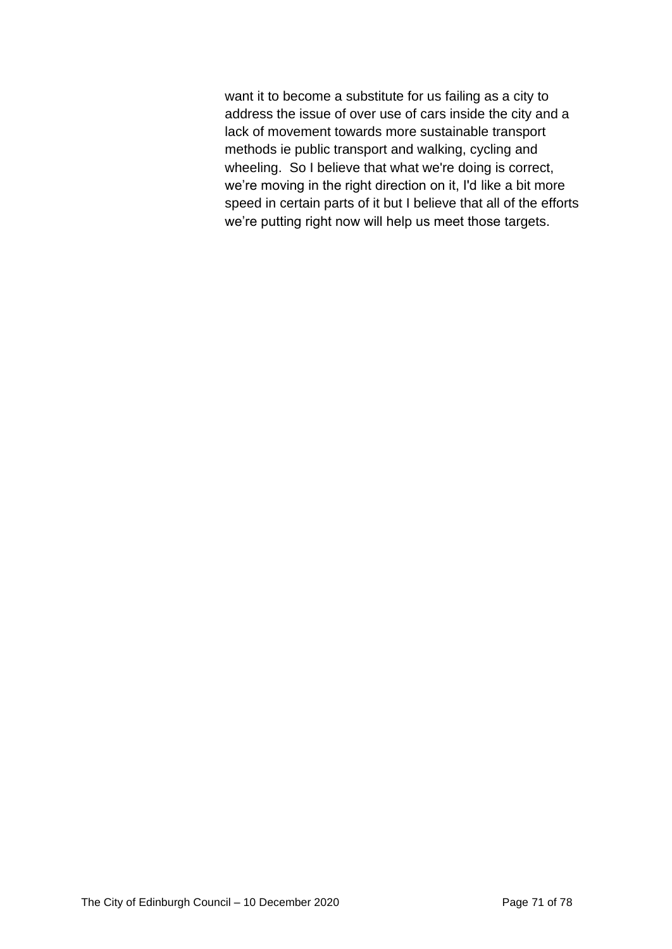want it to become a substitute for us failing as a city to address the issue of over use of cars inside the city and a lack of movement towards more sustainable transport methods ie public transport and walking, cycling and wheeling. So I believe that what we're doing is correct, we're moving in the right direction on it, I'd like a bit more speed in certain parts of it but I believe that all of the efforts we're putting right now will help us meet those targets.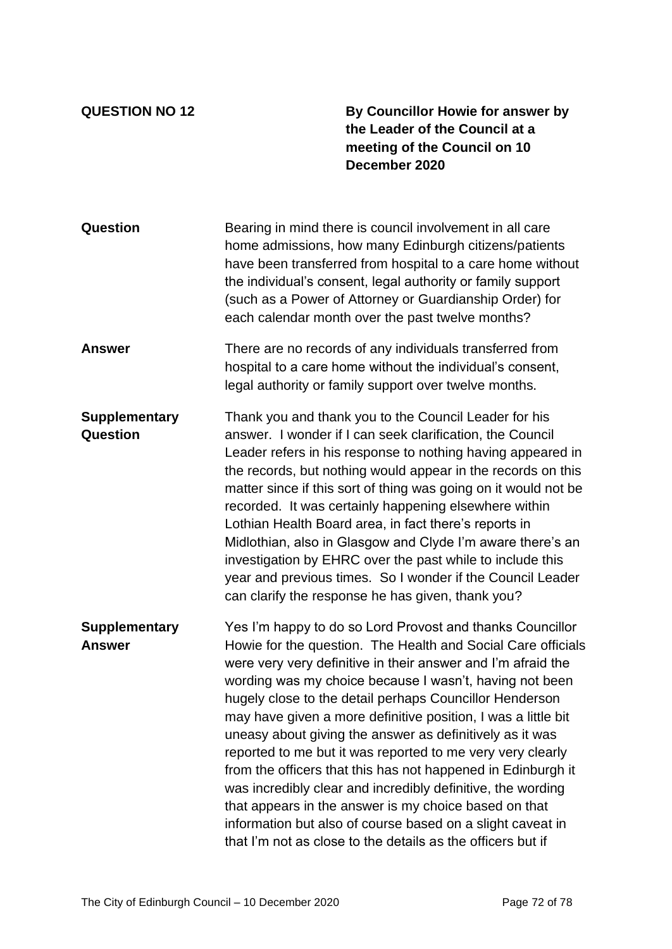**QUESTION NO 12 By Councillor Howie for answer by the Leader of the Council at a meeting of the Council on 10 December 2020**

| <b>Question</b>                         | Bearing in mind there is council involvement in all care<br>home admissions, how many Edinburgh citizens/patients<br>have been transferred from hospital to a care home without<br>the individual's consent, legal authority or family support<br>(such as a Power of Attorney or Guardianship Order) for<br>each calendar month over the past twelve months?                                                                                                                                                                                                                                                                                                                                                                                                                                                                   |
|-----------------------------------------|---------------------------------------------------------------------------------------------------------------------------------------------------------------------------------------------------------------------------------------------------------------------------------------------------------------------------------------------------------------------------------------------------------------------------------------------------------------------------------------------------------------------------------------------------------------------------------------------------------------------------------------------------------------------------------------------------------------------------------------------------------------------------------------------------------------------------------|
| <b>Answer</b>                           | There are no records of any individuals transferred from<br>hospital to a care home without the individual's consent,<br>legal authority or family support over twelve months.                                                                                                                                                                                                                                                                                                                                                                                                                                                                                                                                                                                                                                                  |
| <b>Supplementary</b><br><b>Question</b> | Thank you and thank you to the Council Leader for his<br>answer. I wonder if I can seek clarification, the Council<br>Leader refers in his response to nothing having appeared in<br>the records, but nothing would appear in the records on this<br>matter since if this sort of thing was going on it would not be<br>recorded. It was certainly happening elsewhere within<br>Lothian Health Board area, in fact there's reports in<br>Midlothian, also in Glasgow and Clyde I'm aware there's an<br>investigation by EHRC over the past while to include this<br>year and previous times. So I wonder if the Council Leader<br>can clarify the response he has given, thank you?                                                                                                                                            |
| <b>Supplementary</b><br><b>Answer</b>   | Yes I'm happy to do so Lord Provost and thanks Councillor<br>Howie for the question. The Health and Social Care officials<br>were very very definitive in their answer and I'm afraid the<br>wording was my choice because I wasn't, having not been<br>hugely close to the detail perhaps Councillor Henderson<br>may have given a more definitive position, I was a little bit<br>uneasy about giving the answer as definitively as it was<br>reported to me but it was reported to me very very clearly<br>from the officers that this has not happened in Edinburgh it<br>was incredibly clear and incredibly definitive, the wording<br>that appears in the answer is my choice based on that<br>information but also of course based on a slight caveat in<br>that I'm not as close to the details as the officers but if |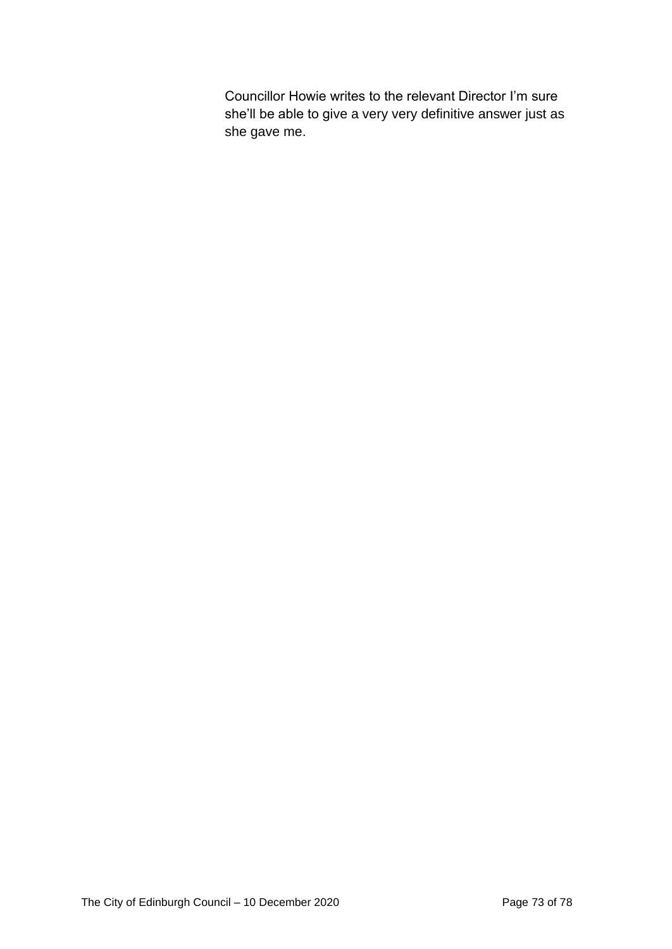Councillor Howie writes to the relevant Director I'm sure she'll be able to give a very very definitive answer just as she gave me.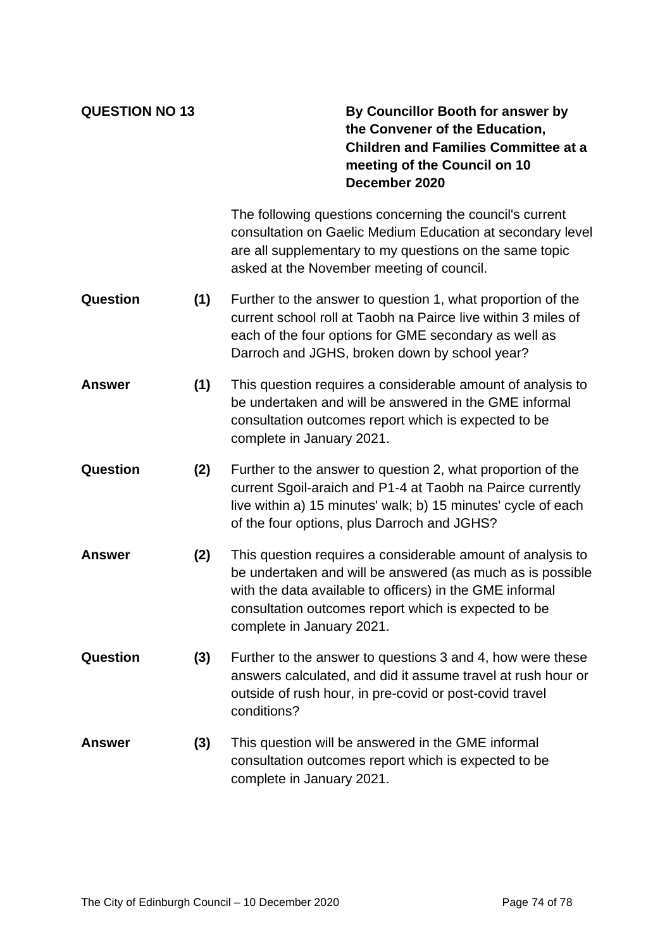## **QUESTION NO 13 By Councillor Booth for answer by the Convener of the Education, Children and Families Committee at a meeting of the Council on 10 December 2020**

The following questions concerning the council's current consultation on Gaelic Medium Education at secondary level are all supplementary to my questions on the same topic asked at the November meeting of council.

- **Question (1)** Further to the answer to question 1, what proportion of the current school roll at Taobh na Pairce live within 3 miles of each of the four options for GME secondary as well as Darroch and JGHS, broken down by school year?
- **Answer (1)** This question requires a considerable amount of analysis to be undertaken and will be answered in the GME informal consultation outcomes report which is expected to be complete in January 2021.
- **Question (2)** Further to the answer to question 2, what proportion of the current Sgoil-araich and P1-4 at Taobh na Pairce currently live within a) 15 minutes' walk; b) 15 minutes' cycle of each of the four options, plus Darroch and JGHS?
- **Answer (2)** This question requires a considerable amount of analysis to be undertaken and will be answered (as much as is possible with the data available to officers) in the GME informal consultation outcomes report which is expected to be complete in January 2021.
- **Question (3)** Further to the answer to questions 3 and 4, how were these answers calculated, and did it assume travel at rush hour or outside of rush hour, in pre-covid or post-covid travel conditions?
- **Answer (3)** This question will be answered in the GME informal consultation outcomes report which is expected to be complete in January 2021.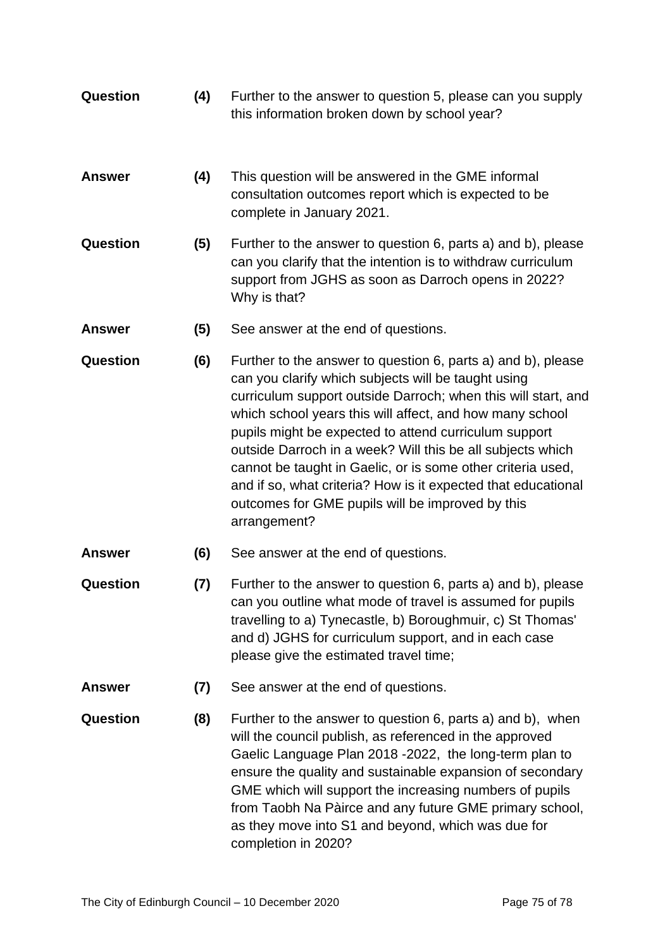| <b>Question</b> | (4) | Further to the answer to question 5, please can you supply<br>this information broken down by school year?                                                                                                                                                                                                                                                                                                                                                                                                                                                                  |
|-----------------|-----|-----------------------------------------------------------------------------------------------------------------------------------------------------------------------------------------------------------------------------------------------------------------------------------------------------------------------------------------------------------------------------------------------------------------------------------------------------------------------------------------------------------------------------------------------------------------------------|
| <b>Answer</b>   | (4) | This question will be answered in the GME informal<br>consultation outcomes report which is expected to be<br>complete in January 2021.                                                                                                                                                                                                                                                                                                                                                                                                                                     |
| <b>Question</b> | (5) | Further to the answer to question 6, parts a) and b), please<br>can you clarify that the intention is to withdraw curriculum<br>support from JGHS as soon as Darroch opens in 2022?<br>Why is that?                                                                                                                                                                                                                                                                                                                                                                         |
| <b>Answer</b>   | (5) | See answer at the end of questions.                                                                                                                                                                                                                                                                                                                                                                                                                                                                                                                                         |
| <b>Question</b> | (6) | Further to the answer to question 6, parts a) and b), please<br>can you clarify which subjects will be taught using<br>curriculum support outside Darroch; when this will start, and<br>which school years this will affect, and how many school<br>pupils might be expected to attend curriculum support<br>outside Darroch in a week? Will this be all subjects which<br>cannot be taught in Gaelic, or is some other criteria used,<br>and if so, what criteria? How is it expected that educational<br>outcomes for GME pupils will be improved by this<br>arrangement? |
| <b>Answer</b>   | (6) | See answer at the end of questions.                                                                                                                                                                                                                                                                                                                                                                                                                                                                                                                                         |
| Question        | (7) | Further to the answer to question 6, parts a) and b), please<br>can you outline what mode of travel is assumed for pupils<br>travelling to a) Tynecastle, b) Boroughmuir, c) St Thomas'<br>and d) JGHS for curriculum support, and in each case<br>please give the estimated travel time;                                                                                                                                                                                                                                                                                   |
| <b>Answer</b>   | (7) | See answer at the end of questions.                                                                                                                                                                                                                                                                                                                                                                                                                                                                                                                                         |
| <b>Question</b> | (8) | Further to the answer to question 6, parts a) and b), when<br>will the council publish, as referenced in the approved<br>Gaelic Language Plan 2018 -2022, the long-term plan to<br>ensure the quality and sustainable expansion of secondary<br>GME which will support the increasing numbers of pupils<br>from Taobh Na Pàirce and any future GME primary school,<br>as they move into S1 and beyond, which was due for<br>completion in 2020?                                                                                                                             |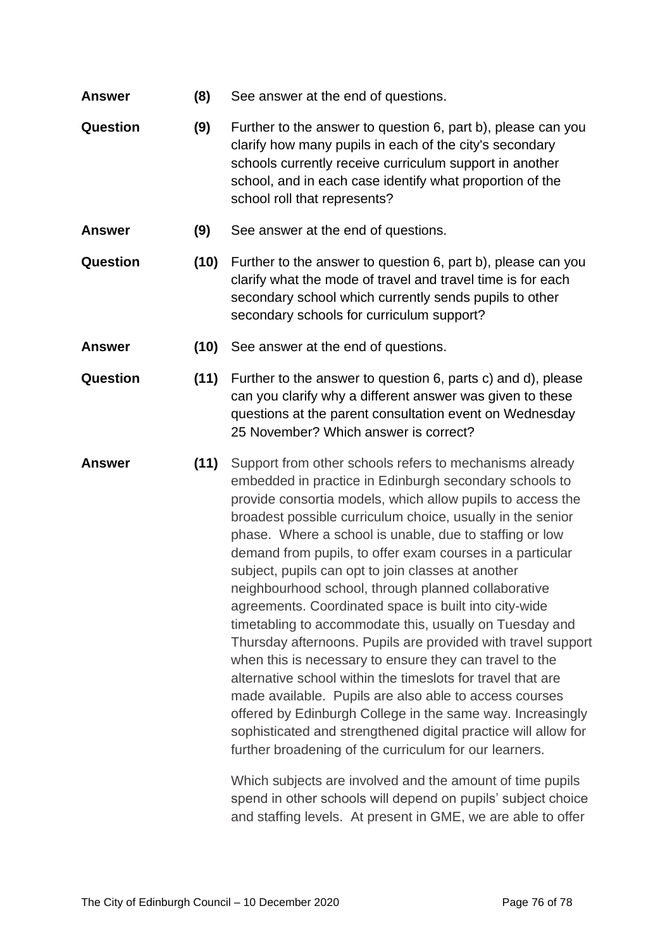- **Answer (8)** See answer at the end of questions.
- **Question (9)** Further to the answer to question 6, part b), please can you clarify how many pupils in each of the city's secondary schools currently receive curriculum support in another school, and in each case identify what proportion of the school roll that represents?
- **Answer (9)** See answer at the end of questions.
- **Question (10)** Further to the answer to question 6, part b), please can you clarify what the mode of travel and travel time is for each secondary school which currently sends pupils to other secondary schools for curriculum support?
- **Answer (10)** See answer at the end of questions.
- **Question (11)** Further to the answer to question 6, parts c) and d), please can you clarify why a different answer was given to these questions at the parent consultation event on Wednesday 25 November? Which answer is correct?
- **Answer (11)** Support from other schools refers to mechanisms already embedded in practice in Edinburgh secondary schools to provide consortia models, which allow pupils to access the broadest possible curriculum choice, usually in the senior phase. Where a school is unable, due to staffing or low demand from pupils, to offer exam courses in a particular subject, pupils can opt to join classes at another neighbourhood school, through planned collaborative agreements. Coordinated space is built into city-wide timetabling to accommodate this, usually on Tuesday and Thursday afternoons. Pupils are provided with travel support when this is necessary to ensure they can travel to the alternative school within the timeslots for travel that are made available. Pupils are also able to access courses offered by Edinburgh College in the same way. Increasingly sophisticated and strengthened digital practice will allow for further broadening of the curriculum for our learners.

Which subjects are involved and the amount of time pupils spend in other schools will depend on pupils' subject choice and staffing levels. At present in GME, we are able to offer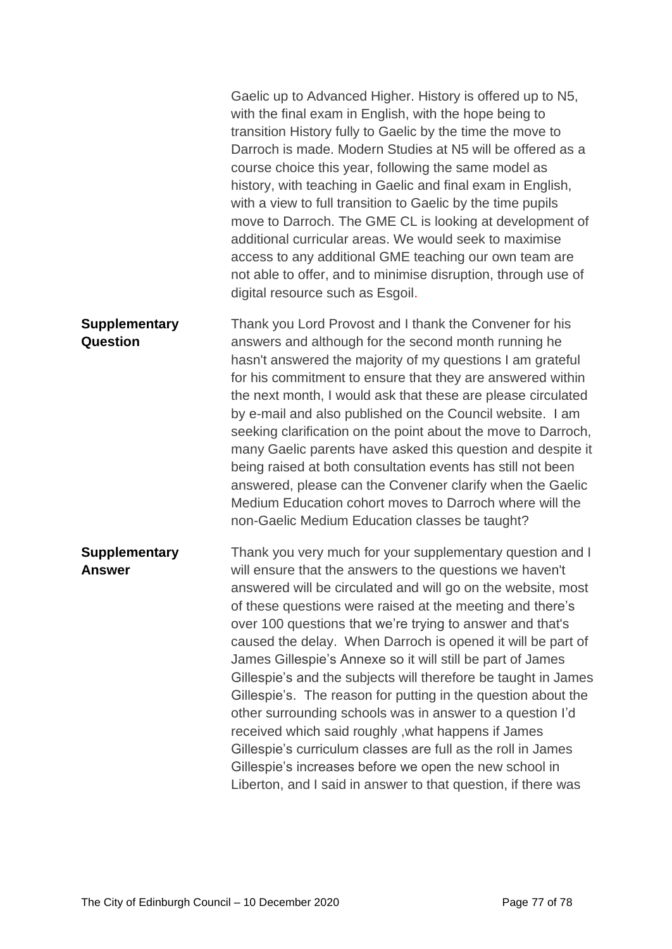|                                       | Gaelic up to Advanced Higher. History is offered up to N5,<br>with the final exam in English, with the hope being to<br>transition History fully to Gaelic by the time the move to<br>Darroch is made. Modern Studies at N5 will be offered as a<br>course choice this year, following the same model as<br>history, with teaching in Gaelic and final exam in English,<br>with a view to full transition to Gaelic by the time pupils<br>move to Darroch. The GME CL is looking at development of<br>additional curricular areas. We would seek to maximise<br>access to any additional GME teaching our own team are<br>not able to offer, and to minimise disruption, through use of<br>digital resource such as Esgoil.                                                                                                                                                                   |
|---------------------------------------|-----------------------------------------------------------------------------------------------------------------------------------------------------------------------------------------------------------------------------------------------------------------------------------------------------------------------------------------------------------------------------------------------------------------------------------------------------------------------------------------------------------------------------------------------------------------------------------------------------------------------------------------------------------------------------------------------------------------------------------------------------------------------------------------------------------------------------------------------------------------------------------------------|
| <b>Supplementary</b><br>Question      | Thank you Lord Provost and I thank the Convener for his<br>answers and although for the second month running he<br>hasn't answered the majority of my questions I am grateful<br>for his commitment to ensure that they are answered within<br>the next month, I would ask that these are please circulated<br>by e-mail and also published on the Council website. I am<br>seeking clarification on the point about the move to Darroch,<br>many Gaelic parents have asked this question and despite it<br>being raised at both consultation events has still not been<br>answered, please can the Convener clarify when the Gaelic<br>Medium Education cohort moves to Darroch where will the<br>non-Gaelic Medium Education classes be taught?                                                                                                                                             |
| <b>Supplementary</b><br><b>Answer</b> | Thank you very much for your supplementary question and I<br>will ensure that the answers to the questions we haven't<br>answered will be circulated and will go on the website, most<br>of these questions were raised at the meeting and there's<br>over 100 questions that we're trying to answer and that's<br>caused the delay. When Darroch is opened it will be part of<br>James Gillespie's Annexe so it will still be part of James<br>Gillespie's and the subjects will therefore be taught in James<br>Gillespie's. The reason for putting in the question about the<br>other surrounding schools was in answer to a question I'd<br>received which said roughly, what happens if James<br>Gillespie's curriculum classes are full as the roll in James<br>Gillespie's increases before we open the new school in<br>Liberton, and I said in answer to that question, if there was |